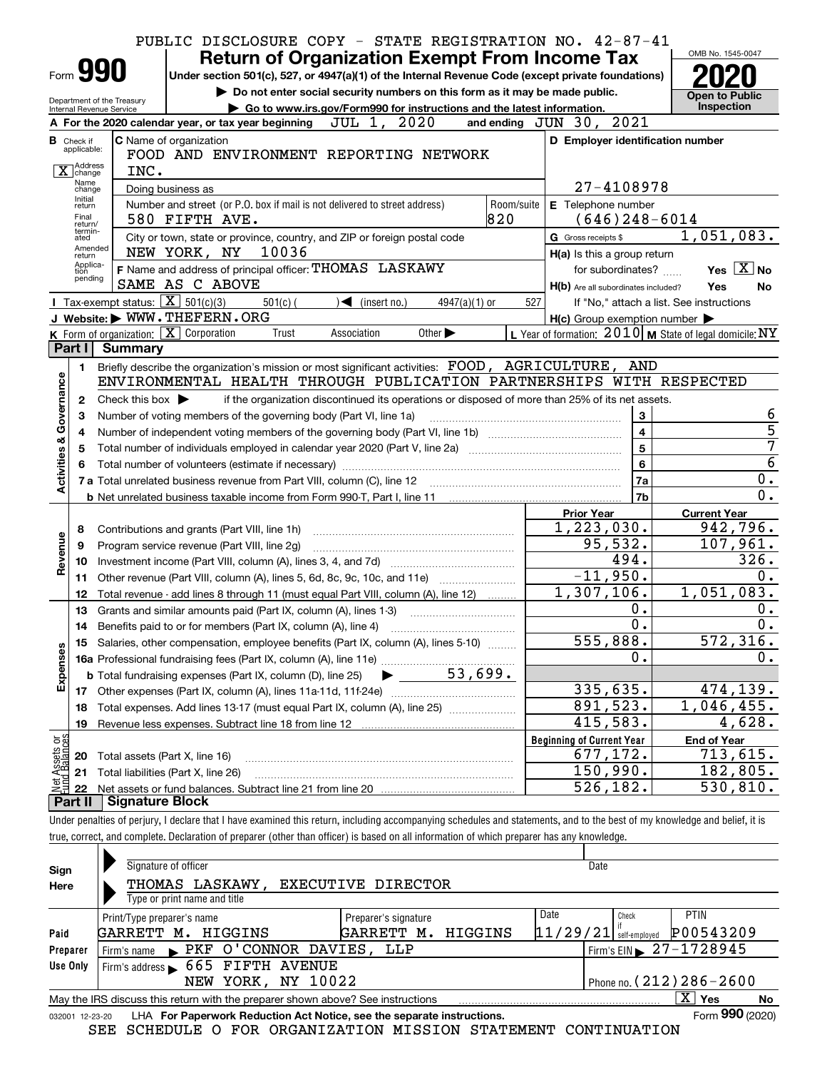|                                                                                                                                                                                |                                  | PUBLIC DISCLOSURE COPY - STATE REGISTRATION NO. 42-87-41                                                                                                                                                                       |     |                                                     |                                                           |  |  |  |  |
|--------------------------------------------------------------------------------------------------------------------------------------------------------------------------------|----------------------------------|--------------------------------------------------------------------------------------------------------------------------------------------------------------------------------------------------------------------------------|-----|-----------------------------------------------------|-----------------------------------------------------------|--|--|--|--|
|                                                                                                                                                                                |                                  | <b>Return of Organization Exempt From Income Tax</b>                                                                                                                                                                           |     |                                                     | OMB No. 1545-0047                                         |  |  |  |  |
|                                                                                                                                                                                |                                  | Form <b>990</b><br>Under section 501(c), 527, or 4947(a)(1) of the Internal Revenue Code (except private foundations)                                                                                                          |     |                                                     |                                                           |  |  |  |  |
|                                                                                                                                                                                |                                  | Do not enter social security numbers on this form as it may be made public.<br>Department of the Treasury                                                                                                                      |     |                                                     | <b>Open to Public</b>                                     |  |  |  |  |
|                                                                                                                                                                                |                                  | Go to www.irs.gov/Form990 for instructions and the latest information.<br>Internal Revenue Service                                                                                                                             |     |                                                     | <b>Inspection</b>                                         |  |  |  |  |
|                                                                                                                                                                                |                                  | JUL 1, 2020<br>A For the 2020 calendar year, or tax year beginning                                                                                                                                                             |     | and ending JUN 30, 2021                             |                                                           |  |  |  |  |
|                                                                                                                                                                                | <b>B</b> Check if<br>applicable: | <b>C</b> Name of organization                                                                                                                                                                                                  |     | D Employer identification number                    |                                                           |  |  |  |  |
|                                                                                                                                                                                | Address                          | FOOD AND ENVIRONMENT REPORTING NETWORK                                                                                                                                                                                         |     |                                                     |                                                           |  |  |  |  |
|                                                                                                                                                                                | change<br>Name                   | INC.                                                                                                                                                                                                                           |     |                                                     |                                                           |  |  |  |  |
|                                                                                                                                                                                | change<br>Initial                | Doing business as                                                                                                                                                                                                              |     | 27-4108978                                          |                                                           |  |  |  |  |
| Number and street (or P.O. box if mail is not delivered to street address)<br>Room/suite<br>E Telephone number<br>return<br>820<br>Final<br>$(646)$ 248-6014<br>580 FIFTH AVE. |                                  |                                                                                                                                                                                                                                |     |                                                     |                                                           |  |  |  |  |
| return/<br>termin-<br>1,051,083.                                                                                                                                               |                                  |                                                                                                                                                                                                                                |     |                                                     |                                                           |  |  |  |  |
| City or town, state or province, country, and ZIP or foreign postal code<br>G Gross receipts \$<br>ated<br>Amended<br>NEW YORK, NY<br>10036                                    |                                  |                                                                                                                                                                                                                                |     |                                                     |                                                           |  |  |  |  |
|                                                                                                                                                                                | return<br>Applica-               | F Name and address of principal officer: THOMAS LASKAWY                                                                                                                                                                        |     | H(a) Is this a group return<br>for subordinates?    | Yes $\boxed{\text{X}}$ No                                 |  |  |  |  |
|                                                                                                                                                                                | tion<br>pending                  | SAME AS C ABOVE                                                                                                                                                                                                                |     |                                                     | Yes<br>No                                                 |  |  |  |  |
|                                                                                                                                                                                |                                  | Tax-exempt status: $\boxed{\mathbf{X}}$ 501(c)(3)<br>$501(c)$ (<br>$\sqrt{\phantom{a}}$ (insert no.)<br>$4947(a)(1)$ or                                                                                                        | 527 | H(b) Are all subordinates included?                 | If "No," attach a list. See instructions                  |  |  |  |  |
|                                                                                                                                                                                |                                  | J Website: WWW.THEFERN.ORG                                                                                                                                                                                                     |     | $H(c)$ Group exemption number $\blacktriangleright$ |                                                           |  |  |  |  |
|                                                                                                                                                                                |                                  | <b>K</b> Form of organization: $\boxed{\mathbf{X}}$ Corporation<br>Other $\blacktriangleright$<br>Trust<br>Association                                                                                                         |     |                                                     | L Year of formation: $2010$ M State of legal domicile: NY |  |  |  |  |
|                                                                                                                                                                                | Part I                           | Summary                                                                                                                                                                                                                        |     |                                                     |                                                           |  |  |  |  |
|                                                                                                                                                                                | 1.                               | Briefly describe the organization's mission or most significant activities: FOOD, AGRICULTURE, AND                                                                                                                             |     |                                                     |                                                           |  |  |  |  |
|                                                                                                                                                                                |                                  | ENVIRONMENTAL HEALTH THROUGH PUBLICATION PARTNERSHIPS WITH RESPECTED                                                                                                                                                           |     |                                                     |                                                           |  |  |  |  |
|                                                                                                                                                                                | 2                                | if the organization discontinued its operations or disposed of more than 25% of its net assets.<br>Check this box $\blacktriangleright$                                                                                        |     |                                                     |                                                           |  |  |  |  |
| Governance                                                                                                                                                                     | 6                                |                                                                                                                                                                                                                                |     |                                                     |                                                           |  |  |  |  |
|                                                                                                                                                                                | з<br>4                           | Number of voting members of the governing body (Part VI, line 1a)                                                                                                                                                              | 5   |                                                     |                                                           |  |  |  |  |
|                                                                                                                                                                                | 5                                | $\overline{\mathbf{4}}$<br>$\overline{\mathbf{5}}$                                                                                                                                                                             |     |                                                     |                                                           |  |  |  |  |
| <b>Activities &amp;</b>                                                                                                                                                        |                                  | Total number of volunteers (estimate if necessary) manufactured content to the content of volunteers (estimate if necessary) manufactured content to the content of the content of the content of the content of the content o |     | 6                                                   | 7<br>$\overline{6}$                                       |  |  |  |  |
|                                                                                                                                                                                |                                  |                                                                                                                                                                                                                                |     | 7a                                                  | 0.                                                        |  |  |  |  |
|                                                                                                                                                                                |                                  |                                                                                                                                                                                                                                |     | 7b                                                  | 0.                                                        |  |  |  |  |
|                                                                                                                                                                                |                                  |                                                                                                                                                                                                                                |     | <b>Prior Year</b>                                   | <b>Current Year</b>                                       |  |  |  |  |
|                                                                                                                                                                                | 8                                | Contributions and grants (Part VIII, line 1h)                                                                                                                                                                                  |     | 1, 223, 030.                                        | 942,796.                                                  |  |  |  |  |
| Revenue                                                                                                                                                                        | 9                                | Program service revenue (Part VIII, line 2g)                                                                                                                                                                                   |     | 95,532.                                             | 107,961.                                                  |  |  |  |  |
|                                                                                                                                                                                | 10                               |                                                                                                                                                                                                                                |     | 494.                                                | 326.                                                      |  |  |  |  |
|                                                                                                                                                                                | 11                               |                                                                                                                                                                                                                                |     | $-11,950.$                                          | 0.                                                        |  |  |  |  |
|                                                                                                                                                                                | 12                               | Total revenue - add lines 8 through 11 (must equal Part VIII, column (A), line 12)                                                                                                                                             |     | 1,307,106.                                          | 1,051,083.                                                |  |  |  |  |
|                                                                                                                                                                                | 13                               | Grants and similar amounts paid (Part IX, column (A), lines 1-3)                                                                                                                                                               |     | $0$ .                                               | 0.                                                        |  |  |  |  |
|                                                                                                                                                                                |                                  |                                                                                                                                                                                                                                |     | 0.                                                  | 0.                                                        |  |  |  |  |
|                                                                                                                                                                                |                                  | 15 Salaries, other compensation, employee benefits (Part IX, column (A), lines 5-10)                                                                                                                                           |     | 555,888.                                            | 572, 316.                                                 |  |  |  |  |
|                                                                                                                                                                                |                                  | 16a Professional fundraising fees (Part IX, column (A), line 11e)                                                                                                                                                              |     | 0.                                                  | 0.                                                        |  |  |  |  |
| Expenses                                                                                                                                                                       |                                  | 53,699.<br><b>b</b> Total fundraising expenses (Part IX, column (D), line 25)                                                                                                                                                  |     |                                                     |                                                           |  |  |  |  |
|                                                                                                                                                                                |                                  |                                                                                                                                                                                                                                |     | 335,635.                                            | 474,139.                                                  |  |  |  |  |
|                                                                                                                                                                                | 18                               | Total expenses. Add lines 13-17 (must equal Part IX, column (A), line 25)                                                                                                                                                      |     | 891,523.                                            | 1,046,455.                                                |  |  |  |  |
|                                                                                                                                                                                | 19                               |                                                                                                                                                                                                                                |     | 415,583.                                            | 4,628.                                                    |  |  |  |  |
|                                                                                                                                                                                |                                  |                                                                                                                                                                                                                                |     | <b>Beginning of Current Year</b>                    | <b>End of Year</b>                                        |  |  |  |  |
| t Assets or<br>d Balances                                                                                                                                                      | 20                               | Total assets (Part X, line 16)                                                                                                                                                                                                 |     | 677,172.                                            | $\overline{713}$ , 615.                                   |  |  |  |  |
|                                                                                                                                                                                | 21                               | Total liabilities (Part X, line 26)                                                                                                                                                                                            |     | 150,990.                                            | 182,805.                                                  |  |  |  |  |
| Net                                                                                                                                                                            | 22                               |                                                                                                                                                                                                                                |     | 526,182.                                            | 530, 810.                                                 |  |  |  |  |
|                                                                                                                                                                                | Part II                          | <b>Signature Block</b>                                                                                                                                                                                                         |     |                                                     |                                                           |  |  |  |  |
|                                                                                                                                                                                |                                  | Under penalties of perjury, I declare that I have examined this return, including accompanying schedules and statements, and to the best of my knowledge and belief, it is                                                     |     |                                                     |                                                           |  |  |  |  |
|                                                                                                                                                                                |                                  | true, correct, and complete. Declaration of preparer (other than officer) is based on all information of which preparer has any knowledge.                                                                                     |     |                                                     |                                                           |  |  |  |  |
|                                                                                                                                                                                |                                  |                                                                                                                                                                                                                                |     |                                                     |                                                           |  |  |  |  |

| Sign     | Signature of officer                                                                                         | Date |  |                           |  |  |  |  |  |  |  |
|----------|--------------------------------------------------------------------------------------------------------------|------|--|---------------------------|--|--|--|--|--|--|--|
| Here     | THOMAS LASKAWY,<br>EXECUTIVE DIRECTOR                                                                        |      |  |                           |  |  |  |  |  |  |  |
|          | Type or print name and title                                                                                 |      |  |                           |  |  |  |  |  |  |  |
|          | Date<br><b>PTIN</b><br>Check<br>Print/Type preparer's name<br>Preparer's signature                           |      |  |                           |  |  |  |  |  |  |  |
| Paid     | P00543209<br> 11/29/21 <br>HIGGINS<br>GARRETT<br>GARRETT M.<br>м.<br>HIGGINS<br>self-emploved                |      |  |                           |  |  |  |  |  |  |  |
| Preparer | Firm's EIN $\geq 27-1728945$<br>$\blacktriangleright$ PKF O'CONNOR DAVIES,<br>LLP<br>Firm's name             |      |  |                           |  |  |  |  |  |  |  |
| Use Only | Firm's address > 665 FIFTH AVENUE                                                                            |      |  |                           |  |  |  |  |  |  |  |
|          | Phone no. ( $212$ ) $286 - 2600$<br>NEW YORK, NY 10022                                                       |      |  |                           |  |  |  |  |  |  |  |
|          | May the IRS discuss this return with the preparer shown above? See instructions                              |      |  | $\mathbf{x}$<br>Yes<br>No |  |  |  |  |  |  |  |
|          | Form 990 (2020)<br>LHA For Paperwork Reduction Act Notice, see the separate instructions.<br>032001 12-23-20 |      |  |                           |  |  |  |  |  |  |  |

032001 12-23-20 LHA For Paperwork Reduction Act Notice, see the separate instructions.<br>SEE SCHEDULE O FOR ORGANIZATION MISSION STATEMENT CONTINUATION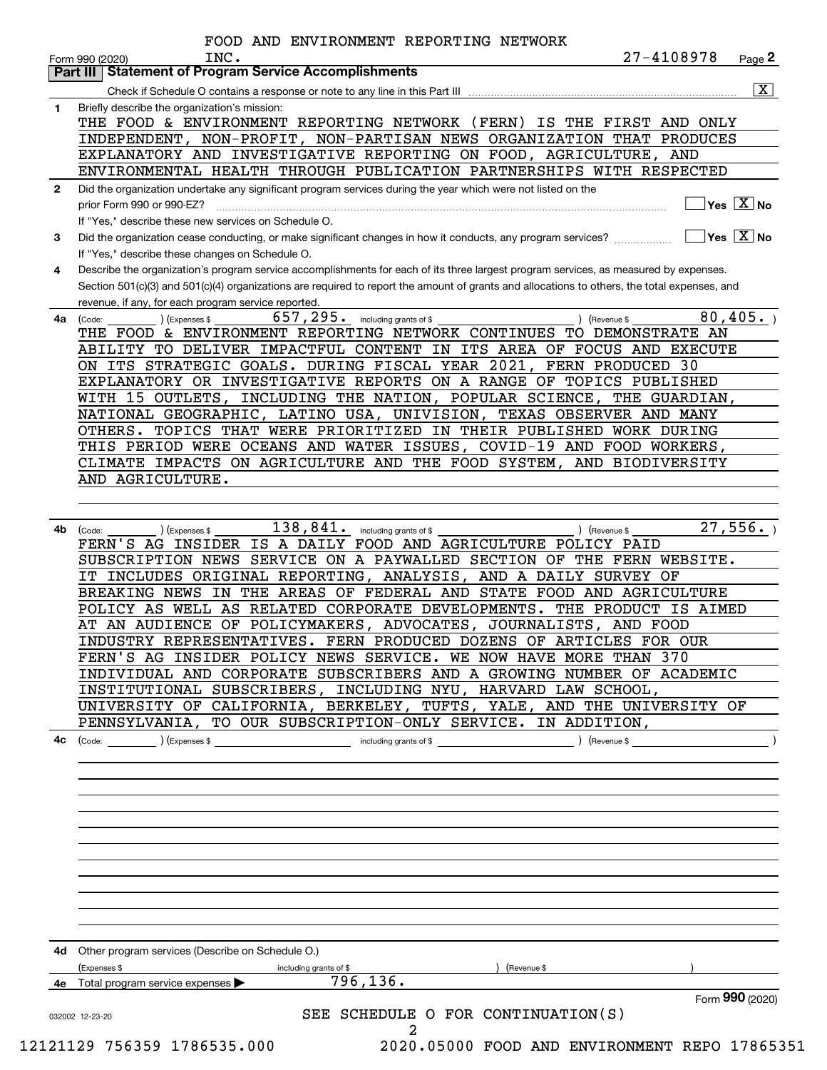|              | INC.<br>27-4108978<br>Page 2<br>Form 990 (2020)<br>Part III   Statement of Program Service Accomplishments                                   |  |  |  |  |  |  |
|--------------|----------------------------------------------------------------------------------------------------------------------------------------------|--|--|--|--|--|--|
|              | $\overline{\mathbf{x}}$                                                                                                                      |  |  |  |  |  |  |
| 1.           | Briefly describe the organization's mission:                                                                                                 |  |  |  |  |  |  |
|              | THE FOOD & ENVIRONMENT REPORTING NETWORK (FERN) IS THE FIRST AND ONLY                                                                        |  |  |  |  |  |  |
|              | INDEPENDENT, NON-PROFIT, NON-PARTISAN NEWS ORGANIZATION THAT PRODUCES                                                                        |  |  |  |  |  |  |
|              | EXPLANATORY AND INVESTIGATIVE REPORTING ON FOOD, AGRICULTURE, AND                                                                            |  |  |  |  |  |  |
|              | ENVIRONMENTAL HEALTH THROUGH PUBLICATION PARTNERSHIPS WITH RESPECTED                                                                         |  |  |  |  |  |  |
| $\mathbf{2}$ | Did the organization undertake any significant program services during the year which were not listed on the                                 |  |  |  |  |  |  |
|              | $\sqrt{}$ Yes $\sqrt{X}$ No<br>prior Form 990 or 990-EZ?                                                                                     |  |  |  |  |  |  |
|              | If "Yes," describe these new services on Schedule O.                                                                                         |  |  |  |  |  |  |
| 3            | $\boxed{\phantom{1}}$ Yes $\boxed{\mathrm{X}}$ No                                                                                            |  |  |  |  |  |  |
|              | If "Yes," describe these changes on Schedule O.                                                                                              |  |  |  |  |  |  |
| 4            | Describe the organization's program service accomplishments for each of its three largest program services, as measured by expenses.         |  |  |  |  |  |  |
|              | Section 501(c)(3) and 501(c)(4) organizations are required to report the amount of grants and allocations to others, the total expenses, and |  |  |  |  |  |  |
|              | revenue, if any, for each program service reported.                                                                                          |  |  |  |  |  |  |
| 4a           | 657, 295. including grants of \$<br>80,405.<br>) (Expenses \$<br>) (Revenue \$<br>(Code:                                                     |  |  |  |  |  |  |
|              | THE FOOD & ENVIRONMENT REPORTING NETWORK CONTINUES TO DEMONSTRATE AN                                                                         |  |  |  |  |  |  |
|              | ABILITY TO DELIVER IMPACTFUL CONTENT IN ITS AREA OF FOCUS AND EXECUTE                                                                        |  |  |  |  |  |  |
|              | ON ITS STRATEGIC GOALS. DURING FISCAL YEAR 2021, FERN PRODUCED 30                                                                            |  |  |  |  |  |  |
|              | EXPLANATORY OR INVESTIGATIVE REPORTS ON A RANGE OF TOPICS PUBLISHED                                                                          |  |  |  |  |  |  |
|              | WITH 15 OUTLETS, INCLUDING THE NATION, POPULAR SCIENCE, THE GUARDIAN,                                                                        |  |  |  |  |  |  |
|              | NATIONAL GEOGRAPHIC, LATINO USA, UNIVISION, TEXAS OBSERVER AND MANY                                                                          |  |  |  |  |  |  |
|              | OTHERS. TOPICS THAT WERE PRIORITIZED IN THEIR PUBLISHED WORK DURING                                                                          |  |  |  |  |  |  |
|              | THIS PERIOD WERE OCEANS AND WATER ISSUES, COVID-19 AND FOOD WORKERS,                                                                         |  |  |  |  |  |  |
|              | CLIMATE IMPACTS ON AGRICULTURE AND THE FOOD SYSTEM, AND BIODIVERSITY                                                                         |  |  |  |  |  |  |
|              | AND AGRICULTURE.                                                                                                                             |  |  |  |  |  |  |
|              |                                                                                                                                              |  |  |  |  |  |  |
|              |                                                                                                                                              |  |  |  |  |  |  |
| 4b           | 27,556.<br>$138,841$ . including grants of \$<br>(Expenses \$<br>(Code:<br>) (Revenue \$                                                     |  |  |  |  |  |  |
|              | FERN'S AG INSIDER IS A DAILY FOOD AND AGRICULTURE POLICY PAID                                                                                |  |  |  |  |  |  |
|              | SUBSCRIPTION NEWS SERVICE ON A PAYWALLED SECTION OF THE FERN WEBSITE.                                                                        |  |  |  |  |  |  |
|              | IT INCLUDES ORIGINAL REPORTING, ANALYSIS, AND A DAILY SURVEY OF                                                                              |  |  |  |  |  |  |
|              | BREAKING NEWS IN THE AREAS OF FEDERAL AND STATE FOOD AND AGRICULTURE                                                                         |  |  |  |  |  |  |
|              | POLICY AS WELL AS RELATED CORPORATE DEVELOPMENTS. THE PRODUCT IS AIMED                                                                       |  |  |  |  |  |  |
|              | AT AN AUDIENCE OF POLICYMAKERS, ADVOCATES, JOURNALISTS, AND FOOD                                                                             |  |  |  |  |  |  |
|              | INDUSTRY REPRESENTATIVES. FERN PRODUCED DOZENS OF ARTICLES FOR OUR                                                                           |  |  |  |  |  |  |
|              | FERN'S AG INSIDER POLICY NEWS SERVICE. WE NOW HAVE MORE THAN 370                                                                             |  |  |  |  |  |  |
|              | INDIVIDUAL AND CORPORATE SUBSCRIBERS AND A GROWING NUMBER OF ACADEMIC                                                                        |  |  |  |  |  |  |
|              | INSTITUTIONAL SUBSCRIBERS, INCLUDING NYU, HARVARD LAW SCHOOL,                                                                                |  |  |  |  |  |  |
|              | UNIVERSITY OF CALIFORNIA, BERKELEY, TUFTS, YALE, AND THE UNIVERSITY OF                                                                       |  |  |  |  |  |  |
|              | PENNSYLVANIA, TO OUR SUBSCRIPTION-ONLY SERVICE. IN ADDITION,                                                                                 |  |  |  |  |  |  |
| 4c           | (Expenses \$<br>including grants of \$<br>) (Revenue \$<br>(Code:                                                                            |  |  |  |  |  |  |
|              |                                                                                                                                              |  |  |  |  |  |  |
|              |                                                                                                                                              |  |  |  |  |  |  |
|              |                                                                                                                                              |  |  |  |  |  |  |
|              |                                                                                                                                              |  |  |  |  |  |  |
|              |                                                                                                                                              |  |  |  |  |  |  |
|              |                                                                                                                                              |  |  |  |  |  |  |
|              |                                                                                                                                              |  |  |  |  |  |  |
|              |                                                                                                                                              |  |  |  |  |  |  |
|              |                                                                                                                                              |  |  |  |  |  |  |
|              |                                                                                                                                              |  |  |  |  |  |  |
|              |                                                                                                                                              |  |  |  |  |  |  |
|              |                                                                                                                                              |  |  |  |  |  |  |
|              |                                                                                                                                              |  |  |  |  |  |  |
|              | 4d Other program services (Describe on Schedule O.)                                                                                          |  |  |  |  |  |  |
|              | (Expenses \$<br>(Revenue \$<br>including grants of \$                                                                                        |  |  |  |  |  |  |
|              | 796, 136.<br>Total program service expenses                                                                                                  |  |  |  |  |  |  |
|              | Form 990 (2020)<br>SEE SCHEDULE O FOR CONTINUATION(S)                                                                                        |  |  |  |  |  |  |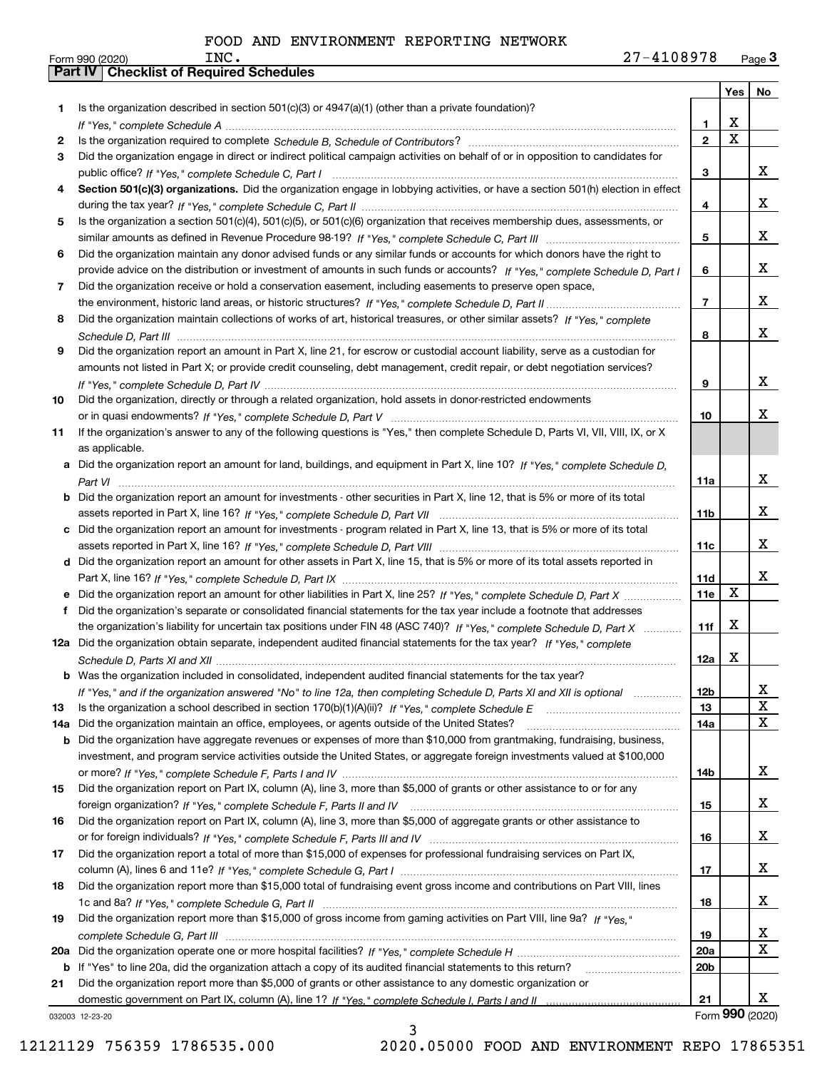|     |                                                                                                                                  |                 | Yes                     | No              |
|-----|----------------------------------------------------------------------------------------------------------------------------------|-----------------|-------------------------|-----------------|
| 1   | Is the organization described in section $501(c)(3)$ or $4947(a)(1)$ (other than a private foundation)?                          |                 |                         |                 |
|     |                                                                                                                                  | 1               | X                       |                 |
| 2   |                                                                                                                                  | $\mathbf{2}$    | $\overline{\mathbf{x}}$ |                 |
| З.  | Did the organization engage in direct or indirect political campaign activities on behalf of or in opposition to candidates for  |                 |                         |                 |
|     |                                                                                                                                  | 3               |                         | x               |
| 4   | Section 501(c)(3) organizations. Did the organization engage in lobbying activities, or have a section 501(h) election in effect |                 |                         |                 |
|     |                                                                                                                                  | 4               |                         | x               |
| 5.  | Is the organization a section 501(c)(4), 501(c)(5), or 501(c)(6) organization that receives membership dues, assessments, or     |                 |                         |                 |
|     |                                                                                                                                  | 5               |                         | x               |
| 6   | Did the organization maintain any donor advised funds or any similar funds or accounts for which donors have the right to        |                 |                         |                 |
|     | provide advice on the distribution or investment of amounts in such funds or accounts? If "Yes," complete Schedule D, Part I     | 6               |                         | x               |
| 7   | Did the organization receive or hold a conservation easement, including easements to preserve open space,                        |                 |                         |                 |
|     |                                                                                                                                  | $\overline{7}$  |                         | x               |
| 8   | Did the organization maintain collections of works of art, historical treasures, or other similar assets? If "Yes," complete     |                 |                         |                 |
|     |                                                                                                                                  | 8               |                         | x               |
| 9   | Did the organization report an amount in Part X, line 21, for escrow or custodial account liability, serve as a custodian for    |                 |                         |                 |
|     | amounts not listed in Part X; or provide credit counseling, debt management, credit repair, or debt negotiation services?        |                 |                         |                 |
|     |                                                                                                                                  | 9               |                         | x               |
| 10  | Did the organization, directly or through a related organization, hold assets in donor-restricted endowments                     |                 |                         | x               |
|     |                                                                                                                                  | 10              |                         |                 |
| 11  | If the organization's answer to any of the following questions is "Yes," then complete Schedule D, Parts VI, VII, VIII, IX, or X |                 |                         |                 |
|     | as applicable.                                                                                                                   |                 |                         |                 |
|     | a Did the organization report an amount for land, buildings, and equipment in Part X, line 10? If "Yes," complete Schedule D,    |                 |                         | x               |
| b   | Did the organization report an amount for investments - other securities in Part X, line 12, that is 5% or more of its total     | 11a             |                         |                 |
|     |                                                                                                                                  | 11 <sub>b</sub> |                         | X.              |
| c   | Did the organization report an amount for investments - program related in Part X, line 13, that is 5% or more of its total      |                 |                         |                 |
|     |                                                                                                                                  | 11c             |                         | X.              |
|     | d Did the organization report an amount for other assets in Part X, line 15, that is 5% or more of its total assets reported in  |                 |                         |                 |
|     |                                                                                                                                  | 11d             |                         | X.              |
|     | Did the organization report an amount for other liabilities in Part X, line 25? If "Yes," complete Schedule D, Part X            | 11e             | X                       |                 |
|     | Did the organization's separate or consolidated financial statements for the tax year include a footnote that addresses          |                 |                         |                 |
|     | the organization's liability for uncertain tax positions under FIN 48 (ASC 740)? If "Yes," complete Schedule D, Part X           | 11f             | х                       |                 |
|     | 12a Did the organization obtain separate, independent audited financial statements for the tax year? If "Yes," complete          |                 |                         |                 |
|     |                                                                                                                                  | 12a             | X                       |                 |
|     | <b>b</b> Was the organization included in consolidated, independent audited financial statements for the tax year?               |                 |                         |                 |
|     | If "Yes," and if the organization answered "No" to line 12a, then completing Schedule D, Parts XI and XII is optional matcoment  | 12b             |                         | A               |
| 13  |                                                                                                                                  | 13              |                         | X               |
| 14a | Did the organization maintain an office, employees, or agents outside of the United States?                                      | 14a             |                         | x               |
| b   | Did the organization have aggregate revenues or expenses of more than \$10,000 from grantmaking, fundraising, business,          |                 |                         |                 |
|     | investment, and program service activities outside the United States, or aggregate foreign investments valued at \$100,000       |                 |                         |                 |
|     |                                                                                                                                  | 14b             |                         | x               |
| 15  | Did the organization report on Part IX, column (A), line 3, more than \$5,000 of grants or other assistance to or for any        |                 |                         |                 |
|     |                                                                                                                                  | 15              |                         | x               |
| 16  | Did the organization report on Part IX, column (A), line 3, more than \$5,000 of aggregate grants or other assistance to         |                 |                         |                 |
|     |                                                                                                                                  | 16              |                         | x               |
| 17  | Did the organization report a total of more than \$15,000 of expenses for professional fundraising services on Part IX,          |                 |                         |                 |
|     |                                                                                                                                  | 17              |                         | x               |
| 18  | Did the organization report more than \$15,000 total of fundraising event gross income and contributions on Part VIII, lines     |                 |                         |                 |
|     |                                                                                                                                  | 18              |                         | x               |
| 19  | Did the organization report more than \$15,000 of gross income from gaming activities on Part VIII, line 9a? If "Yes."           |                 |                         |                 |
|     |                                                                                                                                  | 19              |                         | X               |
| 20a |                                                                                                                                  | <b>20a</b>      |                         | x               |
| b   | If "Yes" to line 20a, did the organization attach a copy of its audited financial statements to this return?                     | 20 <sub>b</sub> |                         |                 |
| 21  | Did the organization report more than \$5,000 of grants or other assistance to any domestic organization or                      |                 |                         |                 |
|     |                                                                                                                                  | 21              |                         | x               |
|     | 032003 12-23-20                                                                                                                  |                 |                         | Form 990 (2020) |

032003 12-23-20

12121129 756359 1786535.000 2020.05000 FOOD AND ENVIRONMENT REPO 17865351

3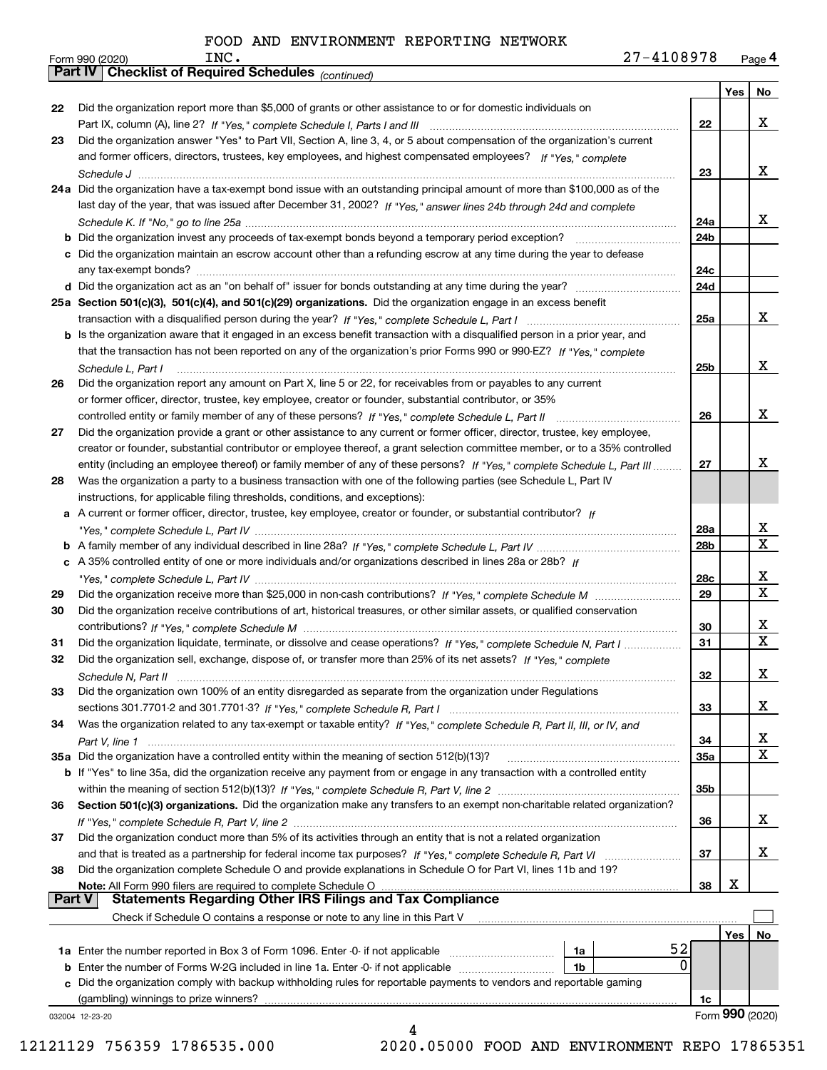| 27-4108978<br>Page $4$ |
|------------------------|
|------------------------|

|               | 27-4108978<br>INC.<br>Form 990 (2020)                                                                                        |             |     | Page 4          |
|---------------|------------------------------------------------------------------------------------------------------------------------------|-------------|-----|-----------------|
|               | Part IV   Checklist of Required Schedules (continued)                                                                        |             |     |                 |
|               |                                                                                                                              |             | Yes | No              |
| 22            | Did the organization report more than \$5,000 of grants or other assistance to or for domestic individuals on                |             |     |                 |
|               |                                                                                                                              | 22          |     | x               |
| 23            | Did the organization answer "Yes" to Part VII, Section A, line 3, 4, or 5 about compensation of the organization's current   |             |     |                 |
|               | and former officers, directors, trustees, key employees, and highest compensated employees? If "Yes," complete               |             |     |                 |
|               |                                                                                                                              | 23          |     | x               |
|               | 24a Did the organization have a tax-exempt bond issue with an outstanding principal amount of more than \$100,000 as of the  |             |     |                 |
|               | last day of the year, that was issued after December 31, 2002? If "Yes," answer lines 24b through 24d and complete           |             |     |                 |
|               |                                                                                                                              | 24a         |     | x               |
|               |                                                                                                                              | 24b         |     |                 |
|               | c Did the organization maintain an escrow account other than a refunding escrow at any time during the year to defease       |             |     |                 |
|               |                                                                                                                              | 24с         |     |                 |
|               |                                                                                                                              | 24d         |     |                 |
|               | 25a Section 501(c)(3), 501(c)(4), and 501(c)(29) organizations. Did the organization engage in an excess benefit             |             |     |                 |
|               |                                                                                                                              | 25a         |     | x               |
|               | b Is the organization aware that it engaged in an excess benefit transaction with a disqualified person in a prior year, and |             |     |                 |
|               | that the transaction has not been reported on any of the organization's prior Forms 990 or 990-EZ? If "Yes," complete        |             |     |                 |
|               | Schedule L, Part I                                                                                                           | 25b         |     | x               |
| 26            | Did the organization report any amount on Part X, line 5 or 22, for receivables from or payables to any current              |             |     |                 |
|               | or former officer, director, trustee, key employee, creator or founder, substantial contributor, or 35%                      |             |     |                 |
|               | controlled entity or family member of any of these persons? If "Yes," complete Schedule L, Part II                           | 26          |     | x               |
| 27            | Did the organization provide a grant or other assistance to any current or former officer, director, trustee, key employee,  |             |     |                 |
|               | creator or founder, substantial contributor or employee thereof, a grant selection committee member, or to a 35% controlled  |             |     |                 |
|               | entity (including an employee thereof) or family member of any of these persons? If "Yes," complete Schedule L, Part III     | 27          |     | x               |
| 28            | Was the organization a party to a business transaction with one of the following parties (see Schedule L, Part IV            |             |     |                 |
|               | instructions, for applicable filing thresholds, conditions, and exceptions):                                                 |             |     |                 |
|               | a A current or former officer, director, trustee, key employee, creator or founder, or substantial contributor? If           |             |     |                 |
|               |                                                                                                                              | 28a         |     | x               |
|               |                                                                                                                              | 28b         |     | $\mathbf X$     |
|               | c A 35% controlled entity of one or more individuals and/or organizations described in lines 28a or 28b? If                  |             |     |                 |
|               |                                                                                                                              | 28c         |     | x               |
| 29            |                                                                                                                              | 29          |     | X               |
| 30            | Did the organization receive contributions of art, historical treasures, or other similar assets, or qualified conservation  |             |     |                 |
|               |                                                                                                                              | 30          |     | x               |
| 31            | Did the organization liquidate, terminate, or dissolve and cease operations? If "Yes," complete Schedule N, Part I           | 31          |     | $\mathbf X$     |
|               | Did the organization sell, exchange, dispose of, or transfer more than 25% of its net assets? If "Yes," complete             |             |     |                 |
|               |                                                                                                                              | 32          |     | x               |
| 33            | Did the organization own 100% of an entity disregarded as separate from the organization under Regulations                   |             |     |                 |
|               |                                                                                                                              | 33          |     | x               |
| 34            | Was the organization related to any tax-exempt or taxable entity? If "Yes," complete Schedule R, Part II, III, or IV, and    |             |     |                 |
|               |                                                                                                                              | 34          |     | х               |
|               | 35a Did the organization have a controlled entity within the meaning of section 512(b)(13)?                                  | 35a         |     | X               |
|               | b If "Yes" to line 35a, did the organization receive any payment from or engage in any transaction with a controlled entity  |             |     |                 |
|               |                                                                                                                              | 35b         |     |                 |
| 36            | Section 501(c)(3) organizations. Did the organization make any transfers to an exempt non-charitable related organization?   |             |     |                 |
|               |                                                                                                                              | 36          |     | x               |
| 37            | Did the organization conduct more than 5% of its activities through an entity that is not a related organization             |             |     |                 |
|               |                                                                                                                              | 37          |     | x               |
| 38            | Did the organization complete Schedule O and provide explanations in Schedule O for Part VI, lines 11b and 19?               |             |     |                 |
|               | Note: All Form 990 filers are required to complete Schedule O                                                                | 38          | X   |                 |
| <b>Part V</b> | <b>Statements Regarding Other IRS Filings and Tax Compliance</b>                                                             |             |     |                 |
|               | Check if Schedule O contains a response or note to any line in this Part V                                                   |             |     |                 |
|               |                                                                                                                              |             | Yes | No              |
|               | 1a Enter the number reported in Box 3 of Form 1096. Enter -0- if not applicable<br>1a                                        | 52          |     |                 |
|               | <b>b</b> Enter the number of Forms W-2G included in line 1a. Enter -0- if not applicable <i>manumumumum</i><br>1b            | $\mathbf 0$ |     |                 |
|               | c Did the organization comply with backup withholding rules for reportable payments to vendors and reportable gaming         |             |     |                 |
|               |                                                                                                                              | 1c          |     |                 |
|               | 032004 12-23-20                                                                                                              |             |     | Form 990 (2020) |
|               | 4                                                                                                                            |             |     |                 |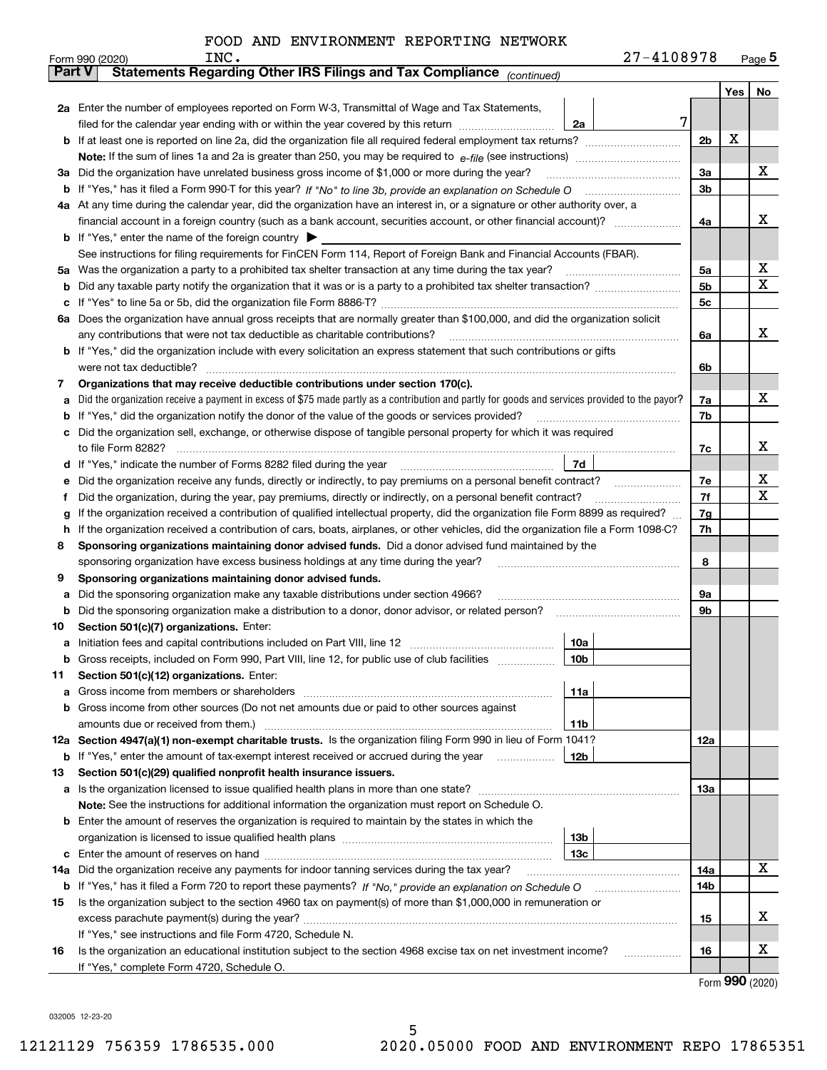| FOOD AND ENVIRONMENT REPORTING NETWORK |
|----------------------------------------|
|----------------------------------------|

|        | INC.<br>Form 990 (2020)                                                                                                                                                                                                    | 27-4108978      |                |     | Page 5 |
|--------|----------------------------------------------------------------------------------------------------------------------------------------------------------------------------------------------------------------------------|-----------------|----------------|-----|--------|
|        | Statements Regarding Other IRS Filings and Tax Compliance (continued)<br><b>Part V</b>                                                                                                                                     |                 |                |     |        |
|        |                                                                                                                                                                                                                            |                 |                | Yes | No     |
|        | 2a Enter the number of employees reported on Form W-3, Transmittal of Wage and Tax Statements,                                                                                                                             |                 |                |     |        |
|        | filed for the calendar year ending with or within the year covered by this return                                                                                                                                          | 7<br>2a         |                |     |        |
|        | If at least one is reported on line 2a, did the organization file all required federal employment tax returns?                                                                                                             |                 | 2 <sub>b</sub> | х   |        |
|        |                                                                                                                                                                                                                            |                 |                |     |        |
| за     | Did the organization have unrelated business gross income of \$1,000 or more during the year?                                                                                                                              |                 | 3a             |     | x      |
| b      |                                                                                                                                                                                                                            |                 | 3b             |     |        |
|        | 4a At any time during the calendar year, did the organization have an interest in, or a signature or other authority over, a                                                                                               |                 |                |     |        |
|        | financial account in a foreign country (such as a bank account, securities account, or other financial account)?                                                                                                           |                 | 4a             |     | x      |
|        | <b>b</b> If "Yes," enter the name of the foreign country                                                                                                                                                                   |                 |                |     |        |
|        | See instructions for filing requirements for FinCEN Form 114, Report of Foreign Bank and Financial Accounts (FBAR).                                                                                                        |                 |                |     |        |
| 5a     | Was the organization a party to a prohibited tax shelter transaction at any time during the tax year?                                                                                                                      |                 | 5a             |     | х      |
| b      |                                                                                                                                                                                                                            | 5 <sub>b</sub>  |                | X   |        |
| с      |                                                                                                                                                                                                                            |                 | 5c             |     |        |
| 6а     | Does the organization have annual gross receipts that are normally greater than \$100,000, and did the organization solicit                                                                                                |                 |                |     |        |
|        | any contributions that were not tax deductible as charitable contributions?                                                                                                                                                |                 | 6a             |     | x      |
|        | If "Yes," did the organization include with every solicitation an express statement that such contributions or gifts                                                                                                       |                 |                |     |        |
|        | were not tax deductible?                                                                                                                                                                                                   |                 | 6b             |     |        |
| 7      | Organizations that may receive deductible contributions under section 170(c).                                                                                                                                              |                 |                |     | x      |
| a      | Did the organization receive a payment in excess of \$75 made partly as a contribution and partly for goods and services provided to the payor?                                                                            |                 | 7a             |     |        |
| b      | If "Yes," did the organization notify the donor of the value of the goods or services provided?                                                                                                                            |                 | 7b             |     |        |
|        | Did the organization sell, exchange, or otherwise dispose of tangible personal property for which it was required<br>to file Form 8282?                                                                                    |                 | 7c             |     | х      |
|        | If "Yes," indicate the number of Forms 8282 filed during the year                                                                                                                                                          | 7d              |                |     |        |
| d<br>е | Did the organization receive any funds, directly or indirectly, to pay premiums on a personal benefit contract?                                                                                                            |                 | 7e             |     | х      |
| f      | Did the organization, during the year, pay premiums, directly or indirectly, on a personal benefit contract?                                                                                                               |                 | 7f             |     | X      |
| g      | If the organization received a contribution of qualified intellectual property, did the organization file Form 8899 as required?                                                                                           |                 | 7g             |     |        |
| h      | If the organization received a contribution of cars, boats, airplanes, or other vehicles, did the organization file a Form 1098-C?                                                                                         |                 | 7h             |     |        |
| 8      | Sponsoring organizations maintaining donor advised funds. Did a donor advised fund maintained by the                                                                                                                       |                 |                |     |        |
|        | sponsoring organization have excess business holdings at any time during the year?                                                                                                                                         |                 | 8              |     |        |
| 9      | Sponsoring organizations maintaining donor advised funds.                                                                                                                                                                  |                 |                |     |        |
| a      | Did the sponsoring organization make any taxable distributions under section 4966?                                                                                                                                         |                 | 9а             |     |        |
| b      | Did the sponsoring organization make a distribution to a donor, donor advisor, or related person?                                                                                                                          |                 | 9b             |     |        |
| 10     | Section 501(c)(7) organizations. Enter:                                                                                                                                                                                    |                 |                |     |        |
| а      |                                                                                                                                                                                                                            | 10a             |                |     |        |
|        | Gross receipts, included on Form 990, Part VIII, line 12, for public use of club facilities                                                                                                                                | 10 <sub>b</sub> |                |     |        |
| 11     | Section 501(c)(12) organizations. Enter:                                                                                                                                                                                   |                 |                |     |        |
|        | Gross income from members or shareholders                                                                                                                                                                                  | 11a             |                |     |        |
| b      | Gross income from other sources (Do not net amounts due or paid to other sources against                                                                                                                                   |                 |                |     |        |
|        |                                                                                                                                                                                                                            | 11b             |                |     |        |
|        | 12a Section 4947(a)(1) non-exempt charitable trusts. Is the organization filing Form 990 in lieu of Form 1041?                                                                                                             |                 | 12a            |     |        |
|        | <b>b</b> If "Yes," enter the amount of tax-exempt interest received or accrued during the year                                                                                                                             | 12 <sub>b</sub> |                |     |        |
| 13     | Section 501(c)(29) qualified nonprofit health insurance issuers.                                                                                                                                                           |                 |                |     |        |
| a      | Is the organization licensed to issue qualified health plans in more than one state?                                                                                                                                       |                 | 13a            |     |        |
|        | Note: See the instructions for additional information the organization must report on Schedule O.                                                                                                                          |                 |                |     |        |
| b      | Enter the amount of reserves the organization is required to maintain by the states in which the                                                                                                                           |                 |                |     |        |
|        |                                                                                                                                                                                                                            | 13 <sub>b</sub> |                |     |        |
| с      |                                                                                                                                                                                                                            | 13 <sub>c</sub> |                |     | X      |
| 14a    | Did the organization receive any payments for indoor tanning services during the tax year?                                                                                                                                 |                 | 14a            |     |        |
| b      | If "Yes," has it filed a Form 720 to report these payments? If "No," provide an explanation on Schedule O<br>Is the organization subject to the section 4960 tax on payment(s) of more than \$1,000,000 in remuneration or |                 | 14b            |     |        |
| 15     | excess parachute payment(s) during the year?                                                                                                                                                                               |                 | 15             |     | x      |
|        | If "Yes," see instructions and file Form 4720, Schedule N.                                                                                                                                                                 |                 |                |     |        |
| 16     | Is the organization an educational institution subject to the section 4968 excise tax on net investment income?                                                                                                            |                 | 16             |     | х      |
|        | If "Yes," complete Form 4720, Schedule O.                                                                                                                                                                                  |                 |                |     |        |
|        |                                                                                                                                                                                                                            |                 |                |     |        |

Form (2020) **990**

032005 12-23-20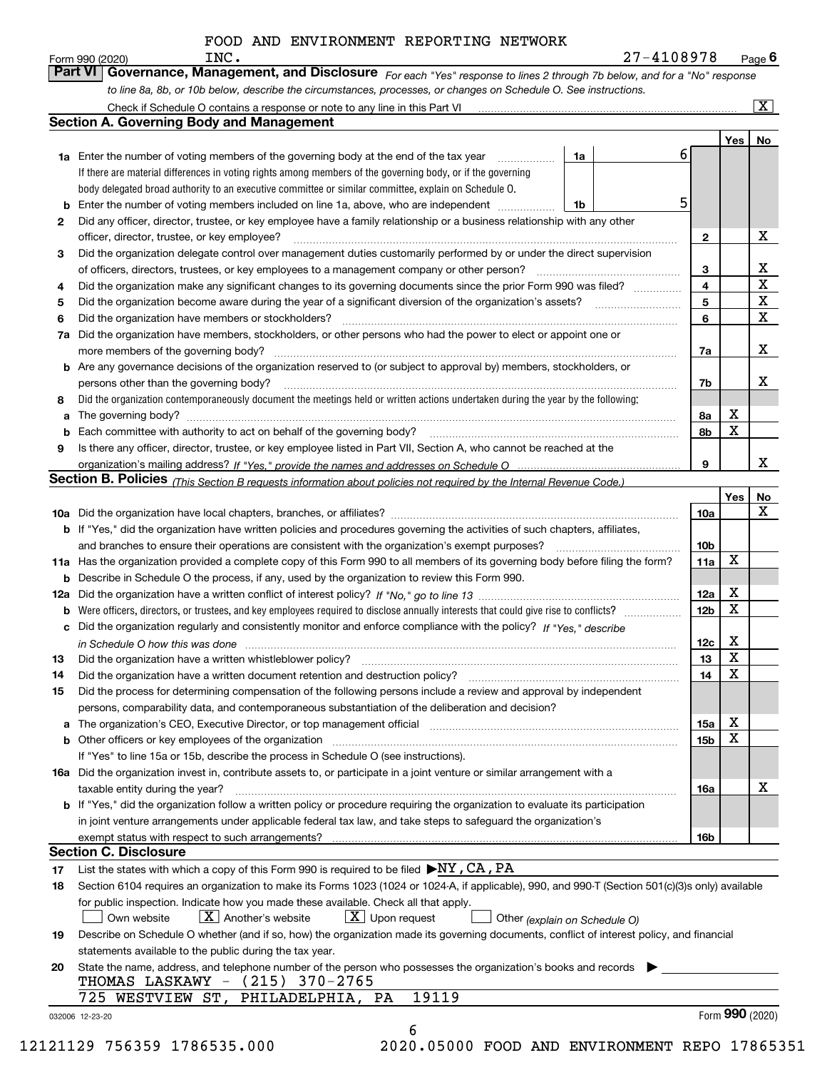| Form 990 (2020) | INC.                                                                                                                        | 27-4108978 | $P$ <sub>age</sub> $6$  |
|-----------------|-----------------------------------------------------------------------------------------------------------------------------|------------|-------------------------|
|                 | Part VI Governance, Management, and Disclosure For each "Yes" response to lines 2 through 7b below, and for a "No" response |            |                         |
|                 | to line 8a, 8b, or 10b below, describe the circumstances, processes, or changes on Schedule O. See instructions.            |            |                         |
|                 | Check if Schedule O contains a response or note to any line in this Part VI                                                 |            | $\overline{\mathbf{X}}$ |

|    |                                                                                                                                                                                                                                |    |     | Yes             | No                      |
|----|--------------------------------------------------------------------------------------------------------------------------------------------------------------------------------------------------------------------------------|----|-----|-----------------|-------------------------|
|    | <b>1a</b> Enter the number of voting members of the governing body at the end of the tax year<br>1a                                                                                                                            | 6. |     |                 |                         |
|    | If there are material differences in voting rights among members of the governing body, or if the governing                                                                                                                    |    |     |                 |                         |
|    | body delegated broad authority to an executive committee or similar committee, explain on Schedule O.                                                                                                                          |    |     |                 |                         |
| b  | Enter the number of voting members included on line 1a, above, who are independent<br>1b                                                                                                                                       | 5  |     |                 |                         |
| 2  | Did any officer, director, trustee, or key employee have a family relationship or a business relationship with any other                                                                                                       |    |     |                 |                         |
|    | officer, director, trustee, or key employee?                                                                                                                                                                                   |    | 2   |                 | X                       |
| 3  | Did the organization delegate control over management duties customarily performed by or under the direct supervision                                                                                                          |    |     |                 |                         |
|    |                                                                                                                                                                                                                                |    | 3   |                 | X                       |
| 4  | Did the organization make any significant changes to its governing documents since the prior Form 990 was filed?                                                                                                               |    | 4   |                 | $\overline{\mathbf{x}}$ |
| 5  |                                                                                                                                                                                                                                |    | 5   |                 | $\mathbf X$             |
| 6  | Did the organization have members or stockholders?                                                                                                                                                                             |    | 6   |                 | X                       |
| 7a | Did the organization have members, stockholders, or other persons who had the power to elect or appoint one or                                                                                                                 |    |     |                 |                         |
|    |                                                                                                                                                                                                                                |    | 7a  |                 | X                       |
|    | <b>b</b> Are any governance decisions of the organization reserved to (or subject to approval by) members, stockholders, or                                                                                                    |    |     |                 |                         |
|    | persons other than the governing body?                                                                                                                                                                                         |    | 7b  |                 | X                       |
| 8  | Did the organization contemporaneously document the meetings held or written actions undertaken during the year by the following:                                                                                              |    |     |                 |                         |
| а  |                                                                                                                                                                                                                                |    | 8a  | X               |                         |
| b  | Each committee with authority to act on behalf of the governing body? [10] manufacture manufacture with authority to act on behalf of the governing body? [10] manufacture with authority of the state with an interval and th |    | 8b  | X               |                         |
| 9  | Is there any officer, director, trustee, or key employee listed in Part VII, Section A, who cannot be reached at the                                                                                                           |    |     |                 |                         |
|    |                                                                                                                                                                                                                                |    | 9   |                 | x                       |
|    | Section B. Policies (This Section B requests information about policies not required by the Internal Revenue Code.)                                                                                                            |    |     |                 |                         |
|    |                                                                                                                                                                                                                                |    |     | Yes∣            | No                      |
|    |                                                                                                                                                                                                                                |    | 10a |                 | X                       |
|    |                                                                                                                                                                                                                                |    |     |                 |                         |
|    | <b>b</b> If "Yes," did the organization have written policies and procedures governing the activities of such chapters, affiliates,                                                                                            |    |     |                 |                         |
|    |                                                                                                                                                                                                                                |    | 10b | X               |                         |
|    | 11a Has the organization provided a complete copy of this Form 990 to all members of its governing body before filing the form?                                                                                                |    | 11a |                 |                         |
|    | <b>b</b> Describe in Schedule O the process, if any, used by the organization to review this Form 990.                                                                                                                         |    |     |                 |                         |
|    |                                                                                                                                                                                                                                |    | 12a | X               |                         |
| b  |                                                                                                                                                                                                                                |    | 12b | X               |                         |
| c  | Did the organization regularly and consistently monitor and enforce compliance with the policy? If "Yes," describe                                                                                                             |    |     |                 |                         |
|    | in Schedule O how this was done material contact the control of the state of the state of the state of the state of the state of the state of the state of the state of the state of the state of the state of the state of th |    | 12c | х               |                         |
| 13 | Did the organization have a written whistleblower policy? [11] matter content to the organization have a written whistleblower policy? [11] matter content content content of the organization have a written whistleblower po |    | 13  | X               |                         |
| 14 | Did the organization have a written document retention and destruction policy? manufactured and the organization have a written document retention and destruction policy?                                                     |    | 14  | X               |                         |
| 15 | Did the process for determining compensation of the following persons include a review and approval by independent                                                                                                             |    |     |                 |                         |
|    | persons, comparability data, and contemporaneous substantiation of the deliberation and decision?                                                                                                                              |    |     |                 |                         |
|    | The organization's CEO, Executive Director, or top management official [111] [11] manument material manument of ficial [11] manument material manument material material manument material material material material material |    | 15a | X               |                         |
|    | <b>b</b> Other officers or key employees of the organization                                                                                                                                                                   |    | 15b | X               |                         |
|    | If "Yes" to line 15a or 15b, describe the process in Schedule O (see instructions).                                                                                                                                            |    |     |                 |                         |
|    | 16a Did the organization invest in, contribute assets to, or participate in a joint venture or similar arrangement with a                                                                                                      |    |     |                 |                         |
|    | taxable entity during the year?                                                                                                                                                                                                |    | 16a |                 | X                       |
|    | <b>b</b> If "Yes," did the organization follow a written policy or procedure requiring the organization to evaluate its participation                                                                                          |    |     |                 |                         |
|    | in joint venture arrangements under applicable federal tax law, and take steps to safeguard the organization's                                                                                                                 |    |     |                 |                         |
|    | exempt status with respect to such arrangements?                                                                                                                                                                               |    | 16b |                 |                         |
|    | <b>Section C. Disclosure</b>                                                                                                                                                                                                   |    |     |                 |                         |
| 17 | List the states with which a copy of this Form 990 is required to be filed $\blacktriangleright$ NY, CA, PA                                                                                                                    |    |     |                 |                         |
| 18 | Section 6104 requires an organization to make its Forms 1023 (1024 or 1024-A, if applicable), 990, and 990-T (Section 501(c)(3)s only) available                                                                               |    |     |                 |                         |
|    | for public inspection. Indicate how you made these available. Check all that apply.                                                                                                                                            |    |     |                 |                         |
|    | $X$ Upon request<br>$X$ Another's website<br>Own website                                                                                                                                                                       |    |     |                 |                         |
|    | Other (explain on Schedule O)                                                                                                                                                                                                  |    |     |                 |                         |
| 19 | Describe on Schedule O whether (and if so, how) the organization made its governing documents, conflict of interest policy, and financial                                                                                      |    |     |                 |                         |
|    | statements available to the public during the tax year.                                                                                                                                                                        |    |     |                 |                         |
| 20 | State the name, address, and telephone number of the person who possesses the organization's books and records<br>THOMAS LASKAWY - (215) 370-2765                                                                              |    |     |                 |                         |
|    | 19119<br>725 WESTVIEW ST, PHILADELPHIA, PA                                                                                                                                                                                     |    |     |                 |                         |
|    | 032006 12-23-20                                                                                                                                                                                                                |    |     | Form 990 (2020) |                         |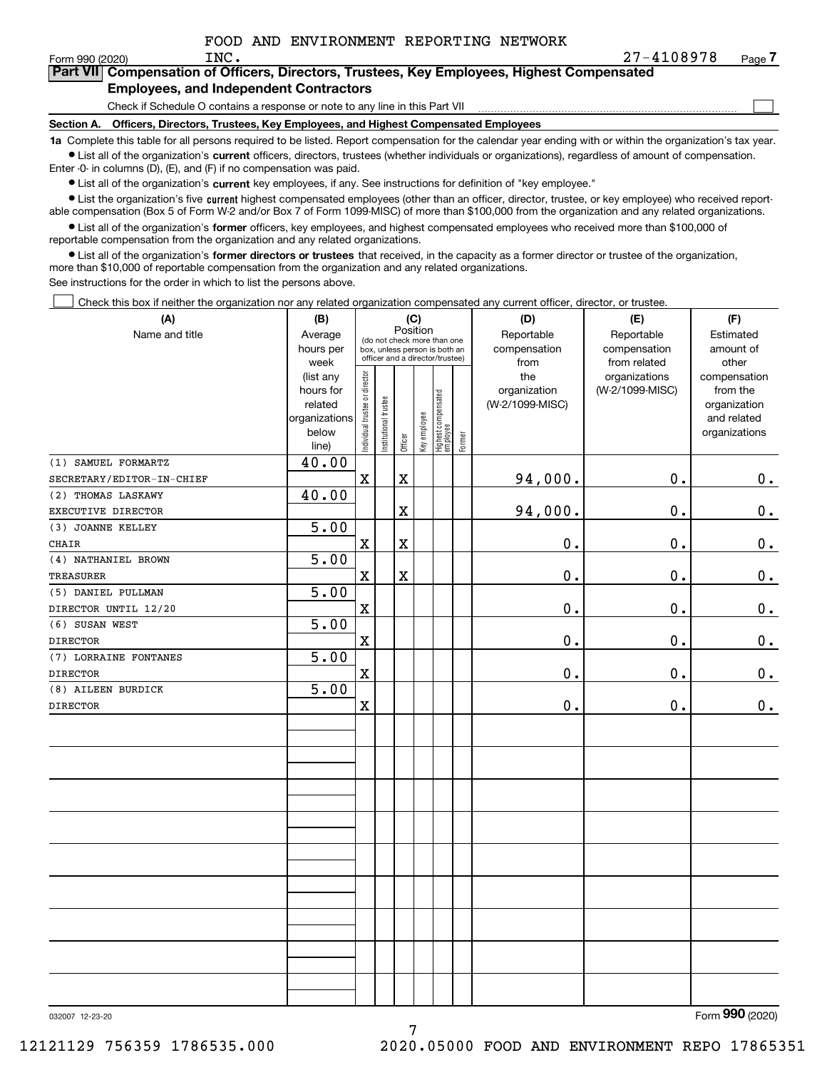$\mathcal{L}^{\text{max}}$ 

| orm 990 (2020) <sup>.</sup> | INC.                                          | 27-4108978                                                                                 | Page $\prime$ |
|-----------------------------|-----------------------------------------------|--------------------------------------------------------------------------------------------|---------------|
|                             |                                               | Part VII Compensation of Officers, Directors, Trustees, Key Employees, Highest Compensated |               |
|                             | <b>Employees, and Independent Contractors</b> |                                                                                            |               |

Check if Schedule O contains a response or note to any line in this Part VII

**Section A. Officers, Directors, Trustees, Key Employees, and Highest Compensated Employees**

**1a**  Complete this table for all persons required to be listed. Report compensation for the calendar year ending with or within the organization's tax year. **•** List all of the organization's current officers, directors, trustees (whether individuals or organizations), regardless of amount of compensation.

Enter -0- in columns (D), (E), and (F) if no compensation was paid.

 $\bullet$  List all of the organization's  $\,$ current key employees, if any. See instructions for definition of "key employee."

**•** List the organization's five current highest compensated employees (other than an officer, director, trustee, or key employee) who received reportable compensation (Box 5 of Form W-2 and/or Box 7 of Form 1099-MISC) of more than \$100,000 from the organization and any related organizations.

**•** List all of the organization's former officers, key employees, and highest compensated employees who received more than \$100,000 of reportable compensation from the organization and any related organizations.

**former directors or trustees**  ¥ List all of the organization's that received, in the capacity as a former director or trustee of the organization, more than \$10,000 of reportable compensation from the organization and any related organizations.

See instructions for the order in which to list the persons above.

Check this box if neither the organization nor any related organization compensated any current officer, director, or trustee.  $\mathcal{L}^{\text{max}}$ 

| (A)                       | (B)            |                                |                       | (C)                     |                                                                                                 |                                   |        | (D)             | (E)             | (F)            |
|---------------------------|----------------|--------------------------------|-----------------------|-------------------------|-------------------------------------------------------------------------------------------------|-----------------------------------|--------|-----------------|-----------------|----------------|
| Name and title            | Average        |                                |                       | Position                |                                                                                                 |                                   |        | Reportable      | Reportable      | Estimated      |
|                           | hours per      |                                |                       |                         | (do not check more than one<br>box, unless person is both an<br>officer and a director/trustee) |                                   |        | compensation    | compensation    | amount of      |
|                           | week           |                                |                       |                         |                                                                                                 |                                   |        | from            | from related    | other          |
|                           | (list any      |                                |                       |                         |                                                                                                 |                                   |        | the             | organizations   | compensation   |
|                           | hours for      |                                |                       |                         |                                                                                                 |                                   |        | organization    | (W-2/1099-MISC) | from the       |
|                           | related        |                                |                       |                         |                                                                                                 |                                   |        | (W-2/1099-MISC) |                 | organization   |
|                           | organizations  |                                |                       |                         |                                                                                                 |                                   |        |                 |                 | and related    |
|                           | below          | Individual trustee or director | Institutional trustee | Officer                 | Key employee                                                                                    | Highest compensated<br>  employee | Former |                 |                 | organizations  |
| (1) SAMUEL FORMARTZ       | line)<br>40.00 |                                |                       |                         |                                                                                                 |                                   |        |                 |                 |                |
| SECRETARY/EDITOR-IN-CHIEF |                | $\mathbf x$                    |                       | X                       |                                                                                                 |                                   |        | 94,000.         | 0.              | $0_{\cdot}$    |
| (2) THOMAS LASKAWY        | 40.00          |                                |                       |                         |                                                                                                 |                                   |        |                 |                 |                |
| EXECUTIVE DIRECTOR        |                |                                |                       | $\overline{\textbf{X}}$ |                                                                                                 |                                   |        | 94,000.         | 0.              | $\mathbf 0$ .  |
| (3) JOANNE KELLEY         | 5.00           |                                |                       |                         |                                                                                                 |                                   |        |                 |                 |                |
| CHAIR                     |                | $\mathbf x$                    |                       | $\mathbf X$             |                                                                                                 |                                   |        | 0.              | 0.              | 0.             |
| (4) NATHANIEL BROWN       | 5.00           |                                |                       |                         |                                                                                                 |                                   |        |                 |                 |                |
| TREASURER                 |                | $\mathbf X$                    |                       | X                       |                                                                                                 |                                   |        | 0.              | 0.              | 0.             |
| (5) DANIEL PULLMAN        | 5.00           |                                |                       |                         |                                                                                                 |                                   |        |                 |                 |                |
| DIRECTOR UNTIL 12/20      |                | $\mathbf X$                    |                       |                         |                                                                                                 |                                   |        | 0.              | 0.              | 0.             |
| (6) SUSAN WEST            | 5.00           |                                |                       |                         |                                                                                                 |                                   |        |                 |                 |                |
| <b>DIRECTOR</b>           |                | $\mathbf x$                    |                       |                         |                                                                                                 |                                   |        | 0.              | 0.              | $\mathbf 0$ .  |
| (7) LORRAINE FONTANES     | 5.00           |                                |                       |                         |                                                                                                 |                                   |        |                 |                 |                |
| <b>DIRECTOR</b>           |                | $\mathbf X$                    |                       |                         |                                                                                                 |                                   |        | $0$ .           | $0$ .           | $\mathbf 0$ .  |
| (8) AILEEN BURDICK        | 5.00           |                                |                       |                         |                                                                                                 |                                   |        |                 |                 |                |
| <b>DIRECTOR</b>           |                | $\mathbf X$                    |                       |                         |                                                                                                 |                                   |        | 0.              | 0.              | 0.             |
|                           |                |                                |                       |                         |                                                                                                 |                                   |        |                 |                 |                |
|                           |                |                                |                       |                         |                                                                                                 |                                   |        |                 |                 |                |
|                           |                |                                |                       |                         |                                                                                                 |                                   |        |                 |                 |                |
|                           |                |                                |                       |                         |                                                                                                 |                                   |        |                 |                 |                |
|                           |                |                                |                       |                         |                                                                                                 |                                   |        |                 |                 |                |
|                           |                |                                |                       |                         |                                                                                                 |                                   |        |                 |                 |                |
|                           |                |                                |                       |                         |                                                                                                 |                                   |        |                 |                 |                |
|                           |                |                                |                       |                         |                                                                                                 |                                   |        |                 |                 |                |
|                           |                |                                |                       |                         |                                                                                                 |                                   |        |                 |                 |                |
|                           |                |                                |                       |                         |                                                                                                 |                                   |        |                 |                 |                |
|                           |                |                                |                       |                         |                                                                                                 |                                   |        |                 |                 |                |
|                           |                |                                |                       |                         |                                                                                                 |                                   |        |                 |                 |                |
|                           |                |                                |                       |                         |                                                                                                 |                                   |        |                 |                 |                |
|                           |                |                                |                       |                         |                                                                                                 |                                   |        |                 |                 |                |
|                           |                |                                |                       |                         |                                                                                                 |                                   |        |                 |                 |                |
|                           |                |                                |                       |                         |                                                                                                 |                                   |        |                 |                 |                |
|                           |                |                                |                       |                         |                                                                                                 |                                   |        |                 |                 | $\overline{2}$ |

7

032007 12-23-20

Form (2020) **990**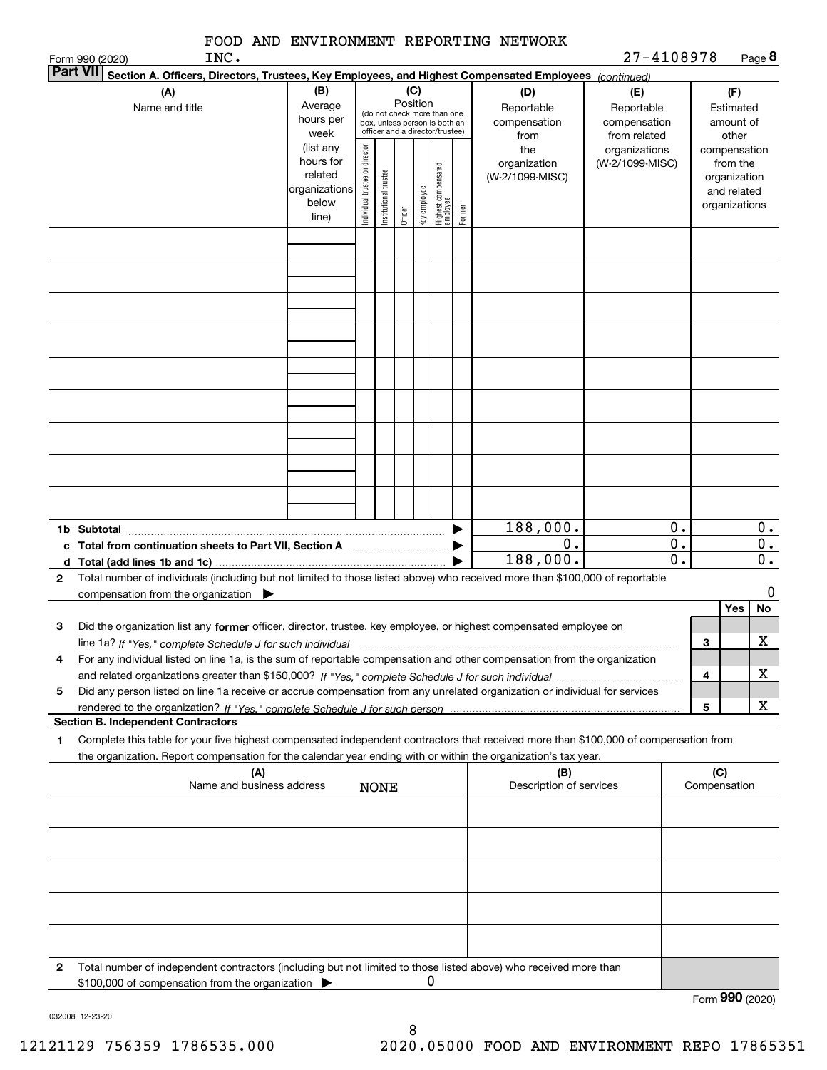| FOOD AND ENVIRONMENT REPORTING NETWORK |  |
|----------------------------------------|--|
|----------------------------------------|--|

| Page 8<br>27-4108978 |
|----------------------|
|----------------------|

|              | INC.<br>Form 990 (2020)                                                                                                                                                                                                                                                                                                                                                                  |                                                                                                             |                                |                       |                     |                     |                                                                                                                                    |        |                                                                                     | 27-4108978                                                                            |                                            |                                                                                                                    | Page 8                                              |
|--------------|------------------------------------------------------------------------------------------------------------------------------------------------------------------------------------------------------------------------------------------------------------------------------------------------------------------------------------------------------------------------------------------|-------------------------------------------------------------------------------------------------------------|--------------------------------|-----------------------|---------------------|---------------------|------------------------------------------------------------------------------------------------------------------------------------|--------|-------------------------------------------------------------------------------------|---------------------------------------------------------------------------------------|--------------------------------------------|--------------------------------------------------------------------------------------------------------------------|-----------------------------------------------------|
|              | <b>Part VII</b><br>Section A. Officers, Directors, Trustees, Key Employees, and Highest Compensated Employees (continued)                                                                                                                                                                                                                                                                |                                                                                                             |                                |                       |                     |                     |                                                                                                                                    |        |                                                                                     |                                                                                       |                                            |                                                                                                                    |                                                     |
|              | (A)<br>Name and title                                                                                                                                                                                                                                                                                                                                                                    | (B)<br>Average<br>hours per<br>week<br>(list any<br>hours for<br>related<br>organizations<br>below<br>line) | Individual trustee or director | Institutional trustee | Position<br>Officer | (C)<br>Key employee | (do not check more than one<br>box, unless person is both an<br>officer and a director/trustee)<br>Highest compensated<br>employee | Former | (D)<br>Reportable<br>compensation<br>from<br>the<br>organization<br>(W-2/1099-MISC) | (E)<br>Reportable<br>compensation<br>from related<br>organizations<br>(W-2/1099-MISC) |                                            | (F)<br>Estimated<br>amount of<br>other<br>compensation<br>from the<br>organization<br>and related<br>organizations |                                                     |
|              |                                                                                                                                                                                                                                                                                                                                                                                          |                                                                                                             |                                |                       |                     |                     |                                                                                                                                    |        |                                                                                     |                                                                                       |                                            |                                                                                                                    |                                                     |
|              |                                                                                                                                                                                                                                                                                                                                                                                          |                                                                                                             |                                |                       |                     |                     |                                                                                                                                    |        |                                                                                     |                                                                                       |                                            |                                                                                                                    |                                                     |
|              |                                                                                                                                                                                                                                                                                                                                                                                          |                                                                                                             |                                |                       |                     |                     |                                                                                                                                    |        |                                                                                     |                                                                                       |                                            |                                                                                                                    |                                                     |
|              |                                                                                                                                                                                                                                                                                                                                                                                          |                                                                                                             |                                |                       |                     |                     |                                                                                                                                    |        |                                                                                     |                                                                                       |                                            |                                                                                                                    |                                                     |
|              |                                                                                                                                                                                                                                                                                                                                                                                          |                                                                                                             |                                |                       |                     |                     |                                                                                                                                    |        |                                                                                     |                                                                                       |                                            |                                                                                                                    |                                                     |
|              |                                                                                                                                                                                                                                                                                                                                                                                          |                                                                                                             |                                |                       |                     |                     |                                                                                                                                    |        |                                                                                     |                                                                                       |                                            |                                                                                                                    |                                                     |
| d            | 1b Subtotal                                                                                                                                                                                                                                                                                                                                                                              |                                                                                                             |                                |                       |                     |                     |                                                                                                                                    |        | 188,000.<br>$\overline{0}$ .<br>188,000.                                            |                                                                                       | 0.<br>$\overline{0}$ .<br>$\overline{0}$ . |                                                                                                                    | 0.<br>$\overline{0}$ .<br>$\overline{\mathbf{0}}$ . |
| $\mathbf{2}$ | Total number of individuals (including but not limited to those listed above) who received more than \$100,000 of reportable<br>compensation from the organization                                                                                                                                                                                                                       |                                                                                                             |                                |                       |                     |                     |                                                                                                                                    |        |                                                                                     |                                                                                       |                                            | Yes                                                                                                                | 0<br>No                                             |
| 3<br>4       | Did the organization list any former officer, director, trustee, key employee, or highest compensated employee on<br>line 1a? If "Yes," complete Schedule J for such individual manufactured contained and the Yes," complete Schedule J for such individual<br>For any individual listed on line 1a, is the sum of reportable compensation and other compensation from the organization |                                                                                                             |                                |                       |                     |                     |                                                                                                                                    |        |                                                                                     |                                                                                       |                                            | 3                                                                                                                  | x                                                   |
| 5            | Did any person listed on line 1a receive or accrue compensation from any unrelated organization or individual for services                                                                                                                                                                                                                                                               |                                                                                                             |                                |                       |                     |                     |                                                                                                                                    |        |                                                                                     |                                                                                       |                                            | 4                                                                                                                  | х                                                   |
|              | <b>Section B. Independent Contractors</b>                                                                                                                                                                                                                                                                                                                                                |                                                                                                             |                                |                       |                     |                     |                                                                                                                                    |        |                                                                                     |                                                                                       |                                            | 5                                                                                                                  | x                                                   |
| 1            | Complete this table for your five highest compensated independent contractors that received more than \$100,000 of compensation from<br>the organization. Report compensation for the calendar year ending with or within the organization's tax year.                                                                                                                                   |                                                                                                             |                                |                       |                     |                     |                                                                                                                                    |        |                                                                                     |                                                                                       |                                            |                                                                                                                    |                                                     |
|              | (A)<br>Name and business address                                                                                                                                                                                                                                                                                                                                                         |                                                                                                             |                                | <b>NONE</b>           |                     |                     |                                                                                                                                    |        | (B)<br>Description of services                                                      |                                                                                       |                                            | (C)<br>Compensation                                                                                                |                                                     |
|              |                                                                                                                                                                                                                                                                                                                                                                                          |                                                                                                             |                                |                       |                     |                     |                                                                                                                                    |        |                                                                                     |                                                                                       |                                            |                                                                                                                    |                                                     |
|              |                                                                                                                                                                                                                                                                                                                                                                                          |                                                                                                             |                                |                       |                     |                     |                                                                                                                                    |        |                                                                                     |                                                                                       |                                            |                                                                                                                    |                                                     |
|              |                                                                                                                                                                                                                                                                                                                                                                                          |                                                                                                             |                                |                       |                     |                     |                                                                                                                                    |        |                                                                                     |                                                                                       |                                            |                                                                                                                    |                                                     |
| 2            | Total number of independent contractors (including but not limited to those listed above) who received more than<br>\$100,000 of compensation from the organization                                                                                                                                                                                                                      |                                                                                                             |                                |                       |                     | 0                   |                                                                                                                                    |        |                                                                                     |                                                                                       |                                            |                                                                                                                    |                                                     |
|              |                                                                                                                                                                                                                                                                                                                                                                                          |                                                                                                             |                                |                       |                     |                     |                                                                                                                                    |        |                                                                                     |                                                                                       |                                            | Form 990 (2020)                                                                                                    |                                                     |

032008 12-23-20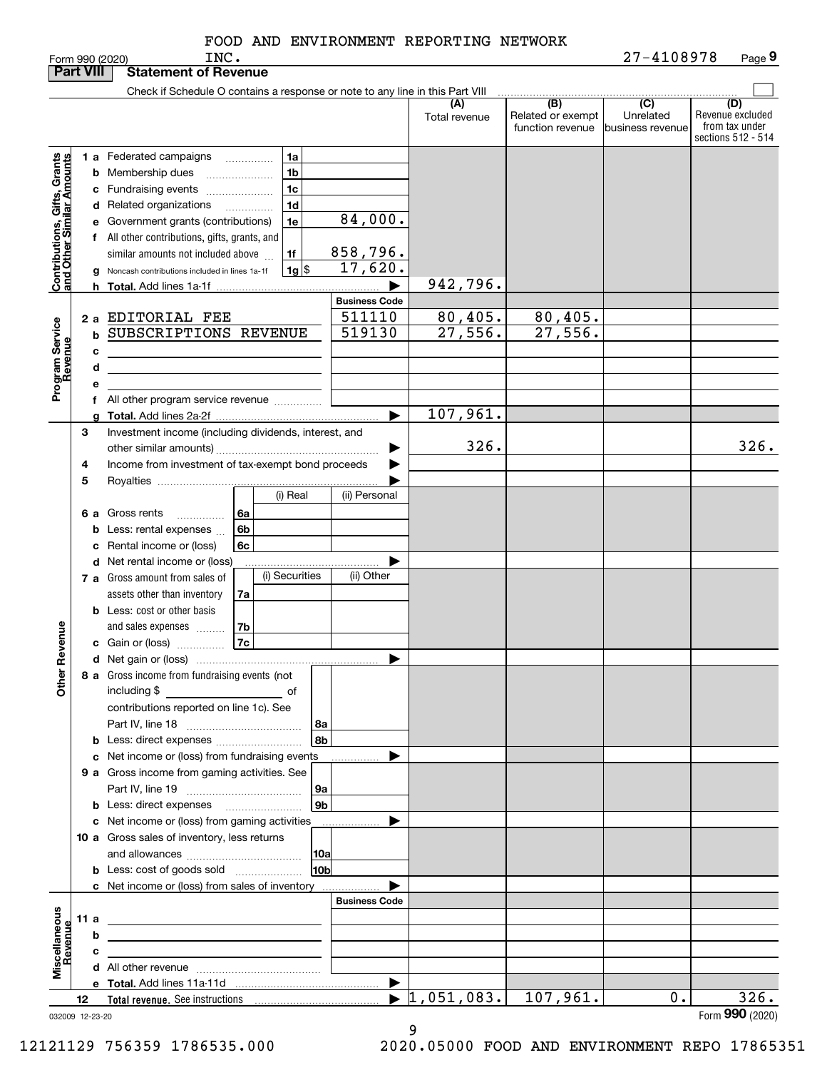| <b>Part VIII</b>                                                                         |             |                         | <b>Statement of Revenue</b>                                                                                                                                                                                                                                                                                                     |                 |                                                                                |                                                                            |                                  |                                              |                                                 |                                                                 |
|------------------------------------------------------------------------------------------|-------------|-------------------------|---------------------------------------------------------------------------------------------------------------------------------------------------------------------------------------------------------------------------------------------------------------------------------------------------------------------------------|-----------------|--------------------------------------------------------------------------------|----------------------------------------------------------------------------|----------------------------------|----------------------------------------------|-------------------------------------------------|-----------------------------------------------------------------|
|                                                                                          |             |                         | Check if Schedule O contains a response or note to any line in this Part VIII                                                                                                                                                                                                                                                   |                 |                                                                                |                                                                            |                                  |                                              |                                                 |                                                                 |
|                                                                                          |             |                         |                                                                                                                                                                                                                                                                                                                                 |                 |                                                                                |                                                                            | (A)<br>Total revenue             | (B)<br>Related or exempt<br>function revenue | $\overline{C}$<br>Unrelated<br>business revenue | (D)<br>Revenue excluded<br>from tax under<br>sections 512 - 514 |
| Contributions, Gifts, Grants<br>Iand Other Similar Amounts<br>Program Service<br>Revenue |             | h.<br>2a<br>b<br>с<br>d | 1 a Federated campaigns<br><b>b</b> Membership dues<br>c Fundraising events<br>d Related organizations<br>e Government grants (contributions)<br>f All other contributions, gifts, grants, and<br>similar amounts not included above<br>Noncash contributions included in lines 1a-1f<br>EDITORIAL FEE<br>SUBSCRIPTIONS REVENUE |                 | 1a<br>1 <sub>b</sub><br>1c<br>1 <sub>d</sub><br>1e<br>1f<br>$1g$ $\frac{1}{3}$ | 84,000.<br>858,796.<br>17,620.<br><b>Business Code</b><br>511110<br>519130 | 942,796.<br>80,405.<br>27,556.   | 80,405.<br>27,556.                           |                                                 |                                                                 |
|                                                                                          |             | е                       |                                                                                                                                                                                                                                                                                                                                 |                 |                                                                                |                                                                            |                                  |                                              |                                                 |                                                                 |
|                                                                                          |             |                         | f All other program service revenue                                                                                                                                                                                                                                                                                             |                 |                                                                                |                                                                            |                                  |                                              |                                                 |                                                                 |
|                                                                                          |             |                         |                                                                                                                                                                                                                                                                                                                                 |                 |                                                                                | ▶                                                                          | 107,961.                         |                                              |                                                 |                                                                 |
|                                                                                          | 3<br>4<br>5 |                         | Investment income (including dividends, interest, and<br>Income from investment of tax-exempt bond proceeds                                                                                                                                                                                                                     |                 |                                                                                |                                                                            | 326.                             |                                              |                                                 | 326.                                                            |
|                                                                                          |             |                         |                                                                                                                                                                                                                                                                                                                                 |                 | (i) Real                                                                       | (ii) Personal                                                              |                                  |                                              |                                                 |                                                                 |
| Revenue<br>늦                                                                             | 6а          | b<br>c                  | Gross rents<br>.<br>Less: rental expenses<br>Rental income or (loss)                                                                                                                                                                                                                                                            | 6a<br>6b<br>6c  |                                                                                |                                                                            |                                  |                                              |                                                 |                                                                 |
|                                                                                          |             |                         | d Net rental income or (loss)<br>7 a Gross amount from sales of<br>assets other than inventory                                                                                                                                                                                                                                  | 7a              | (i) Securities                                                                 | (ii) Other                                                                 |                                  |                                              |                                                 |                                                                 |
|                                                                                          |             |                         | <b>b</b> Less: cost or other basis<br>and sales expenses<br>c Gain or (loss)<br>8 a Gross income from fundraising events (not                                                                                                                                                                                                   | 7b<br><b>7c</b> |                                                                                |                                                                            |                                  |                                              |                                                 |                                                                 |
| <b>Other</b>                                                                             |             |                         | including \$<br>contributions reported on line 1c). See<br>b Less: direct expenses                                                                                                                                                                                                                                              |                 | 8a<br>8b                                                                       |                                                                            |                                  |                                              |                                                 |                                                                 |
|                                                                                          |             |                         | c Net income or (loss) from fundraising events<br>9 a Gross income from gaming activities. See                                                                                                                                                                                                                                  |                 | 9a<br>9 <sub>b</sub>                                                           |                                                                            |                                  |                                              |                                                 |                                                                 |
|                                                                                          |             |                         | c Net income or (loss) from gaming activities                                                                                                                                                                                                                                                                                   |                 |                                                                                | .                                                                          |                                  |                                              |                                                 |                                                                 |
|                                                                                          |             |                         | 10 a Gross sales of inventory, less returns<br><b>b</b> Less: cost of goods sold                                                                                                                                                                                                                                                |                 | 10a<br>10bl                                                                    |                                                                            |                                  |                                              |                                                 |                                                                 |
|                                                                                          |             |                         | c Net income or (loss) from sales of inventory                                                                                                                                                                                                                                                                                  |                 |                                                                                |                                                                            |                                  |                                              |                                                 |                                                                 |
|                                                                                          |             |                         |                                                                                                                                                                                                                                                                                                                                 |                 |                                                                                | <b>Business Code</b>                                                       |                                  |                                              |                                                 |                                                                 |
|                                                                                          | 11 a        |                         | the contract of the contract of the contract of the contract of the contract of                                                                                                                                                                                                                                                 |                 |                                                                                |                                                                            |                                  |                                              |                                                 |                                                                 |
|                                                                                          |             | b                       |                                                                                                                                                                                                                                                                                                                                 |                 |                                                                                |                                                                            |                                  |                                              |                                                 |                                                                 |
| Miscellaneous<br>Revenue                                                                 |             | с                       | the control of the control of the control of the control of the control of                                                                                                                                                                                                                                                      |                 |                                                                                |                                                                            |                                  |                                              |                                                 |                                                                 |
|                                                                                          |             |                         |                                                                                                                                                                                                                                                                                                                                 |                 |                                                                                |                                                                            |                                  |                                              |                                                 |                                                                 |
|                                                                                          |             |                         |                                                                                                                                                                                                                                                                                                                                 |                 |                                                                                | $\blacktriangleright$                                                      |                                  |                                              |                                                 | $\overline{326}$ .                                              |
| 032009 12-23-20                                                                          | 12          |                         |                                                                                                                                                                                                                                                                                                                                 |                 |                                                                                |                                                                            | $\blacktriangleright$ 1,051,083. | 107,961.                                     | $0$ .                                           | Form 990 (2020)                                                 |

9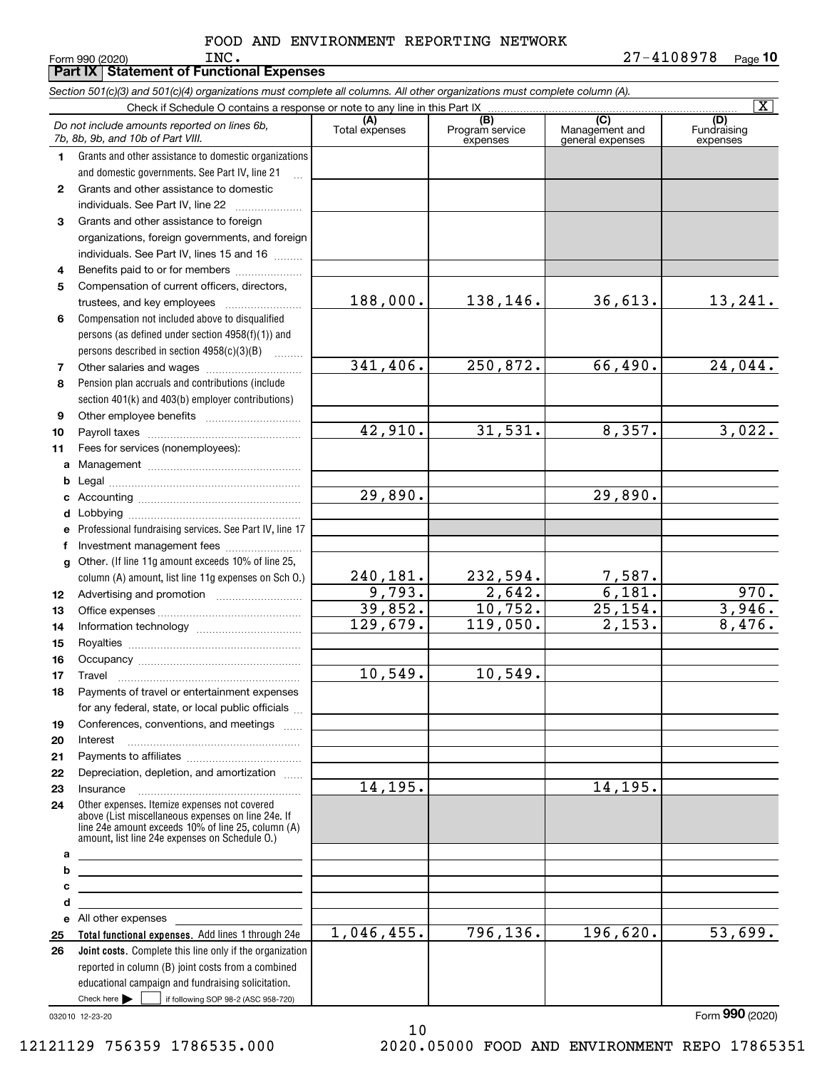|          | Part IX   Statement of Functional Expenses                                                                                                                                                                 |                       |                                    |                                           |                                |
|----------|------------------------------------------------------------------------------------------------------------------------------------------------------------------------------------------------------------|-----------------------|------------------------------------|-------------------------------------------|--------------------------------|
|          | Section 501(c)(3) and 501(c)(4) organizations must complete all columns. All other organizations must complete column (A).                                                                                 |                       |                                    |                                           |                                |
|          | Check if Schedule O contains a response or note to any line in this Part IX                                                                                                                                |                       |                                    |                                           | $\overline{\text{X}}$          |
|          | Do not include amounts reported on lines 6b,<br>7b, 8b, 9b, and 10b of Part VIII.                                                                                                                          | (A)<br>Total expenses | (B)<br>Program service<br>expenses | (C)<br>Management and<br>general expenses | (D)<br>Fundraising<br>expenses |
| 1.       | Grants and other assistance to domestic organizations                                                                                                                                                      |                       |                                    |                                           |                                |
|          | and domestic governments. See Part IV, line 21                                                                                                                                                             |                       |                                    |                                           |                                |
| 2        | Grants and other assistance to domestic                                                                                                                                                                    |                       |                                    |                                           |                                |
|          | individuals. See Part IV, line 22                                                                                                                                                                          |                       |                                    |                                           |                                |
| З        | Grants and other assistance to foreign                                                                                                                                                                     |                       |                                    |                                           |                                |
|          | organizations, foreign governments, and foreign                                                                                                                                                            |                       |                                    |                                           |                                |
|          | individuals. See Part IV, lines 15 and 16                                                                                                                                                                  |                       |                                    |                                           |                                |
| 4        | Benefits paid to or for members                                                                                                                                                                            |                       |                                    |                                           |                                |
| 5        | Compensation of current officers, directors,                                                                                                                                                               |                       |                                    |                                           |                                |
|          |                                                                                                                                                                                                            | 188,000.              | 138,146.                           | 36,613.                                   | 13,241.                        |
| 6        | Compensation not included above to disqualified                                                                                                                                                            |                       |                                    |                                           |                                |
|          | persons (as defined under section 4958(f)(1)) and                                                                                                                                                          |                       |                                    |                                           |                                |
| 7        | persons described in section 4958(c)(3)(B)                                                                                                                                                                 | 341,406.              | 250,872.                           | 66,490.                                   | 24,044.                        |
| 8        | Pension plan accruals and contributions (include                                                                                                                                                           |                       |                                    |                                           |                                |
|          | section 401(k) and 403(b) employer contributions)                                                                                                                                                          |                       |                                    |                                           |                                |
| 9        |                                                                                                                                                                                                            |                       |                                    |                                           |                                |
| 10       |                                                                                                                                                                                                            | 42,910.               | 31,531.                            | 8,357.                                    | 3,022.                         |
| 11       | Fees for services (nonemployees):                                                                                                                                                                          |                       |                                    |                                           |                                |
|          |                                                                                                                                                                                                            |                       |                                    |                                           |                                |
| b        |                                                                                                                                                                                                            |                       |                                    |                                           |                                |
| c        |                                                                                                                                                                                                            | 29,890.               |                                    | 29,890.                                   |                                |
| d        |                                                                                                                                                                                                            |                       |                                    |                                           |                                |
|          | e Professional fundraising services. See Part IV, line 17                                                                                                                                                  |                       |                                    |                                           |                                |
| f        | Investment management fees                                                                                                                                                                                 |                       |                                    |                                           |                                |
|          | g Other. (If line 11g amount exceeds 10% of line 25,                                                                                                                                                       |                       |                                    |                                           |                                |
|          | column (A) amount, list line 11g expenses on Sch O.)                                                                                                                                                       | 240,181.              | 232,594.                           | 7,587.                                    |                                |
| 12       |                                                                                                                                                                                                            | 9,793.                | 2,642.                             | 6,181.                                    | 970.                           |
| 13       |                                                                                                                                                                                                            | 39,852.<br>129,679.   | 10,752.<br>119,050.                | 25,154.<br>2,153.                         | 3,946.<br>8,476.               |
| 14       |                                                                                                                                                                                                            |                       |                                    |                                           |                                |
| 15       |                                                                                                                                                                                                            |                       |                                    |                                           |                                |
| 16       |                                                                                                                                                                                                            | 10,549.               | 10,549.                            |                                           |                                |
| 17<br>18 | Travel<br>Payments of travel or entertainment expenses                                                                                                                                                     |                       |                                    |                                           |                                |
|          | for any federal, state, or local public officials                                                                                                                                                          |                       |                                    |                                           |                                |
| 19       | Conferences, conventions, and meetings                                                                                                                                                                     |                       |                                    |                                           |                                |
| 20       | Interest                                                                                                                                                                                                   |                       |                                    |                                           |                                |
| 21       |                                                                                                                                                                                                            |                       |                                    |                                           |                                |
| 22       | Depreciation, depletion, and amortization                                                                                                                                                                  |                       |                                    |                                           |                                |
| 23       |                                                                                                                                                                                                            | 14,195.               |                                    | 14,195.                                   |                                |
| 24       | Other expenses. Itemize expenses not covered<br>above (List miscellaneous expenses on line 24e. If<br>line 24e amount exceeds 10% of line 25, column (A)<br>amount. list line 24e expenses on Schedule O.) |                       |                                    |                                           |                                |
| а        |                                                                                                                                                                                                            |                       |                                    |                                           |                                |
| b        |                                                                                                                                                                                                            |                       |                                    |                                           |                                |
| с        |                                                                                                                                                                                                            |                       |                                    |                                           |                                |
| d        |                                                                                                                                                                                                            |                       |                                    |                                           |                                |
| 25       | e All other expenses expenses<br>Total functional expenses. Add lines 1 through 24e                                                                                                                        | 1,046,455.            | 796,136.                           | 196,620.                                  | 53,699.                        |
| 26       | Joint costs. Complete this line only if the organization                                                                                                                                                   |                       |                                    |                                           |                                |
|          | reported in column (B) joint costs from a combined                                                                                                                                                         |                       |                                    |                                           |                                |
|          | educational campaign and fundraising solicitation.                                                                                                                                                         |                       |                                    |                                           |                                |

10

032010 12-23-20

Check here  $\blacktriangleright$ 

Check here  $\bullet$  if following SOP 98-2 (ASC 958-720)

Form (2020) **990**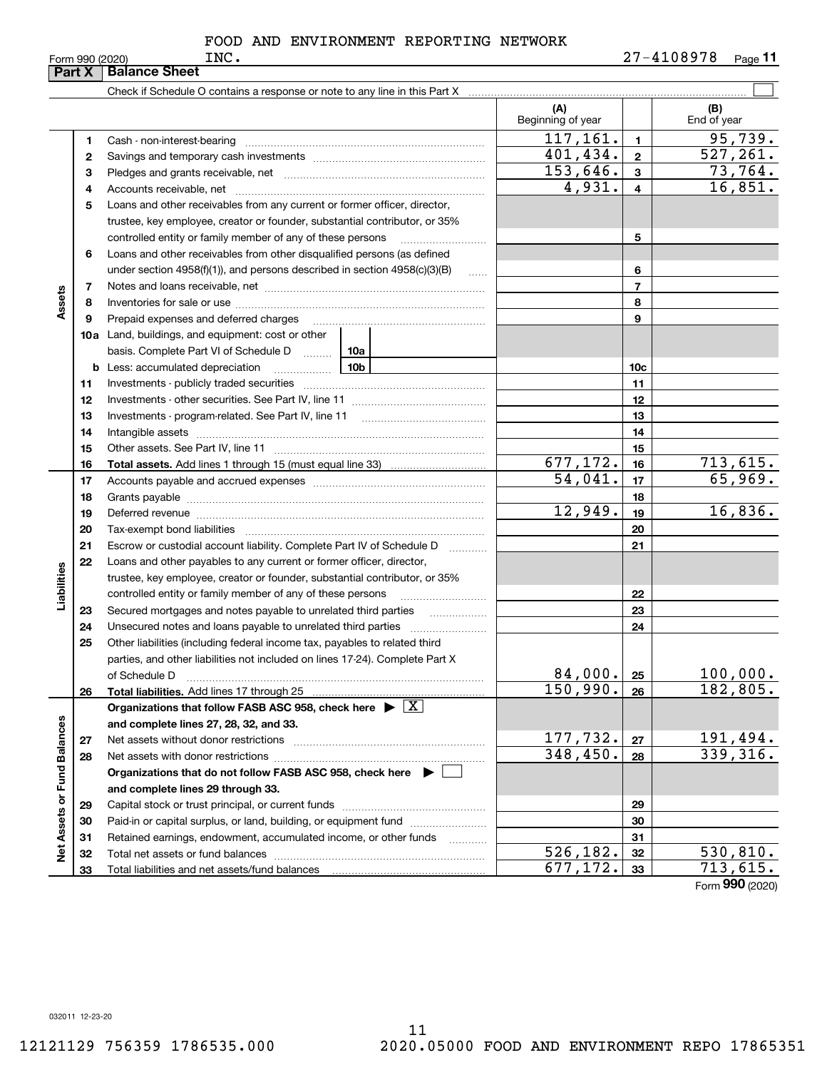|                             | Part X   | <b>Balance Sheet</b>                                                                                                                                                                                                           |                          |                         |                    |
|-----------------------------|----------|--------------------------------------------------------------------------------------------------------------------------------------------------------------------------------------------------------------------------------|--------------------------|-------------------------|--------------------|
|                             |          |                                                                                                                                                                                                                                |                          |                         |                    |
|                             |          |                                                                                                                                                                                                                                | (A)<br>Beginning of year |                         | (B)<br>End of year |
|                             | 1        |                                                                                                                                                                                                                                | 117, 161.                | $\mathbf{1}$            | 95,739.            |
|                             | 2        |                                                                                                                                                                                                                                | 401,434.                 | $\mathbf{2}$            | 527, 261.          |
|                             | з        |                                                                                                                                                                                                                                | 153,646.                 | 3                       | 73,764.            |
|                             | 4        |                                                                                                                                                                                                                                | 4,931.                   | $\overline{\mathbf{4}}$ | 16,851.            |
|                             | 5        | Loans and other receivables from any current or former officer, director,                                                                                                                                                      |                          |                         |                    |
|                             |          | trustee, key employee, creator or founder, substantial contributor, or 35%                                                                                                                                                     |                          |                         |                    |
|                             |          | controlled entity or family member of any of these persons                                                                                                                                                                     |                          | 5                       |                    |
|                             | 6        | Loans and other receivables from other disqualified persons (as defined                                                                                                                                                        |                          |                         |                    |
|                             |          | under section $4958(f)(1)$ , and persons described in section $4958(c)(3)(B)$<br>1.1.1.1                                                                                                                                       |                          | 6                       |                    |
|                             | 7        |                                                                                                                                                                                                                                |                          | $\overline{7}$          |                    |
| Assets                      | 8        |                                                                                                                                                                                                                                |                          | 8                       |                    |
|                             | 9        | Prepaid expenses and deferred charges                                                                                                                                                                                          |                          | 9                       |                    |
|                             |          | <b>10a</b> Land, buildings, and equipment: cost or other                                                                                                                                                                       |                          |                         |                    |
|                             |          | basis. Complete Part VI of Schedule D    10a                                                                                                                                                                                   |                          |                         |                    |
|                             | b        | 10b<br>Less: accumulated depreciation<br>$\ldots \ldots \ldots \ldots$                                                                                                                                                         |                          | 10 <sub>c</sub>         |                    |
|                             | 11       |                                                                                                                                                                                                                                |                          | 11                      |                    |
|                             | 12       |                                                                                                                                                                                                                                |                          | 12                      |                    |
|                             | 13       |                                                                                                                                                                                                                                |                          | 13                      |                    |
|                             | 14       |                                                                                                                                                                                                                                |                          | 14                      |                    |
|                             | 15       |                                                                                                                                                                                                                                |                          | 15                      |                    |
|                             | 16       |                                                                                                                                                                                                                                | 677,172.                 | 16                      | 713,615.           |
|                             | 17       |                                                                                                                                                                                                                                | 54,041.                  | 17                      | 65,969.            |
|                             | 18       |                                                                                                                                                                                                                                |                          | 18                      |                    |
|                             | 19       | Deferred revenue manual contracts and contracts are all the contracts and contracts are contracted and contracts are contracted and contract are contracted and contract are contracted and contract are contracted and contra | 12,949.                  | 19                      | 16,836.            |
|                             | 20       |                                                                                                                                                                                                                                |                          | 20                      |                    |
|                             | 21       | Escrow or custodial account liability. Complete Part IV of Schedule D                                                                                                                                                          |                          | 21                      |                    |
|                             | 22       | Loans and other payables to any current or former officer, director,                                                                                                                                                           |                          |                         |                    |
|                             |          | trustee, key employee, creator or founder, substantial contributor, or 35%                                                                                                                                                     |                          |                         |                    |
| Liabilities                 |          | controlled entity or family member of any of these persons                                                                                                                                                                     |                          | 22                      |                    |
|                             | 23       | Secured mortgages and notes payable to unrelated third parties                                                                                                                                                                 |                          | 23                      |                    |
|                             | 24       |                                                                                                                                                                                                                                |                          | 24                      |                    |
|                             | 25       | Other liabilities (including federal income tax, payables to related third                                                                                                                                                     |                          |                         |                    |
|                             |          | parties, and other liabilities not included on lines 17-24). Complete Part X                                                                                                                                                   |                          |                         |                    |
|                             |          | of Schedule D                                                                                                                                                                                                                  | 84,000.                  | 25                      | 100,000.           |
|                             | 26       | Total liabilities. Add lines 17 through 25                                                                                                                                                                                     | 150,990.                 | 26                      | 182,805.           |
|                             |          | Organizations that follow FASB ASC 958, check here $\blacktriangleright \boxed{X}$                                                                                                                                             |                          |                         |                    |
|                             |          | and complete lines 27, 28, 32, and 33.                                                                                                                                                                                         | 177,732.                 |                         | 191,494.           |
|                             | 27       |                                                                                                                                                                                                                                | 348,450.                 | 27                      | 339,316.           |
|                             | 28       |                                                                                                                                                                                                                                |                          | 28                      |                    |
|                             |          | Organizations that do not follow FASB ASC 958, check here $\blacktriangleright$                                                                                                                                                |                          |                         |                    |
|                             |          | and complete lines 29 through 33.                                                                                                                                                                                              |                          | 29                      |                    |
|                             | 29<br>30 | Paid-in or capital surplus, or land, building, or equipment fund                                                                                                                                                               |                          | 30                      |                    |
|                             | 31       | Retained earnings, endowment, accumulated income, or other funds                                                                                                                                                               |                          | 31                      |                    |
| Net Assets or Fund Balances | 32       | .                                                                                                                                                                                                                              | $\overline{526,182}$ .   | 32                      | 530,810.           |
|                             | 33       |                                                                                                                                                                                                                                | 677,172.                 | 33                      | 713,615.           |
|                             |          |                                                                                                                                                                                                                                |                          |                         |                    |

Form (2020) **990**

032011 12-23-20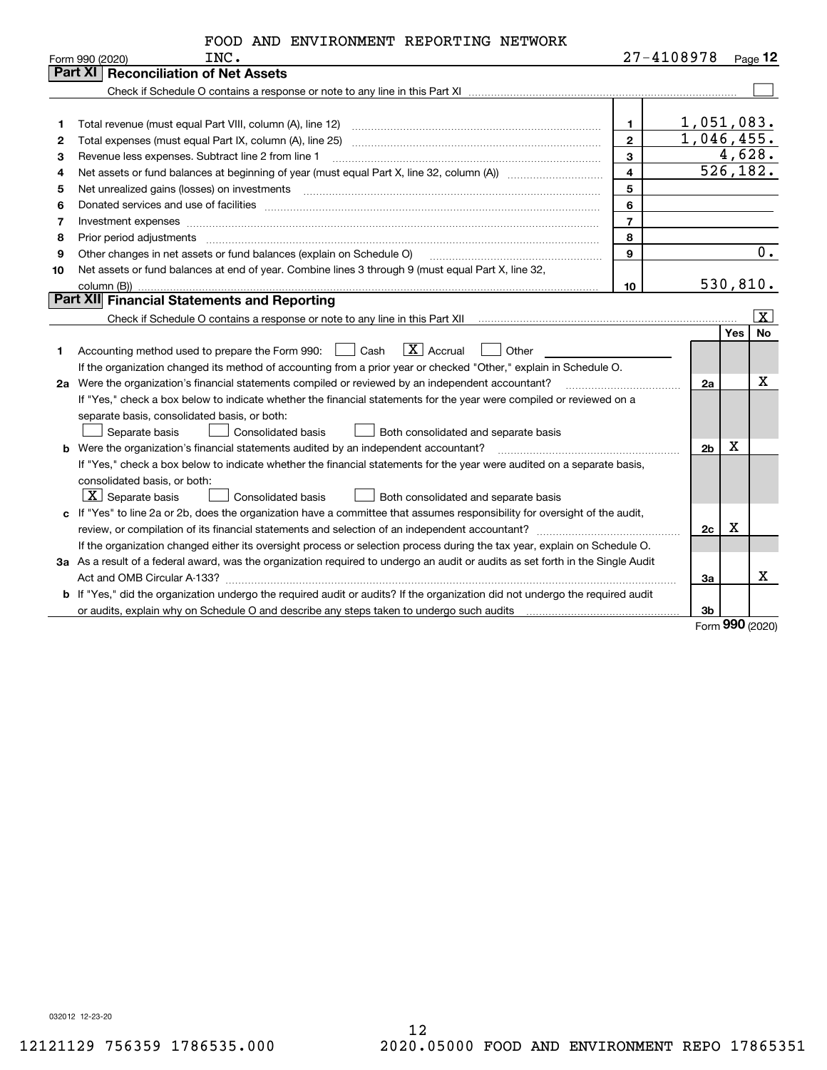|      | FOOD AND ENVIRONMENT REPORTING NETWORK |  |                |
|------|----------------------------------------|--|----------------|
| ר גד |                                        |  | $77 - 1108978$ |

|    | Form 990 (2020)<br>INC.                                                                                                         |                | $21 - 4108978$ |     | Page 12            |
|----|---------------------------------------------------------------------------------------------------------------------------------|----------------|----------------|-----|--------------------|
|    | Part XII<br><b>Reconciliation of Net Assets</b>                                                                                 |                |                |     |                    |
|    |                                                                                                                                 |                |                |     |                    |
|    |                                                                                                                                 |                |                |     |                    |
| 1  |                                                                                                                                 | $\mathbf 1$    | 1,051,083.     |     |                    |
| 2  | Total expenses (must equal Part IX, column (A), line 25)                                                                        | $\overline{2}$ | 1,046,455.     |     |                    |
| з  | Revenue less expenses. Subtract line 2 from line 1                                                                              | $\mathbf{3}$   |                |     | 4,628.             |
| 4  |                                                                                                                                 | $\overline{4}$ | 526, 182.      |     |                    |
| 5  |                                                                                                                                 | 5              |                |     |                    |
| 6  |                                                                                                                                 | 6              |                |     |                    |
| 7  | Investment expenses www.communication.com/www.communication.com/www.communication.com/www.com                                   | $\overline{7}$ |                |     |                    |
| 8  | Prior period adjustments                                                                                                        | 8              |                |     |                    |
| 9  | Other changes in net assets or fund balances (explain on Schedule O)                                                            | 9              |                |     | $0$ .              |
| 10 | Net assets or fund balances at end of year. Combine lines 3 through 9 (must equal Part X, line 32,                              |                |                |     |                    |
|    | column (B))                                                                                                                     | 10             | 530, 810.      |     |                    |
|    | Part XII Financial Statements and Reporting                                                                                     |                |                |     |                    |
|    |                                                                                                                                 |                |                |     | $\boxed{\text{X}}$ |
|    |                                                                                                                                 |                |                | Yes | No                 |
| 1. | $\boxed{\text{X}}$ Accrual<br>Accounting method used to prepare the Form 990: <u>[</u> Cash<br>Other                            |                |                |     |                    |
|    | If the organization changed its method of accounting from a prior year or checked "Other," explain in Schedule O.               |                |                |     |                    |
|    | 2a Were the organization's financial statements compiled or reviewed by an independent accountant?                              |                | 2a             |     | X                  |
|    | If "Yes," check a box below to indicate whether the financial statements for the year were compiled or reviewed on a            |                |                |     |                    |
|    | separate basis, consolidated basis, or both:                                                                                    |                |                |     |                    |
|    | Both consolidated and separate basis<br>Separate basis<br>Consolidated basis                                                    |                |                |     |                    |
|    | <b>b</b> Were the organization's financial statements audited by an independent accountant?                                     |                | 2b             | X   |                    |
|    | If "Yes," check a box below to indicate whether the financial statements for the year were audited on a separate basis,         |                |                |     |                    |
|    | consolidated basis, or both:                                                                                                    |                |                |     |                    |
|    | $\overline{\mathbf{X}}$ Separate basis<br>Consolidated basis<br>Both consolidated and separate basis                            |                |                |     |                    |
|    | c If "Yes" to line 2a or 2b, does the organization have a committee that assumes responsibility for oversight of the audit,     |                |                |     |                    |
|    |                                                                                                                                 |                | 2c             | X   |                    |
|    | If the organization changed either its oversight process or selection process during the tax year, explain on Schedule O.       |                |                |     |                    |
|    | 3a As a result of a federal award, was the organization required to undergo an audit or audits as set forth in the Single Audit |                |                |     |                    |
|    |                                                                                                                                 |                | За             |     | x                  |
|    | b If "Yes," did the organization undergo the required audit or audits? If the organization did not undergo the required audit   |                |                |     |                    |
|    |                                                                                                                                 |                | 3b             |     |                    |

Form (2020) **990**

032012 12-23-20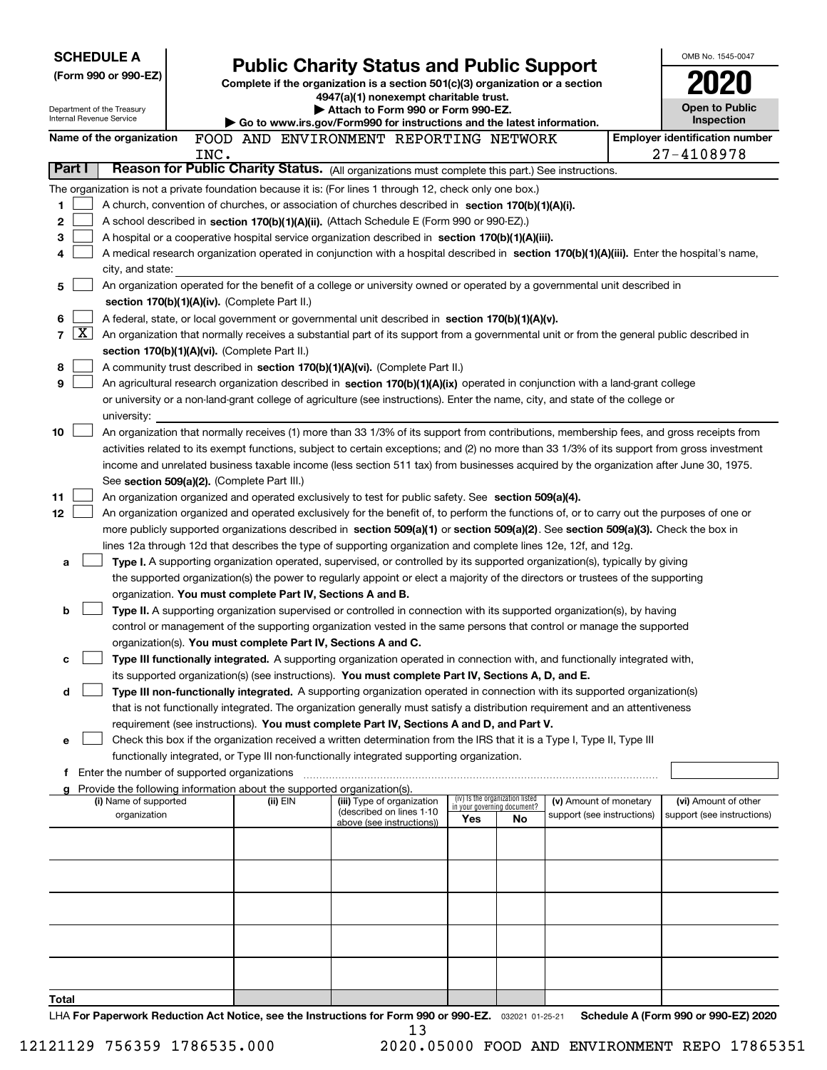| <b>SCHEDULE A</b> |                                                        |      |                                                                                                                                  |                                                                                                                                                                                                                                                                                          |                                     |                                 |                            |  | OMB No. 1545-0047                     |  |
|-------------------|--------------------------------------------------------|------|----------------------------------------------------------------------------------------------------------------------------------|------------------------------------------------------------------------------------------------------------------------------------------------------------------------------------------------------------------------------------------------------------------------------------------|-------------------------------------|---------------------------------|----------------------------|--|---------------------------------------|--|
|                   | (Form 990 or 990-EZ)                                   |      | <b>Public Charity Status and Public Support</b><br>Complete if the organization is a section 501(c)(3) organization or a section |                                                                                                                                                                                                                                                                                          |                                     |                                 |                            |  |                                       |  |
|                   |                                                        |      |                                                                                                                                  | 4947(a)(1) nonexempt charitable trust.<br>Attach to Form 990 or Form 990-EZ.                                                                                                                                                                                                             |                                     |                                 |                            |  |                                       |  |
|                   | Department of the Treasury<br>Internal Revenue Service |      | Go to www.irs.gov/Form990 for instructions and the latest information.                                                           |                                                                                                                                                                                                                                                                                          | <b>Open to Public</b><br>Inspection |                                 |                            |  |                                       |  |
|                   | Name of the organization                               |      |                                                                                                                                  | FOOD AND ENVIRONMENT REPORTING NETWORK                                                                                                                                                                                                                                                   |                                     |                                 |                            |  | <b>Employer identification number</b> |  |
|                   |                                                        | INC. |                                                                                                                                  |                                                                                                                                                                                                                                                                                          |                                     |                                 |                            |  | 27-4108978                            |  |
| Part I            |                                                        |      |                                                                                                                                  | Reason for Public Charity Status. (All organizations must complete this part.) See instructions.                                                                                                                                                                                         |                                     |                                 |                            |  |                                       |  |
|                   |                                                        |      |                                                                                                                                  | The organization is not a private foundation because it is: (For lines 1 through 12, check only one box.)                                                                                                                                                                                |                                     |                                 |                            |  |                                       |  |
| 1                 |                                                        |      |                                                                                                                                  | A church, convention of churches, or association of churches described in section 170(b)(1)(A)(i).                                                                                                                                                                                       |                                     |                                 |                            |  |                                       |  |
| 2                 |                                                        |      |                                                                                                                                  | A school described in section 170(b)(1)(A)(ii). (Attach Schedule E (Form 990 or 990-EZ).)                                                                                                                                                                                                |                                     |                                 |                            |  |                                       |  |
| 3                 |                                                        |      |                                                                                                                                  | A hospital or a cooperative hospital service organization described in section 170(b)(1)(A)(iii).                                                                                                                                                                                        |                                     |                                 |                            |  |                                       |  |
|                   |                                                        |      |                                                                                                                                  | A medical research organization operated in conjunction with a hospital described in section 170(b)(1)(A)(iii). Enter the hospital's name,                                                                                                                                               |                                     |                                 |                            |  |                                       |  |
| 5                 | city, and state:                                       |      |                                                                                                                                  | An organization operated for the benefit of a college or university owned or operated by a governmental unit described in                                                                                                                                                                |                                     |                                 |                            |  |                                       |  |
|                   |                                                        |      | section 170(b)(1)(A)(iv). (Complete Part II.)                                                                                    |                                                                                                                                                                                                                                                                                          |                                     |                                 |                            |  |                                       |  |
| 6                 |                                                        |      |                                                                                                                                  | A federal, state, or local government or governmental unit described in section 170(b)(1)(A)(v).                                                                                                                                                                                         |                                     |                                 |                            |  |                                       |  |
| 7                 | $\boxed{\text{X}}$                                     |      |                                                                                                                                  | An organization that normally receives a substantial part of its support from a governmental unit or from the general public described in                                                                                                                                                |                                     |                                 |                            |  |                                       |  |
|                   |                                                        |      | section 170(b)(1)(A)(vi). (Complete Part II.)                                                                                    |                                                                                                                                                                                                                                                                                          |                                     |                                 |                            |  |                                       |  |
| 8                 |                                                        |      |                                                                                                                                  | A community trust described in section 170(b)(1)(A)(vi). (Complete Part II.)                                                                                                                                                                                                             |                                     |                                 |                            |  |                                       |  |
| 9                 |                                                        |      |                                                                                                                                  | An agricultural research organization described in section 170(b)(1)(A)(ix) operated in conjunction with a land-grant college                                                                                                                                                            |                                     |                                 |                            |  |                                       |  |
|                   |                                                        |      |                                                                                                                                  | or university or a non-land-grant college of agriculture (see instructions). Enter the name, city, and state of the college or                                                                                                                                                           |                                     |                                 |                            |  |                                       |  |
|                   | university:                                            |      |                                                                                                                                  |                                                                                                                                                                                                                                                                                          |                                     |                                 |                            |  |                                       |  |
| 10                |                                                        |      |                                                                                                                                  | An organization that normally receives (1) more than 33 1/3% of its support from contributions, membership fees, and gross receipts from<br>activities related to its exempt functions, subject to certain exceptions; and (2) no more than 33 1/3% of its support from gross investment |                                     |                                 |                            |  |                                       |  |
|                   |                                                        |      |                                                                                                                                  | income and unrelated business taxable income (less section 511 tax) from businesses acquired by the organization after June 30, 1975.                                                                                                                                                    |                                     |                                 |                            |  |                                       |  |
|                   |                                                        |      | See section 509(a)(2). (Complete Part III.)                                                                                      |                                                                                                                                                                                                                                                                                          |                                     |                                 |                            |  |                                       |  |
| 11                |                                                        |      |                                                                                                                                  | An organization organized and operated exclusively to test for public safety. See section 509(a)(4).                                                                                                                                                                                     |                                     |                                 |                            |  |                                       |  |
| 12                |                                                        |      |                                                                                                                                  | An organization organized and operated exclusively for the benefit of, to perform the functions of, or to carry out the purposes of one or                                                                                                                                               |                                     |                                 |                            |  |                                       |  |
|                   |                                                        |      |                                                                                                                                  | more publicly supported organizations described in section 509(a)(1) or section 509(a)(2). See section 509(a)(3). Check the box in                                                                                                                                                       |                                     |                                 |                            |  |                                       |  |
|                   |                                                        |      |                                                                                                                                  | lines 12a through 12d that describes the type of supporting organization and complete lines 12e, 12f, and 12g.                                                                                                                                                                           |                                     |                                 |                            |  |                                       |  |
| a                 |                                                        |      |                                                                                                                                  | Type I. A supporting organization operated, supervised, or controlled by its supported organization(s), typically by giving                                                                                                                                                              |                                     |                                 |                            |  |                                       |  |
|                   |                                                        |      |                                                                                                                                  | the supported organization(s) the power to regularly appoint or elect a majority of the directors or trustees of the supporting                                                                                                                                                          |                                     |                                 |                            |  |                                       |  |
| b                 |                                                        |      | organization. You must complete Part IV, Sections A and B.                                                                       | Type II. A supporting organization supervised or controlled in connection with its supported organization(s), by having                                                                                                                                                                  |                                     |                                 |                            |  |                                       |  |
|                   |                                                        |      |                                                                                                                                  | control or management of the supporting organization vested in the same persons that control or manage the supported                                                                                                                                                                     |                                     |                                 |                            |  |                                       |  |
|                   |                                                        |      | organization(s). You must complete Part IV, Sections A and C.                                                                    |                                                                                                                                                                                                                                                                                          |                                     |                                 |                            |  |                                       |  |
| с                 |                                                        |      |                                                                                                                                  | Type III functionally integrated. A supporting organization operated in connection with, and functionally integrated with,                                                                                                                                                               |                                     |                                 |                            |  |                                       |  |
|                   |                                                        |      |                                                                                                                                  | its supported organization(s) (see instructions). You must complete Part IV, Sections A, D, and E.                                                                                                                                                                                       |                                     |                                 |                            |  |                                       |  |
| d                 |                                                        |      |                                                                                                                                  | Type III non-functionally integrated. A supporting organization operated in connection with its supported organization(s)                                                                                                                                                                |                                     |                                 |                            |  |                                       |  |
|                   |                                                        |      |                                                                                                                                  | that is not functionally integrated. The organization generally must satisfy a distribution requirement and an attentiveness                                                                                                                                                             |                                     |                                 |                            |  |                                       |  |
|                   |                                                        |      |                                                                                                                                  | requirement (see instructions). You must complete Part IV, Sections A and D, and Part V.                                                                                                                                                                                                 |                                     |                                 |                            |  |                                       |  |
| е                 |                                                        |      |                                                                                                                                  | Check this box if the organization received a written determination from the IRS that it is a Type I, Type II, Type III                                                                                                                                                                  |                                     |                                 |                            |  |                                       |  |
|                   | <b>f</b> Enter the number of supported organizations   |      |                                                                                                                                  | functionally integrated, or Type III non-functionally integrated supporting organization.                                                                                                                                                                                                |                                     |                                 |                            |  |                                       |  |
|                   |                                                        |      | Provide the following information about the supported organization(s).                                                           |                                                                                                                                                                                                                                                                                          |                                     |                                 |                            |  |                                       |  |
|                   | (i) Name of supported                                  |      | (ii) EIN                                                                                                                         | (iii) Type of organization                                                                                                                                                                                                                                                               | in your governing document?         | (iv) Is the organization listed | (v) Amount of monetary     |  | (vi) Amount of other                  |  |
|                   | organization                                           |      |                                                                                                                                  | (described on lines 1-10<br>above (see instructions))                                                                                                                                                                                                                                    | Yes                                 | No                              | support (see instructions) |  | support (see instructions)            |  |
|                   |                                                        |      |                                                                                                                                  |                                                                                                                                                                                                                                                                                          |                                     |                                 |                            |  |                                       |  |
|                   |                                                        |      |                                                                                                                                  |                                                                                                                                                                                                                                                                                          |                                     |                                 |                            |  |                                       |  |
|                   |                                                        |      |                                                                                                                                  |                                                                                                                                                                                                                                                                                          |                                     |                                 |                            |  |                                       |  |
|                   |                                                        |      |                                                                                                                                  |                                                                                                                                                                                                                                                                                          |                                     |                                 |                            |  |                                       |  |
|                   |                                                        |      |                                                                                                                                  |                                                                                                                                                                                                                                                                                          |                                     |                                 |                            |  |                                       |  |
|                   |                                                        |      |                                                                                                                                  |                                                                                                                                                                                                                                                                                          |                                     |                                 |                            |  |                                       |  |
|                   |                                                        |      |                                                                                                                                  |                                                                                                                                                                                                                                                                                          |                                     |                                 |                            |  |                                       |  |
|                   |                                                        |      |                                                                                                                                  |                                                                                                                                                                                                                                                                                          |                                     |                                 |                            |  |                                       |  |
|                   |                                                        |      |                                                                                                                                  |                                                                                                                                                                                                                                                                                          |                                     |                                 |                            |  |                                       |  |
| Total             |                                                        |      |                                                                                                                                  |                                                                                                                                                                                                                                                                                          |                                     |                                 |                            |  |                                       |  |
|                   |                                                        |      |                                                                                                                                  | LHA For Paperwork Reduction Act Notice, see the Instructions for Form 990 or 990-EZ. 032021 01-25-21<br>13                                                                                                                                                                               |                                     |                                 |                            |  | Schedule A (Form 990 or 990-EZ) 2020  |  |

13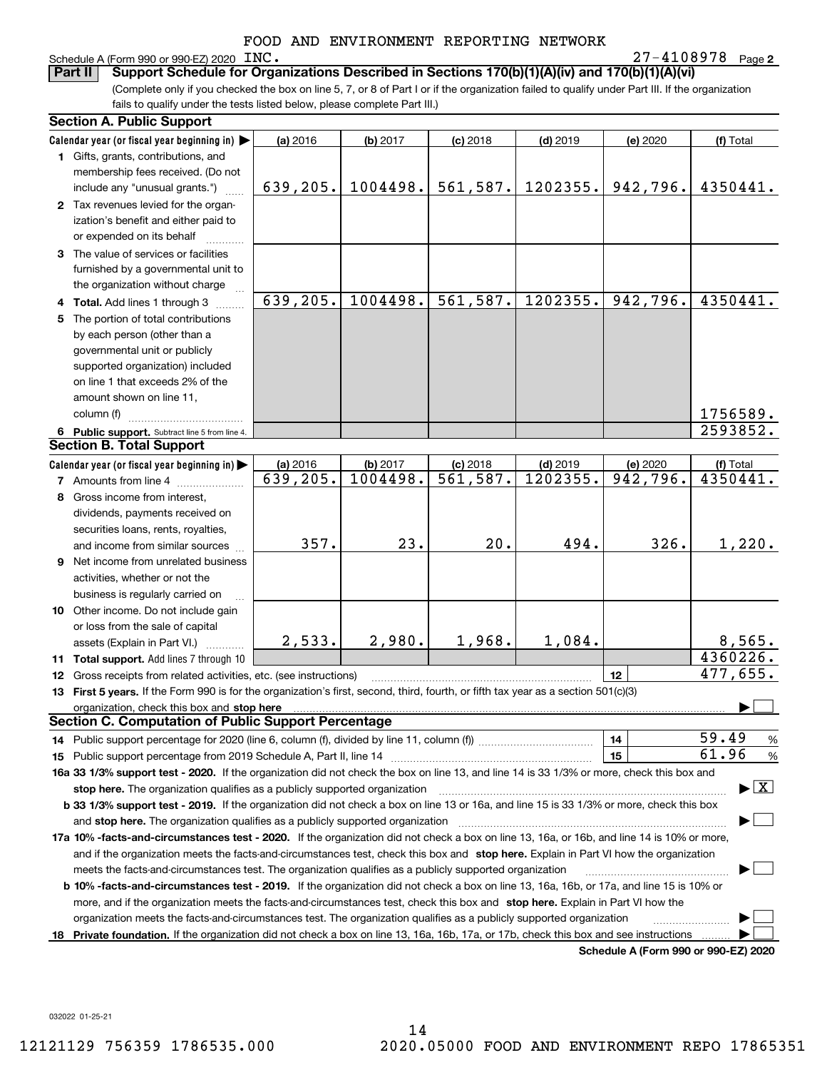## Schedule A (Form 990 or 990-EZ) 2020 INC.

**2**INC. 27-4108978

(Complete only if you checked the box on line 5, 7, or 8 of Part I or if the organization failed to qualify under Part III. If the organization fails to qualify under the tests listed below, please complete Part III.) **Part II Support Schedule for Organizations Described in Sections 170(b)(1)(A)(iv) and 170(b)(1)(A)(vi)**

|     | <b>Section A. Public Support</b>                                                                                                                                                                                               |           |          |            |            |                                      |                                          |
|-----|--------------------------------------------------------------------------------------------------------------------------------------------------------------------------------------------------------------------------------|-----------|----------|------------|------------|--------------------------------------|------------------------------------------|
|     | Calendar year (or fiscal year beginning in)                                                                                                                                                                                    | (a) 2016  | (b) 2017 | $(c)$ 2018 | $(d)$ 2019 | (e) 2020                             | (f) Total                                |
|     | 1 Gifts, grants, contributions, and                                                                                                                                                                                            |           |          |            |            |                                      |                                          |
|     | membership fees received. (Do not                                                                                                                                                                                              |           |          |            |            |                                      |                                          |
|     | include any "unusual grants.")                                                                                                                                                                                                 | 639,205.  | 1004498. | 561,587.   | 1202355.   | 942,796.                             | 4350441.                                 |
|     | 2 Tax revenues levied for the organ-                                                                                                                                                                                           |           |          |            |            |                                      |                                          |
|     | ization's benefit and either paid to                                                                                                                                                                                           |           |          |            |            |                                      |                                          |
|     | or expended on its behalf                                                                                                                                                                                                      |           |          |            |            |                                      |                                          |
|     | 3 The value of services or facilities                                                                                                                                                                                          |           |          |            |            |                                      |                                          |
|     | furnished by a governmental unit to                                                                                                                                                                                            |           |          |            |            |                                      |                                          |
|     | the organization without charge                                                                                                                                                                                                |           |          |            |            |                                      |                                          |
|     | 4 Total. Add lines 1 through 3                                                                                                                                                                                                 | 639, 205. | 1004498. | 561,587.   | 1202355.   | 942,796.                             | 4350441.                                 |
| 5   | The portion of total contributions                                                                                                                                                                                             |           |          |            |            |                                      |                                          |
|     | by each person (other than a                                                                                                                                                                                                   |           |          |            |            |                                      |                                          |
|     | governmental unit or publicly                                                                                                                                                                                                  |           |          |            |            |                                      |                                          |
|     | supported organization) included                                                                                                                                                                                               |           |          |            |            |                                      |                                          |
|     | on line 1 that exceeds 2% of the                                                                                                                                                                                               |           |          |            |            |                                      |                                          |
|     | amount shown on line 11,                                                                                                                                                                                                       |           |          |            |            |                                      |                                          |
|     | column (f)                                                                                                                                                                                                                     |           |          |            |            |                                      | 1756589.                                 |
|     | 6 Public support. Subtract line 5 from line 4.                                                                                                                                                                                 |           |          |            |            |                                      | 2593852.                                 |
|     | <b>Section B. Total Support</b>                                                                                                                                                                                                |           |          |            |            |                                      |                                          |
|     | Calendar year (or fiscal year beginning in)                                                                                                                                                                                    | (a) 2016  | (b) 2017 | $(c)$ 2018 | $(d)$ 2019 | (e) 2020                             | (f) Total                                |
|     | <b>7</b> Amounts from line 4                                                                                                                                                                                                   | 639,205.  | 1004498. | 561, 587.  | 1202355.   | 942,796.                             | 4350441.                                 |
| 8   | Gross income from interest,                                                                                                                                                                                                    |           |          |            |            |                                      |                                          |
|     | dividends, payments received on                                                                                                                                                                                                |           |          |            |            |                                      |                                          |
|     | securities loans, rents, royalties,                                                                                                                                                                                            |           |          |            |            |                                      |                                          |
|     | and income from similar sources                                                                                                                                                                                                | 357.      | 23.      | 20.        | 494.       | 326.                                 | 1,220.                                   |
| 9   | Net income from unrelated business                                                                                                                                                                                             |           |          |            |            |                                      |                                          |
|     | activities, whether or not the                                                                                                                                                                                                 |           |          |            |            |                                      |                                          |
|     | business is regularly carried on                                                                                                                                                                                               |           |          |            |            |                                      |                                          |
|     | 10 Other income. Do not include gain                                                                                                                                                                                           |           |          |            |            |                                      |                                          |
|     | or loss from the sale of capital                                                                                                                                                                                               |           |          |            |            |                                      |                                          |
|     | assets (Explain in Part VI.)                                                                                                                                                                                                   | 2,533.    | 2,980.   | 1,968.     | 1,084.     |                                      | 8,565.                                   |
|     | 11 Total support. Add lines 7 through 10                                                                                                                                                                                       |           |          |            |            |                                      | 4360226.                                 |
|     | 12 Gross receipts from related activities, etc. (see instructions)                                                                                                                                                             |           |          |            |            | 12                                   | 477,655.                                 |
|     | 13 First 5 years. If the Form 990 is for the organization's first, second, third, fourth, or fifth tax year as a section 501(c)(3)                                                                                             |           |          |            |            |                                      |                                          |
|     | organization, check this box and stop here manufactured and according to the state of the state of the state of the state of the state of the state of the state of the state of the state of the state of the state of the st |           |          |            |            |                                      |                                          |
|     | Section C. Computation of Public Support Percentage                                                                                                                                                                            |           |          |            |            |                                      |                                          |
|     |                                                                                                                                                                                                                                |           |          |            |            | 14                                   | 59.49<br>$\frac{9}{6}$                   |
|     | 15 Public support percentage from 2019 Schedule A, Part II, line 14                                                                                                                                                            |           |          |            |            | 15                                   | 61.96<br>$\frac{9}{6}$                   |
|     | 16a 33 1/3% support test - 2020. If the organization did not check the box on line 13, and line 14 is 33 1/3% or more, check this box and                                                                                      |           |          |            |            |                                      |                                          |
|     | stop here. The organization qualifies as a publicly supported organization                                                                                                                                                     |           |          |            |            |                                      | $\blacktriangleright$ $\boxed{\text{X}}$ |
|     | b 33 1/3% support test - 2019. If the organization did not check a box on line 13 or 16a, and line 15 is 33 1/3% or more, check this box                                                                                       |           |          |            |            |                                      |                                          |
|     | and stop here. The organization qualifies as a publicly supported organization                                                                                                                                                 |           |          |            |            |                                      |                                          |
|     | 17a 10% -facts-and-circumstances test - 2020. If the organization did not check a box on line 13, 16a, or 16b, and line 14 is 10% or more,                                                                                     |           |          |            |            |                                      |                                          |
|     | and if the organization meets the facts-and-circumstances test, check this box and stop here. Explain in Part VI how the organization                                                                                          |           |          |            |            |                                      |                                          |
|     | meets the facts-and-circumstances test. The organization qualifies as a publicly supported organization                                                                                                                        |           |          |            |            |                                      |                                          |
|     | <b>b 10% -facts-and-circumstances test - 2019.</b> If the organization did not check a box on line 13, 16a, 16b, or 17a, and line 15 is 10% or                                                                                 |           |          |            |            |                                      |                                          |
|     | more, and if the organization meets the facts-and-circumstances test, check this box and stop here. Explain in Part VI how the                                                                                                 |           |          |            |            |                                      |                                          |
|     | organization meets the facts-and-circumstances test. The organization qualifies as a publicly supported organization                                                                                                           |           |          |            |            |                                      |                                          |
| 18. | Private foundation. If the organization did not check a box on line 13, 16a, 16b, 17a, or 17b, check this box and see instructions                                                                                             |           |          |            |            |                                      |                                          |
|     |                                                                                                                                                                                                                                |           |          |            |            | Schodule A (Form 000 or 000 F7) 2020 |                                          |

**Schedule A (Form 990 or 990-EZ) 2020**

032022 01-25-21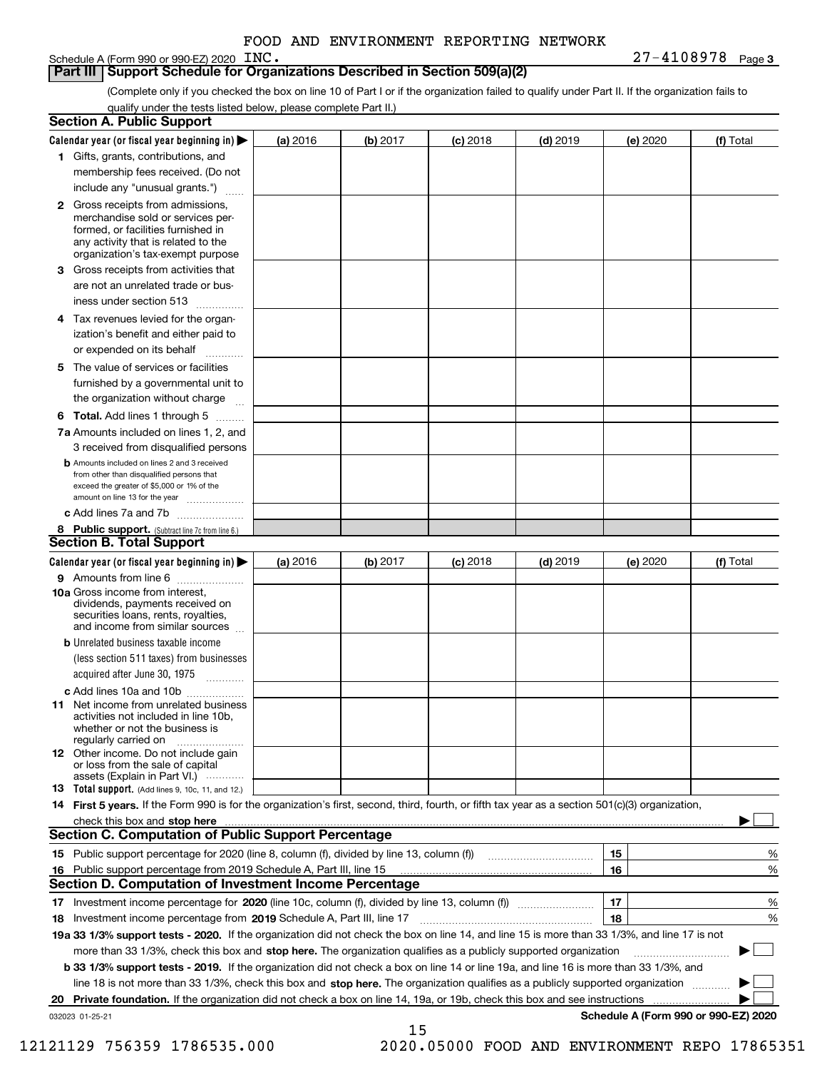Schedule A (Form 990 or 990-EZ) 2020 INC.

## **Part III Support Schedule for Organizations Described in Section 509(a)(2)**

(Complete only if you checked the box on line 10 of Part I or if the organization failed to qualify under Part II. If the organization fails to qualify under the tests listed below, please complete Part II.)

|    | <b>Section A. Public Support</b>                                                                                                                                                                                               |          |          |                 |            |          |                                      |
|----|--------------------------------------------------------------------------------------------------------------------------------------------------------------------------------------------------------------------------------|----------|----------|-----------------|------------|----------|--------------------------------------|
|    | Calendar year (or fiscal year beginning in) $\blacktriangleright$                                                                                                                                                              | (a) 2016 | (b) 2017 | <b>(c)</b> 2018 | $(d)$ 2019 | (e) 2020 | (f) Total                            |
|    | 1 Gifts, grants, contributions, and                                                                                                                                                                                            |          |          |                 |            |          |                                      |
|    | membership fees received. (Do not                                                                                                                                                                                              |          |          |                 |            |          |                                      |
|    | include any "unusual grants.")                                                                                                                                                                                                 |          |          |                 |            |          |                                      |
|    | <b>2</b> Gross receipts from admissions,<br>merchandise sold or services per-<br>formed, or facilities furnished in<br>any activity that is related to the<br>organization's tax-exempt purpose                                |          |          |                 |            |          |                                      |
|    | 3 Gross receipts from activities that                                                                                                                                                                                          |          |          |                 |            |          |                                      |
|    | are not an unrelated trade or bus-                                                                                                                                                                                             |          |          |                 |            |          |                                      |
|    | iness under section 513                                                                                                                                                                                                        |          |          |                 |            |          |                                      |
|    | 4 Tax revenues levied for the organ-                                                                                                                                                                                           |          |          |                 |            |          |                                      |
|    | ization's benefit and either paid to<br>or expended on its behalf<br>.                                                                                                                                                         |          |          |                 |            |          |                                      |
|    | 5 The value of services or facilities                                                                                                                                                                                          |          |          |                 |            |          |                                      |
|    | furnished by a governmental unit to                                                                                                                                                                                            |          |          |                 |            |          |                                      |
|    | the organization without charge                                                                                                                                                                                                |          |          |                 |            |          |                                      |
|    | <b>6 Total.</b> Add lines 1 through 5 $\dots$                                                                                                                                                                                  |          |          |                 |            |          |                                      |
|    | 7a Amounts included on lines 1, 2, and<br>3 received from disqualified persons                                                                                                                                                 |          |          |                 |            |          |                                      |
|    | <b>b</b> Amounts included on lines 2 and 3 received<br>from other than disqualified persons that<br>exceed the greater of \$5,000 or 1% of the<br>amount on line 13 for the year                                               |          |          |                 |            |          |                                      |
|    | c Add lines 7a and 7b                                                                                                                                                                                                          |          |          |                 |            |          |                                      |
|    | 8 Public support. (Subtract line 7c from line 6.)<br><b>Section B. Total Support</b>                                                                                                                                           |          |          |                 |            |          |                                      |
|    | Calendar year (or fiscal year beginning in)                                                                                                                                                                                    | (a) 2016 | (b) 2017 | <b>(c)</b> 2018 | $(d)$ 2019 | (e) 2020 | (f) Total                            |
|    | 9 Amounts from line 6                                                                                                                                                                                                          |          |          |                 |            |          |                                      |
|    | 10a Gross income from interest,<br>dividends, payments received on<br>securities loans, rents, royalties,<br>and income from similar sources                                                                                   |          |          |                 |            |          |                                      |
|    | <b>b</b> Unrelated business taxable income                                                                                                                                                                                     |          |          |                 |            |          |                                      |
|    | (less section 511 taxes) from businesses<br>acquired after June 30, 1975 [10001]                                                                                                                                               |          |          |                 |            |          |                                      |
|    | c Add lines 10a and 10b                                                                                                                                                                                                        |          |          |                 |            |          |                                      |
|    | 11 Net income from unrelated business<br>activities not included in line 10b,<br>whether or not the business is<br>regularly carried on                                                                                        |          |          |                 |            |          |                                      |
|    | <b>12</b> Other income. Do not include gain<br>or loss from the sale of capital<br>assets (Explain in Part VI.)                                                                                                                |          |          |                 |            |          |                                      |
|    | 13 Total support. (Add lines 9, 10c, 11, and 12.)                                                                                                                                                                              |          |          |                 |            |          |                                      |
|    | 14 First 5 years. If the Form 990 is for the organization's first, second, third, fourth, or fifth tax year as a section 501(c)(3) organization,                                                                               |          |          |                 |            |          |                                      |
|    | check this box and stop here measurement content to the state of the state of the state of the state of the state of the state of the state of the state of the state of the state of the state of the state of the state of t |          |          |                 |            |          |                                      |
|    | <b>Section C. Computation of Public Support Percentage</b>                                                                                                                                                                     |          |          |                 |            |          |                                      |
|    |                                                                                                                                                                                                                                |          |          |                 |            | 15       | %                                    |
| 16 | Public support percentage from 2019 Schedule A, Part III, line 15                                                                                                                                                              |          |          |                 |            | 16       | %                                    |
|    | <b>Section D. Computation of Investment Income Percentage</b>                                                                                                                                                                  |          |          |                 |            |          |                                      |
|    | 17 Investment income percentage for 2020 (line 10c, column (f), divided by line 13, column (f))                                                                                                                                |          |          |                 |            | 17       | %                                    |
|    | 18 Investment income percentage from 2019 Schedule A, Part III, line 17                                                                                                                                                        |          |          |                 |            | 18       | %                                    |
|    | 19a 33 1/3% support tests - 2020. If the organization did not check the box on line 14, and line 15 is more than 33 1/3%, and line 17 is not                                                                                   |          |          |                 |            |          |                                      |
|    | more than 33 1/3%, check this box and stop here. The organization qualifies as a publicly supported organization                                                                                                               |          |          |                 |            |          | $\sim$ 1                             |
|    | b 33 1/3% support tests - 2019. If the organization did not check a box on line 14 or line 19a, and line 16 is more than 33 1/3%, and                                                                                          |          |          |                 |            |          |                                      |
|    | line 18 is not more than 33 1/3%, check this box and stop here. The organization qualifies as a publicly supported organization                                                                                                |          |          |                 |            |          |                                      |
| 20 | Private foundation. If the organization did not check a box on line 14, 19a, or 19b, check this box and see instructions                                                                                                       |          |          |                 |            |          |                                      |
|    | 032023 01-25-21                                                                                                                                                                                                                |          |          |                 |            |          | Schedule A (Form 990 or 990-EZ) 2020 |
|    |                                                                                                                                                                                                                                |          | 15       |                 |            |          |                                      |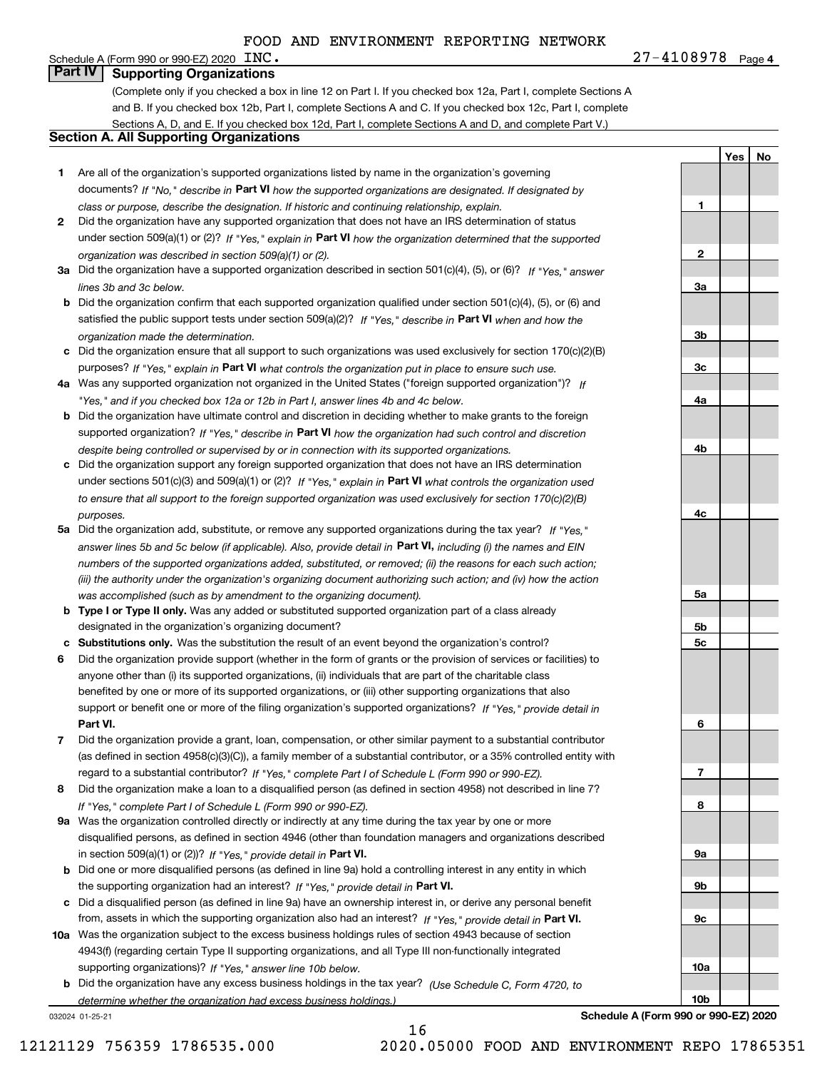| Schedule A (Form 990 or 990-EZ) 2020 | INC. | u o s<br>O | Page 4 |
|--------------------------------------|------|------------|--------|
|                                      |      |            |        |

**1**

**2**

**3a**

**3b**

**3c**

**4a**

**4b**

**4c**

**5a**

**5b5c**

**6**

**7**

**8**

**9a**

**9b**

**9c**

**10a**

**10b**

**YesNo**

# **Part IV** | Supporting Organizations

(Complete only if you checked a box in line 12 on Part I. If you checked box 12a, Part I, complete Sections A and B. If you checked box 12b, Part I, complete Sections A and C. If you checked box 12c, Part I, complete Sections A, D, and E. If you checked box 12d, Part I, complete Sections A and D, and complete Part V.)

# **Section A. All Supporting Organizations**

- **1** Are all of the organization's supported organizations listed by name in the organization's governing documents? If "No," describe in **Part VI** how the supported organizations are designated. If designated by *class or purpose, describe the designation. If historic and continuing relationship, explain.*
- **2** Did the organization have any supported organization that does not have an IRS determination of status under section 509(a)(1) or (2)? If "Yes," explain in Part VI how the organization determined that the supported *organization was described in section 509(a)(1) or (2).*
- **3a** Did the organization have a supported organization described in section 501(c)(4), (5), or (6)? If "Yes," answer *lines 3b and 3c below.*
- **b** Did the organization confirm that each supported organization qualified under section 501(c)(4), (5), or (6) and satisfied the public support tests under section 509(a)(2)? If "Yes," describe in **Part VI** when and how the *organization made the determination.*
- **c**Did the organization ensure that all support to such organizations was used exclusively for section 170(c)(2)(B) purposes? If "Yes," explain in **Part VI** what controls the organization put in place to ensure such use.
- **4a***If* Was any supported organization not organized in the United States ("foreign supported organization")? *"Yes," and if you checked box 12a or 12b in Part I, answer lines 4b and 4c below.*
- **b** Did the organization have ultimate control and discretion in deciding whether to make grants to the foreign supported organization? If "Yes," describe in **Part VI** how the organization had such control and discretion *despite being controlled or supervised by or in connection with its supported organizations.*
- **c** Did the organization support any foreign supported organization that does not have an IRS determination under sections 501(c)(3) and 509(a)(1) or (2)? If "Yes," explain in **Part VI** what controls the organization used *to ensure that all support to the foreign supported organization was used exclusively for section 170(c)(2)(B) purposes.*
- **5a** Did the organization add, substitute, or remove any supported organizations during the tax year? If "Yes," answer lines 5b and 5c below (if applicable). Also, provide detail in **Part VI,** including (i) the names and EIN *numbers of the supported organizations added, substituted, or removed; (ii) the reasons for each such action; (iii) the authority under the organization's organizing document authorizing such action; and (iv) how the action was accomplished (such as by amendment to the organizing document).*
- **b** Type I or Type II only. Was any added or substituted supported organization part of a class already designated in the organization's organizing document?
- **cSubstitutions only.**  Was the substitution the result of an event beyond the organization's control?
- **6** Did the organization provide support (whether in the form of grants or the provision of services or facilities) to **Part VI.** *If "Yes," provide detail in* support or benefit one or more of the filing organization's supported organizations? anyone other than (i) its supported organizations, (ii) individuals that are part of the charitable class benefited by one or more of its supported organizations, or (iii) other supporting organizations that also
- **7**Did the organization provide a grant, loan, compensation, or other similar payment to a substantial contributor *If "Yes," complete Part I of Schedule L (Form 990 or 990-EZ).* regard to a substantial contributor? (as defined in section 4958(c)(3)(C)), a family member of a substantial contributor, or a 35% controlled entity with
- **8** Did the organization make a loan to a disqualified person (as defined in section 4958) not described in line 7? *If "Yes," complete Part I of Schedule L (Form 990 or 990-EZ).*
- **9a** Was the organization controlled directly or indirectly at any time during the tax year by one or more in section 509(a)(1) or (2))? If "Yes," *provide detail in* <code>Part VI.</code> disqualified persons, as defined in section 4946 (other than foundation managers and organizations described
- **b**the supporting organization had an interest? If "Yes," provide detail in P**art VI**. Did one or more disqualified persons (as defined in line 9a) hold a controlling interest in any entity in which
- **c**Did a disqualified person (as defined in line 9a) have an ownership interest in, or derive any personal benefit from, assets in which the supporting organization also had an interest? If "Yes," provide detail in P**art VI.**
- **10a** Was the organization subject to the excess business holdings rules of section 4943 because of section supporting organizations)? If "Yes," answer line 10b below. 4943(f) (regarding certain Type II supporting organizations, and all Type III non-functionally integrated
- **b** Did the organization have any excess business holdings in the tax year? (Use Schedule C, Form 4720, to *determine whether the organization had excess business holdings.)*

16

032024 01-25-21

**Schedule A (Form 990 or 990-EZ) 2020**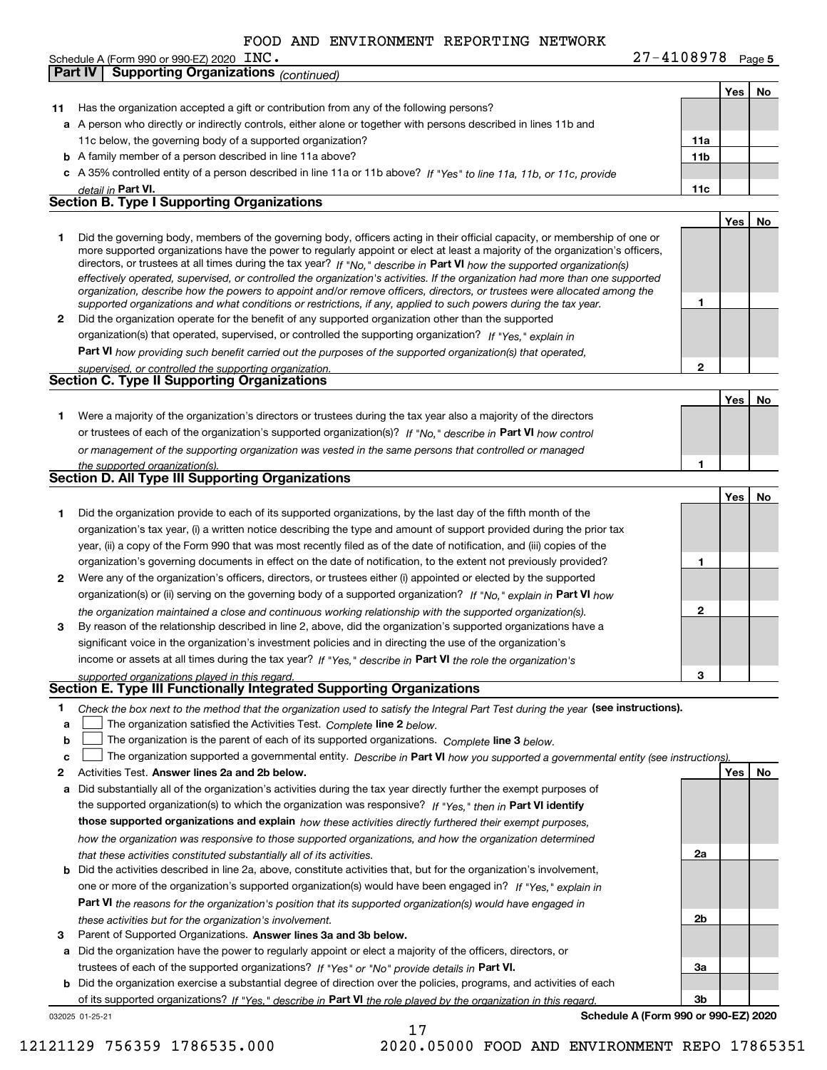| INC. | $27 - 4108978$ Page 5 |
|------|-----------------------|
|      |                       |

|              | <b>Supporting Organizations (continued)</b><br>Part IV                                                                                                                                                                                                      |                 |     |    |
|--------------|-------------------------------------------------------------------------------------------------------------------------------------------------------------------------------------------------------------------------------------------------------------|-----------------|-----|----|
|              |                                                                                                                                                                                                                                                             |                 | Yes | No |
| 11           | Has the organization accepted a gift or contribution from any of the following persons?                                                                                                                                                                     |                 |     |    |
|              | a A person who directly or indirectly controls, either alone or together with persons described in lines 11b and                                                                                                                                            |                 |     |    |
|              | 11c below, the governing body of a supported organization?                                                                                                                                                                                                  | 11a             |     |    |
|              | <b>b</b> A family member of a person described in line 11a above?                                                                                                                                                                                           | 11 <sub>b</sub> |     |    |
|              | c A 35% controlled entity of a person described in line 11a or 11b above? If "Yes" to line 11a, 11b, or 11c, provide                                                                                                                                        |                 |     |    |
|              | detail in Part VI.                                                                                                                                                                                                                                          | 11c             |     |    |
|              | <b>Section B. Type I Supporting Organizations</b>                                                                                                                                                                                                           |                 |     |    |
|              |                                                                                                                                                                                                                                                             |                 | Yes | No |
| 1.           |                                                                                                                                                                                                                                                             |                 |     |    |
|              | Did the governing body, members of the governing body, officers acting in their official capacity, or membership of one or<br>more supported organizations have the power to regularly appoint or elect at least a majority of the organization's officers, |                 |     |    |
|              | directors, or trustees at all times during the tax year? If "No," describe in Part VI how the supported organization(s)                                                                                                                                     |                 |     |    |
|              | effectively operated, supervised, or controlled the organization's activities. If the organization had more than one supported                                                                                                                              |                 |     |    |
|              | organization, describe how the powers to appoint and/or remove officers, directors, or trustees were allocated among the                                                                                                                                    |                 |     |    |
|              | supported organizations and what conditions or restrictions, if any, applied to such powers during the tax year.                                                                                                                                            | 1               |     |    |
| $\mathbf{2}$ | Did the organization operate for the benefit of any supported organization other than the supported                                                                                                                                                         |                 |     |    |
|              | organization(s) that operated, supervised, or controlled the supporting organization? If "Yes," explain in                                                                                                                                                  |                 |     |    |
|              | <b>Part VI</b> how providing such benefit carried out the purposes of the supported organization(s) that operated,                                                                                                                                          |                 |     |    |
|              | supervised, or controlled the supporting organization.<br>Section C. Type II Supporting Organizations                                                                                                                                                       | $\mathbf{2}$    |     |    |
|              |                                                                                                                                                                                                                                                             |                 |     |    |
|              |                                                                                                                                                                                                                                                             |                 | Yes | No |
| 1.           | Were a majority of the organization's directors or trustees during the tax year also a majority of the directors                                                                                                                                            |                 |     |    |
|              | or trustees of each of the organization's supported organization(s)? If "No," describe in Part VI how control                                                                                                                                               |                 |     |    |
|              | or management of the supporting organization was vested in the same persons that controlled or managed                                                                                                                                                      |                 |     |    |
|              | the supported organization(s).                                                                                                                                                                                                                              | 1               |     |    |
|              | Section D. All Type III Supporting Organizations                                                                                                                                                                                                            |                 |     |    |
|              |                                                                                                                                                                                                                                                             |                 | Yes | No |
| 1            | Did the organization provide to each of its supported organizations, by the last day of the fifth month of the                                                                                                                                              |                 |     |    |
|              | organization's tax year, (i) a written notice describing the type and amount of support provided during the prior tax                                                                                                                                       |                 |     |    |
|              | year, (ii) a copy of the Form 990 that was most recently filed as of the date of notification, and (iii) copies of the                                                                                                                                      |                 |     |    |
|              | organization's governing documents in effect on the date of notification, to the extent not previously provided?                                                                                                                                            | 1               |     |    |
| 2            | Were any of the organization's officers, directors, or trustees either (i) appointed or elected by the supported                                                                                                                                            |                 |     |    |
|              | organization(s) or (ii) serving on the governing body of a supported organization? If "No," explain in Part VI how                                                                                                                                          |                 |     |    |
|              | the organization maintained a close and continuous working relationship with the supported organization(s).                                                                                                                                                 | $\mathbf{2}$    |     |    |
| 3            | By reason of the relationship described in line 2, above, did the organization's supported organizations have a                                                                                                                                             |                 |     |    |
|              | significant voice in the organization's investment policies and in directing the use of the organization's                                                                                                                                                  |                 |     |    |
|              | income or assets at all times during the tax year? If "Yes," describe in Part VI the role the organization's                                                                                                                                                |                 |     |    |
|              | supported organizations played in this regard.                                                                                                                                                                                                              | з               |     |    |
|              | Section E. Type III Functionally Integrated Supporting Organizations                                                                                                                                                                                        |                 |     |    |
| 1            | Check the box next to the method that the organization used to satisfy the Integral Part Test during the year (see instructions).                                                                                                                           |                 |     |    |
| a            | The organization satisfied the Activities Test. Complete line 2 below.                                                                                                                                                                                      |                 |     |    |
| b            | The organization is the parent of each of its supported organizations. Complete line 3 below.                                                                                                                                                               |                 |     |    |
| c            | The organization supported a governmental entity. Describe in Part VI how you supported a governmental entity (see instructions).                                                                                                                           |                 |     |    |
| 2            | Activities Test. Answer lines 2a and 2b below.                                                                                                                                                                                                              |                 | Yes | No |
| a            | Did substantially all of the organization's activities during the tax year directly further the exempt purposes of                                                                                                                                          |                 |     |    |
|              | the supported organization(s) to which the organization was responsive? If "Yes," then in Part VI identify                                                                                                                                                  |                 |     |    |
|              | those supported organizations and explain how these activities directly furthered their exempt purposes,                                                                                                                                                    |                 |     |    |
|              | how the organization was responsive to those supported organizations, and how the organization determined                                                                                                                                                   |                 |     |    |
|              | that these activities constituted substantially all of its activities.                                                                                                                                                                                      | 2a              |     |    |
|              | <b>b</b> Did the activities described in line 2a, above, constitute activities that, but for the organization's involvement,                                                                                                                                |                 |     |    |
|              | one or more of the organization's supported organization(s) would have been engaged in? If "Yes," explain in                                                                                                                                                |                 |     |    |
|              | <b>Part VI</b> the reasons for the organization's position that its supported organization(s) would have engaged in                                                                                                                                         |                 |     |    |
|              | these activities but for the organization's involvement.                                                                                                                                                                                                    | 2b              |     |    |
| з            | Parent of Supported Organizations. Answer lines 3a and 3b below.                                                                                                                                                                                            |                 |     |    |
|              | a Did the organization have the power to regularly appoint or elect a majority of the officers, directors, or                                                                                                                                               |                 |     |    |
|              | trustees of each of the supported organizations? If "Yes" or "No" provide details in Part VI.                                                                                                                                                               | За              |     |    |
|              | <b>b</b> Did the organization exercise a substantial degree of direction over the policies, programs, and activities of each                                                                                                                                |                 |     |    |
|              | of its supported organizations? If "Yes," describe in Part VI the role played by the organization in this regard.                                                                                                                                           | 3b              |     |    |
|              | Schedule A (Form 990 or 990-EZ) 2020<br>032025 01-25-21                                                                                                                                                                                                     |                 |     |    |
|              | 17                                                                                                                                                                                                                                                          |                 |     |    |

Schedule A (Form 990 or 990-EZ) 2020 INC.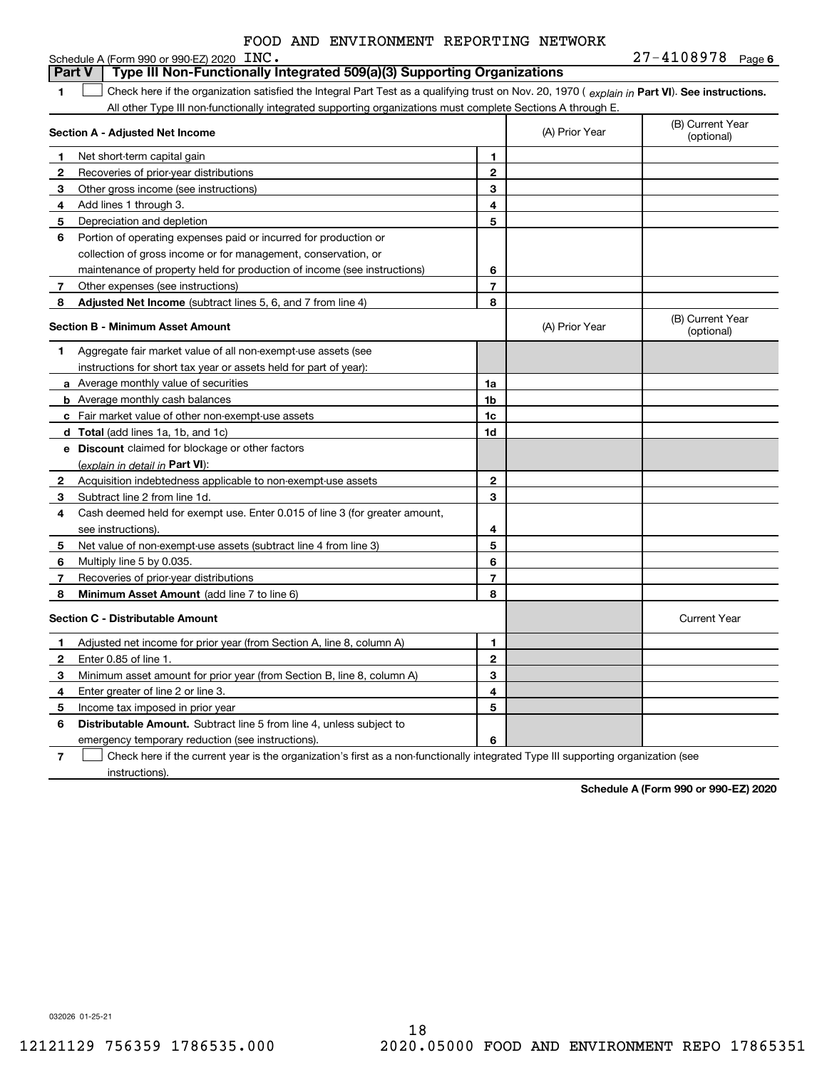|   | FOOD AND ENVIRONMENT REPORTING NETWORK                                                                                                         |                          |                |                                |
|---|------------------------------------------------------------------------------------------------------------------------------------------------|--------------------------|----------------|--------------------------------|
|   | Schedule A (Form 990 or 990-EZ) 2020 $~\rm ~INC$ .<br>Type III Non-Functionally Integrated 509(a)(3) Supporting Organizations<br>Part V        |                          |                | $27 - 4108978$ Page 6          |
| 1 | Check here if the organization satisfied the Integral Part Test as a qualifying trust on Nov. 20, 1970 (explain in Part VI). See instructions. |                          |                |                                |
|   | All other Type III non-functionally integrated supporting organizations must complete Sections A through E.                                    |                          |                |                                |
|   |                                                                                                                                                |                          |                | (B) Current Year               |
|   | Section A - Adjusted Net Income                                                                                                                |                          | (A) Prior Year | (optional)                     |
| 1 | Net short-term capital gain                                                                                                                    | 1                        |                |                                |
| 2 | Recoveries of prior-year distributions                                                                                                         | $\overline{2}$           |                |                                |
| 3 | Other gross income (see instructions)                                                                                                          | 3                        |                |                                |
| 4 | Add lines 1 through 3.                                                                                                                         | 4                        |                |                                |
| 5 | Depreciation and depletion                                                                                                                     | 5                        |                |                                |
| 6 | Portion of operating expenses paid or incurred for production or                                                                               |                          |                |                                |
|   | collection of gross income or for management, conservation, or                                                                                 |                          |                |                                |
|   | maintenance of property held for production of income (see instructions)                                                                       | 6                        |                |                                |
| 7 | Other expenses (see instructions)                                                                                                              | $\overline{\phantom{a}}$ |                |                                |
| 8 | Adjusted Net Income (subtract lines 5, 6, and 7 from line 4)                                                                                   | 8                        |                |                                |
|   | Section B - Minimum Asset Amount                                                                                                               |                          | (A) Prior Year | (B) Current Year<br>(optional) |
| 1 | Aggregate fair market value of all non-exempt-use assets (see                                                                                  |                          |                |                                |
|   | instructions for short tax year or assets held for part of year):                                                                              |                          |                |                                |
|   | <b>a</b> Average monthly value of securities                                                                                                   | 1a                       |                |                                |
|   | <b>b</b> Average monthly cash balances                                                                                                         | 1b                       |                |                                |
|   | c Fair market value of other non-exempt-use assets                                                                                             | 1c                       |                |                                |
|   | <b>d</b> Total (add lines 1a, 1b, and 1c)                                                                                                      | 1d                       |                |                                |
|   | e Discount claimed for blockage or other factors                                                                                               |                          |                |                                |
|   | (explain in detail in Part VI):                                                                                                                |                          |                |                                |
| 2 | Acquisition indebtedness applicable to non-exempt-use assets                                                                                   | $\overline{2}$           |                |                                |
| 3 | Subtract line 2 from line 1d.                                                                                                                  | 3                        |                |                                |
| 4 | Cash deemed held for exempt use. Enter 0.015 of line 3 (for greater amount,                                                                    |                          |                |                                |
|   | see instructions).                                                                                                                             | 4                        |                |                                |
| 5 | Net value of non-exempt-use assets (subtract line 4 from line 3)                                                                               | 5                        |                |                                |
| 6 | Multiply line 5 by 0.035.                                                                                                                      | 6                        |                |                                |
| 7 | Recoveries of prior-year distributions                                                                                                         | $\overline{7}$           |                |                                |
| 8 | Minimum Asset Amount (add line 7 to line 6)                                                                                                    | 8                        |                |                                |
|   | Section C - Distributable Amount                                                                                                               |                          |                | <b>Current Year</b>            |

### **123 45 67123456Distributable Amount.** Subtract line 5 from line 4, unless subject to Adjusted net income for prior year (from Section A, line 8, column A) Enter 0.85 of line 1. Minimum asset amount for prior year (from Section B, line 8, column A) Enter greater of line 2 or line 3. Income tax imposed in prior year emergency temporary reduction (see instructions). Check here if the current year is the organization's first as a non-functionally integrated Type III supporting organization (see

**Schedule A (Form 990 or 990-EZ) 2020**

032026 01-25-21

instructions).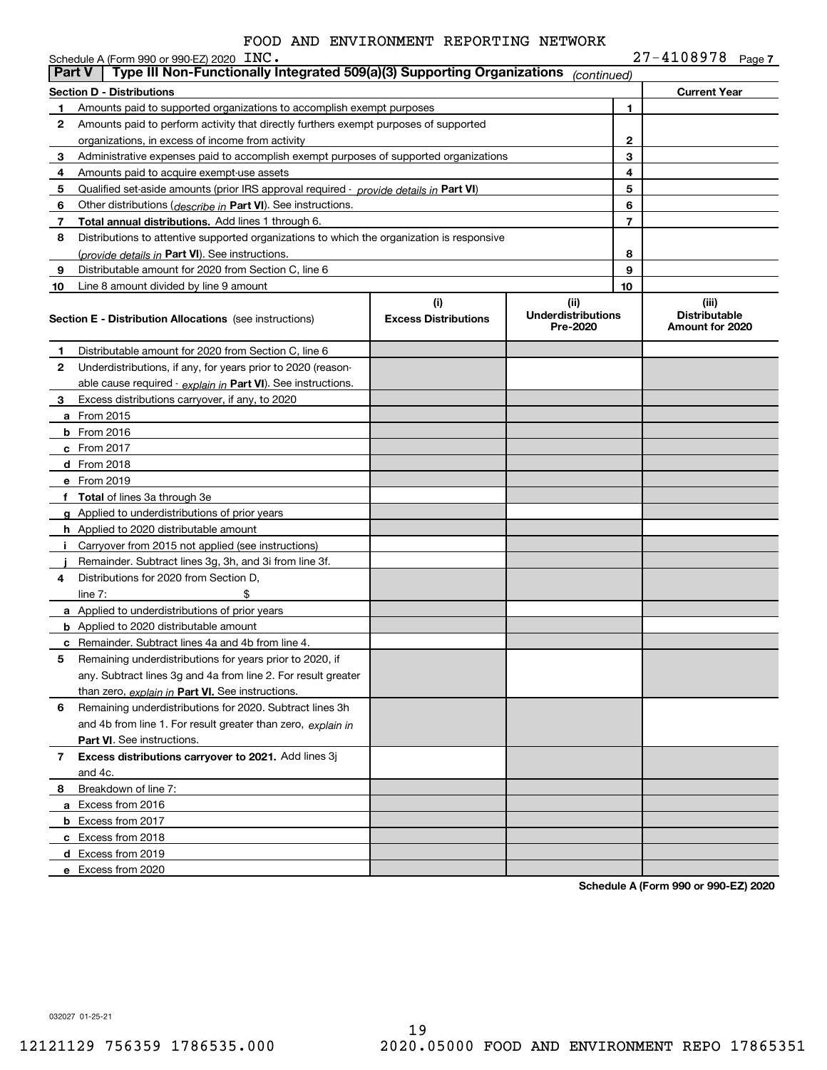|               | Schedule A (Form 990 or 990-EZ) 2020 INC.                                                  |                                    |                                               |              | $27 - 4108978$ Page 7                            |  |
|---------------|--------------------------------------------------------------------------------------------|------------------------------------|-----------------------------------------------|--------------|--------------------------------------------------|--|
| <b>Part V</b> | Type III Non-Functionally Integrated 509(a)(3) Supporting Organizations                    |                                    | (continued)                                   |              |                                                  |  |
|               | <b>Section D - Distributions</b>                                                           |                                    |                                               |              | <b>Current Year</b>                              |  |
| 1             | Amounts paid to supported organizations to accomplish exempt purposes                      |                                    |                                               | 1            |                                                  |  |
| 2             | Amounts paid to perform activity that directly furthers exempt purposes of supported       |                                    |                                               |              |                                                  |  |
|               | organizations, in excess of income from activity                                           |                                    |                                               | $\mathbf{2}$ |                                                  |  |
| 3             | Administrative expenses paid to accomplish exempt purposes of supported organizations      |                                    |                                               | 3            |                                                  |  |
| 4             | Amounts paid to acquire exempt-use assets                                                  |                                    |                                               | 4            |                                                  |  |
| 5             | Qualified set-aside amounts (prior IRS approval required - provide details in Part VI)     |                                    |                                               | 5            |                                                  |  |
| 6             | Other distributions ( <i>describe in</i> Part VI). See instructions.                       |                                    |                                               | 6            |                                                  |  |
| 7             | Total annual distributions. Add lines 1 through 6.                                         |                                    |                                               | 7            |                                                  |  |
| 8             | Distributions to attentive supported organizations to which the organization is responsive |                                    |                                               |              |                                                  |  |
|               | (provide details in Part VI). See instructions.                                            |                                    |                                               | 8            |                                                  |  |
| 9             | Distributable amount for 2020 from Section C, line 6                                       |                                    |                                               | 9            |                                                  |  |
| 10            | Line 8 amount divided by line 9 amount                                                     |                                    |                                               | 10           |                                                  |  |
|               | <b>Section E - Distribution Allocations</b> (see instructions)                             | (i)<br><b>Excess Distributions</b> | (ii)<br><b>Underdistributions</b><br>Pre-2020 |              | (iii)<br><b>Distributable</b><br>Amount for 2020 |  |
| 1             | Distributable amount for 2020 from Section C, line 6                                       |                                    |                                               |              |                                                  |  |
| 2             | Underdistributions, if any, for years prior to 2020 (reason-                               |                                    |                                               |              |                                                  |  |
|               | able cause required - explain in Part VI). See instructions.                               |                                    |                                               |              |                                                  |  |
| 3             | Excess distributions carryover, if any, to 2020                                            |                                    |                                               |              |                                                  |  |
|               | <b>a</b> From 2015                                                                         |                                    |                                               |              |                                                  |  |
|               | <b>b</b> From 2016                                                                         |                                    |                                               |              |                                                  |  |
|               | c From 2017                                                                                |                                    |                                               |              |                                                  |  |
|               | d From 2018                                                                                |                                    |                                               |              |                                                  |  |
|               | e From 2019                                                                                |                                    |                                               |              |                                                  |  |
|               | f Total of lines 3a through 3e                                                             |                                    |                                               |              |                                                  |  |
|               | g Applied to underdistributions of prior years                                             |                                    |                                               |              |                                                  |  |
|               | <b>h</b> Applied to 2020 distributable amount                                              |                                    |                                               |              |                                                  |  |
|               | Carryover from 2015 not applied (see instructions)                                         |                                    |                                               |              |                                                  |  |
|               | Remainder. Subtract lines 3g, 3h, and 3i from line 3f.                                     |                                    |                                               |              |                                                  |  |
| 4             | Distributions for 2020 from Section D.                                                     |                                    |                                               |              |                                                  |  |
|               | line $7:$                                                                                  |                                    |                                               |              |                                                  |  |
|               | a Applied to underdistributions of prior years                                             |                                    |                                               |              |                                                  |  |
|               | <b>b</b> Applied to 2020 distributable amount                                              |                                    |                                               |              |                                                  |  |
|               | c Remainder. Subtract lines 4a and 4b from line 4.                                         |                                    |                                               |              |                                                  |  |
|               | Remaining underdistributions for years prior to 2020, if                                   |                                    |                                               |              |                                                  |  |
|               | any. Subtract lines 3g and 4a from line 2. For result greater                              |                                    |                                               |              |                                                  |  |
|               | than zero, explain in Part VI. See instructions.                                           |                                    |                                               |              |                                                  |  |
| 6             | Remaining underdistributions for 2020. Subtract lines 3h                                   |                                    |                                               |              |                                                  |  |
|               | and 4b from line 1. For result greater than zero, explain in                               |                                    |                                               |              |                                                  |  |
|               | <b>Part VI.</b> See instructions.                                                          |                                    |                                               |              |                                                  |  |
| 7             | Excess distributions carryover to 2021. Add lines 3j                                       |                                    |                                               |              |                                                  |  |
|               | and 4c.                                                                                    |                                    |                                               |              |                                                  |  |
| 8             | Breakdown of line 7:                                                                       |                                    |                                               |              |                                                  |  |
|               | a Excess from 2016                                                                         |                                    |                                               |              |                                                  |  |
|               | <b>b</b> Excess from 2017                                                                  |                                    |                                               |              |                                                  |  |
|               | c Excess from 2018                                                                         |                                    |                                               |              |                                                  |  |
|               | d Excess from 2019                                                                         |                                    |                                               |              |                                                  |  |
|               | e Excess from 2020                                                                         |                                    |                                               |              |                                                  |  |

**Schedule A (Form 990 or 990-EZ) 2020**

032027 01-25-21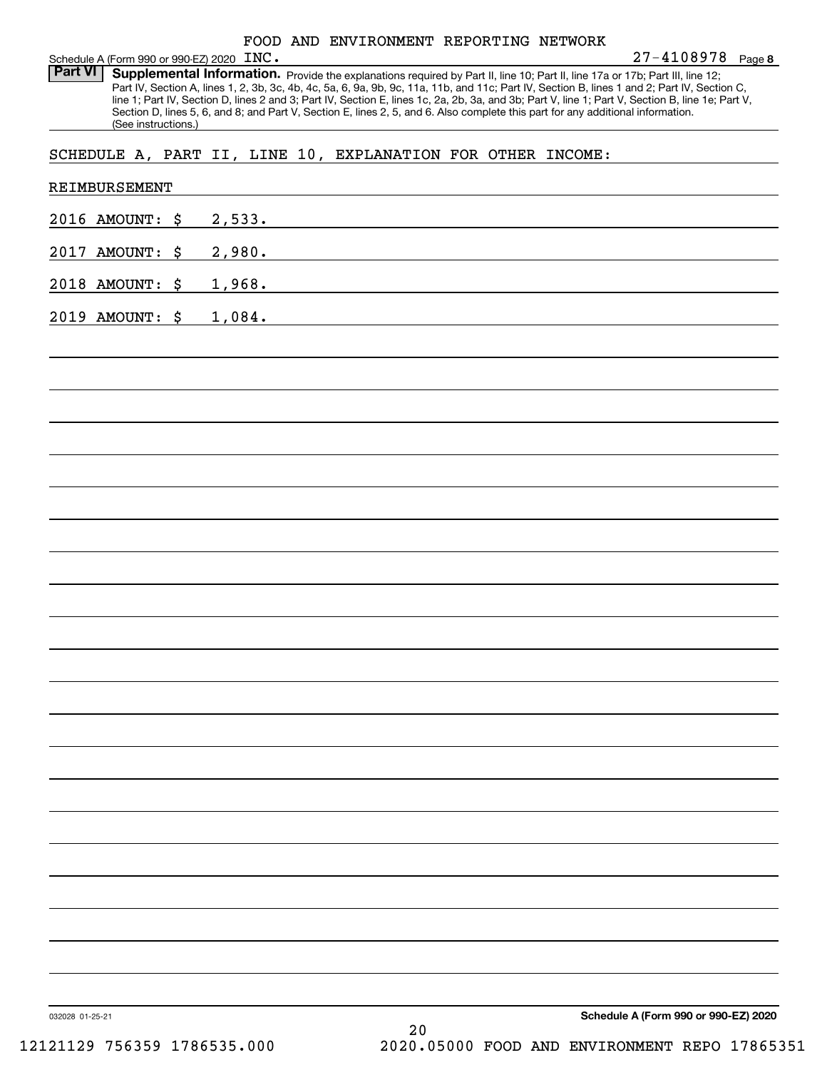| FOOD AND ENVIRONMENT REPORTING NETWORK |  |
|----------------------------------------|--|
|----------------------------------------|--|

**8** 27-4108978 Schedule A (Form 990 or 990-EZ) 2020 Page INC.

Part VI | Supplemental Information. Provide the explanations required by Part II, line 10; Part II, line 17a or 17b; Part III, line 12; Part IV, Section A, lines 1, 2, 3b, 3c, 4b, 4c, 5a, 6, 9a, 9b, 9c, 11a, 11b, and 11c; Part IV, Section B, lines 1 and 2; Part IV, Section C, line 1; Part IV, Section D, lines 2 and 3; Part IV, Section E, lines 1c, 2a, 2b, 3a, and 3b; Part V, line 1; Part V, Section B, line 1e; Part V, Section D, lines 5, 6, and 8; and Part V, Section E, lines 2, 5, and 6. Also complete this part for any additional information. (See instructions.)

SCHEDULE A, PART II, LINE 10, EXPLANATION FOR OTHER INCOME:

| 2016 AMOUNT: \$<br>2,533. |  |
|---------------------------|--|
| 2017 AMOUNT: \$<br>2,980. |  |
| 1,968.<br>2018 AMOUNT: \$ |  |
| 2019 AMOUNT: \$<br>1,084. |  |
|                           |  |
|                           |  |
|                           |  |
|                           |  |
|                           |  |
|                           |  |
|                           |  |
|                           |  |
|                           |  |
|                           |  |
|                           |  |
|                           |  |
|                           |  |
|                           |  |
|                           |  |
|                           |  |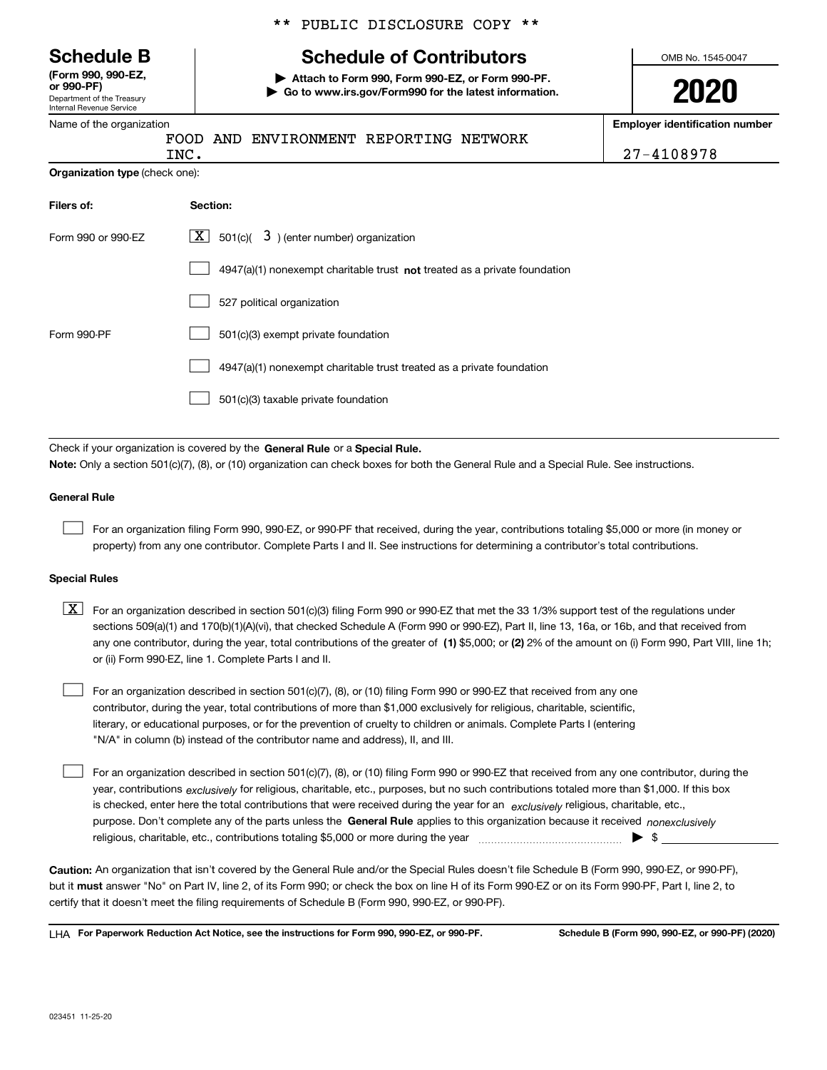Department of the Treasury Internal Revenue Service **(Form 990, 990-EZ, or 990-PF)**

|  | Name of the organization |
|--|--------------------------|

| ** PUBLIC DISCLOSURE COPY ** |  |
|------------------------------|--|
|------------------------------|--|

# **Schedule B Schedule of Contributors**

**| Attach to Form 990, Form 990-EZ, or Form 990-PF. | Go to www.irs.gov/Form990 for the latest information.** OMB No. 1545-0047

**2020**

**Employer identification number**

|                                                                             | 27-4108978                                                                                                     |
|-----------------------------------------------------------------------------|----------------------------------------------------------------------------------------------------------------|
| INC.                                                                        |                                                                                                                |
| Section:                                                                    |                                                                                                                |
| 501(c)( $3$ ) (enter number) organization<br>  X                            |                                                                                                                |
| $4947(a)(1)$ nonexempt charitable trust not treated as a private foundation |                                                                                                                |
| 527 political organization                                                  |                                                                                                                |
| 501(c)(3) exempt private foundation                                         |                                                                                                                |
| 4947(a)(1) nonexempt charitable trust treated as a private foundation       |                                                                                                                |
| 501(c)(3) taxable private foundation                                        |                                                                                                                |
|                                                                             |                                                                                                                |
|                                                                             | Organization type (check one):<br>Check if your organization is covered by the General Rule or a Special Rule. |

**Note:**  Only a section 501(c)(7), (8), or (10) organization can check boxes for both the General Rule and a Special Rule. See instructions.

### **General Rule**

 $\mathcal{L}^{\text{max}}$ 

For an organization filing Form 990, 990-EZ, or 990-PF that received, during the year, contributions totaling \$5,000 or more (in money or property) from any one contributor. Complete Parts I and II. See instructions for determining a contributor's total contributions.

### **Special Rules**

any one contributor, during the year, total contributions of the greater of  $\,$  (1) \$5,000; or **(2)** 2% of the amount on (i) Form 990, Part VIII, line 1h;  $\boxed{\textbf{X}}$  For an organization described in section 501(c)(3) filing Form 990 or 990-EZ that met the 33 1/3% support test of the regulations under sections 509(a)(1) and 170(b)(1)(A)(vi), that checked Schedule A (Form 990 or 990-EZ), Part II, line 13, 16a, or 16b, and that received from or (ii) Form 990-EZ, line 1. Complete Parts I and II.

For an organization described in section 501(c)(7), (8), or (10) filing Form 990 or 990-EZ that received from any one contributor, during the year, total contributions of more than \$1,000 exclusively for religious, charitable, scientific, literary, or educational purposes, or for the prevention of cruelty to children or animals. Complete Parts I (entering "N/A" in column (b) instead of the contributor name and address), II, and III.  $\mathcal{L}^{\text{max}}$ 

purpose. Don't complete any of the parts unless the **General Rule** applies to this organization because it received *nonexclusively* year, contributions <sub>exclusively</sub> for religious, charitable, etc., purposes, but no such contributions totaled more than \$1,000. If this box is checked, enter here the total contributions that were received during the year for an  $\;$ exclusively religious, charitable, etc., For an organization described in section 501(c)(7), (8), or (10) filing Form 990 or 990-EZ that received from any one contributor, during the religious, charitable, etc., contributions totaling \$5,000 or more during the year  $\Box$ — $\Box$   $\Box$  $\mathcal{L}^{\text{max}}$ 

**Caution:**  An organization that isn't covered by the General Rule and/or the Special Rules doesn't file Schedule B (Form 990, 990-EZ, or 990-PF),  **must** but it answer "No" on Part IV, line 2, of its Form 990; or check the box on line H of its Form 990-EZ or on its Form 990-PF, Part I, line 2, to certify that it doesn't meet the filing requirements of Schedule B (Form 990, 990-EZ, or 990-PF).

**For Paperwork Reduction Act Notice, see the instructions for Form 990, 990-EZ, or 990-PF. Schedule B (Form 990, 990-EZ, or 990-PF) (2020)** LHA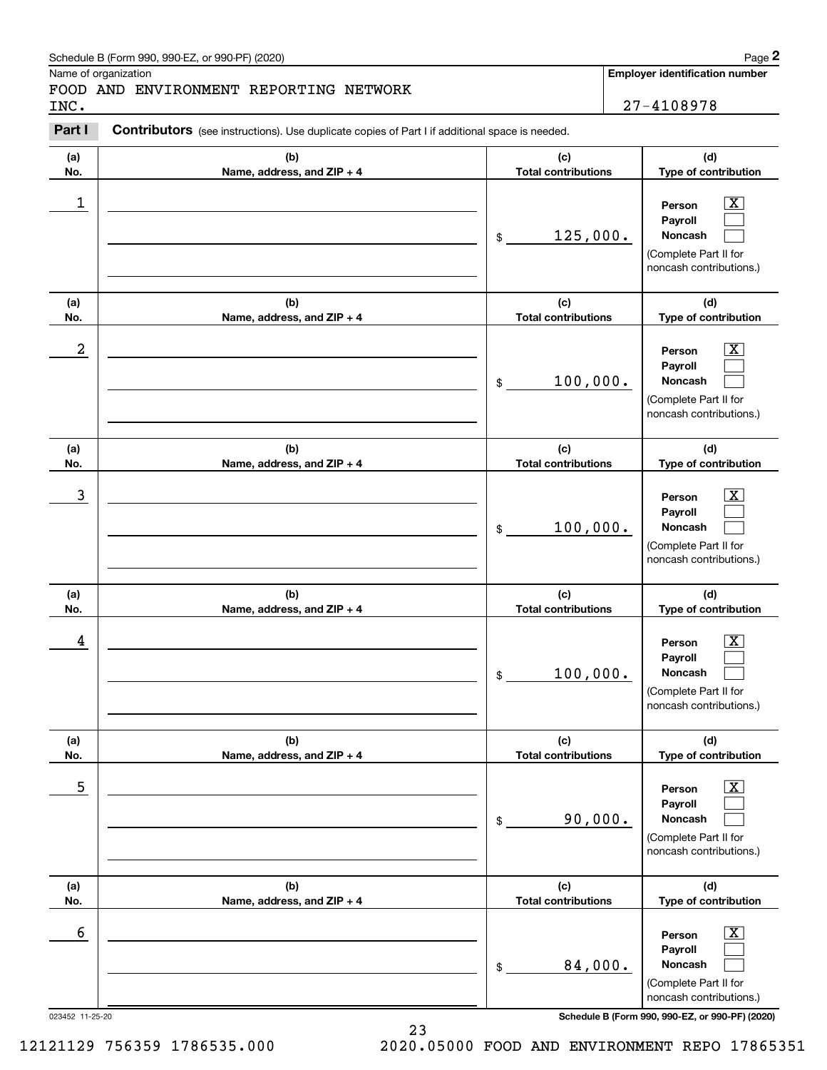### Schedule B (Form 990, 990-EZ, or 990-PF) (2020)  $Page$  2

Name of organization

**(a)No.**

**(a)No.**

**(a)No.**

**(a) No.**

**(a) No.**

**(a) No.**

# FOOD AND ENVIRONMENT REPORTING NETWORK

**(b)Name, address, and ZIP + 4**

**(b)Name, address, and ZIP + 4**

**(b)Name, address, and ZIP + 4**

**(b) Name, address, and ZIP + 4**

**(b) Name, address, and ZIP + 4**

**(b)Name, address, and ZIP + 4**

### **Employer identification number (c)Total contributions (d)Type of contribution PersonPayrollNoncash (c)Total contributions (d)Type of contribution PersonPayrollNoncash Contributors** (see instructions). Use duplicate copies of Part I if additional space is needed. \$(Complete Part II for noncash contributions.) \$(Complete Part II for noncash contributions.) Chedule B (Form 990, 990-EZ, or 990-PF) (2020)<br> **2Part I 27-4108978**<br> **2Part I Contributors** (see instructions). Use duplicate copies of Part I if additional space is needed.  $|X|$  $\mathcal{L}^{\text{max}}$  $\mathcal{L}^{\text{max}}$  $\boxed{\text{X}}$  $\mathcal{L}^{\text{max}}$  $\mathcal{L}^{\text{max}}$  $\begin{array}{c|c|c|c|c|c} 1 & \hspace{1.5cm} & \hspace{1.5cm} & \hspace{1.5cm} & \hspace{1.5cm} & \hspace{1.5cm} & \hspace{1.5cm} & \hspace{1.5cm} & \hspace{1.5cm} & \hspace{1.5cm} & \hspace{1.5cm} & \hspace{1.5cm} & \hspace{1.5cm} & \hspace{1.5cm} & \hspace{1.5cm} & \hspace{1.5cm} & \hspace{1.5cm} & \hspace{1.5cm} & \hspace{1.5cm} & \hspace{1.5cm} & \hspace{1.5cm} &$ 125,000.  $2$  | Person  $\overline{\text{X}}$ 100,000. INC. 27-4108978

**(d)Type of contribution**

> $|X|$  $\mathcal{L}^{\text{max}}$  $\mathcal{L}^{\text{max}}$

> $|X|$  $\mathcal{L}^{\text{max}}$  $\mathcal{L}^{\text{max}}$

> $\boxed{\text{X}}$  $\mathcal{L}^{\text{max}}$  $\mathcal{L}^{\text{max}}$

> $\boxed{\text{X}}$  $\mathcal{L}^{\text{max}}$  $\mathcal{L}^{\text{max}}$

**(d) Type of contribution**

**(d) Type of contribution**

**(d)Type of contribution**

(Complete Part II for noncash contributions.)

**PersonPayrollNoncash**

(Complete Part II for noncash contributions.)

> **PersonPayrollNoncash**

(Complete Part II for noncash contributions.)

> **PersonPayrollNoncash**

> **PersonPayrollNoncash**

(Complete Part II for noncash contributions.)

**(c)Total contributions**

**(c) Total contributions**

100,000.

100,000.

90,000.

\$

 $\overline{3}$  | Person  $\overline{X}$ 

 $4$  | Person  $\overline{\text{X}}$ 

 $\sim$  5 | Person X

 $\sim$  6 | Person X

\$

\$

\$

**(c) Total contributions**

**(c) Total contributions**

| <b>DAE</b><br>◠ | $-11$ | ാറ |  |
|-----------------|-------|----|--|

023452 11-25-20 **Schedule B (Form 990, 990-EZ, or 990-PF) (2020)**

23 12121129 756359 1786535.000 2020.05000 FOOD AND ENVIRONMENT REPO 17865351

84,000.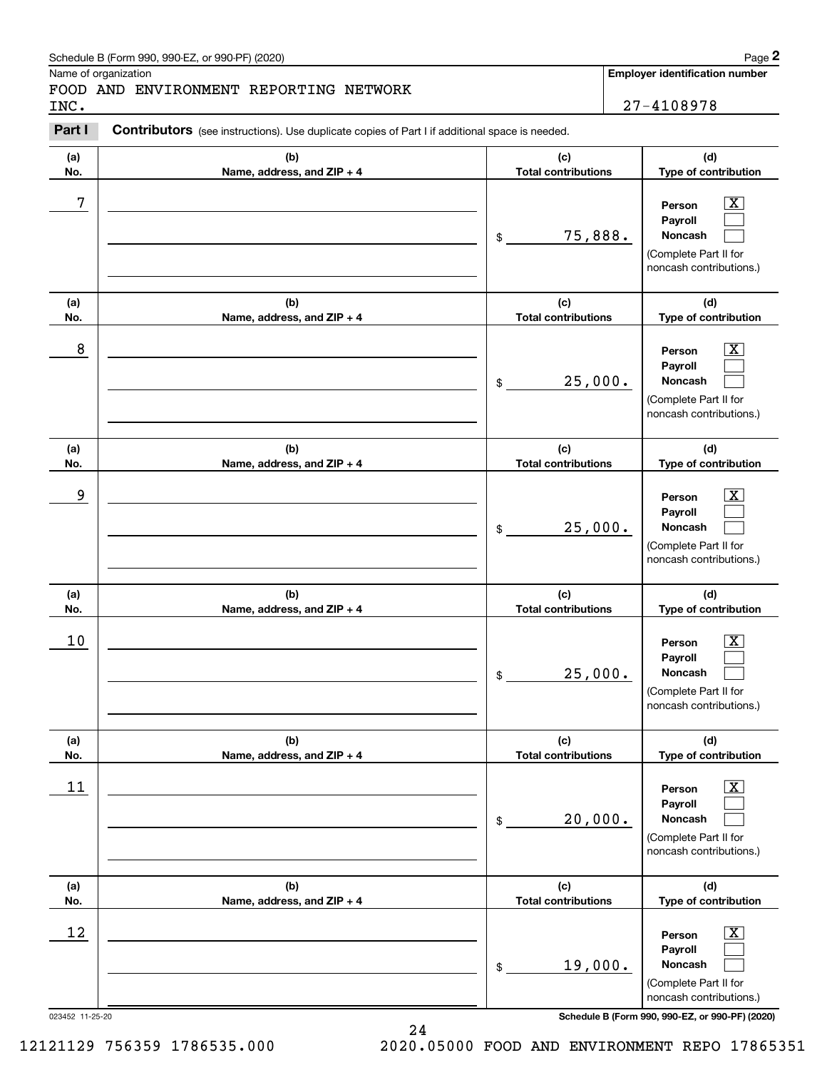# Schedule B (Form 990, 990-EZ, or 990-PF) (2020) **Page 2** Page 2

### FOOD AND ENVIRONMENT REPORTING NETWORK INC. 27-4108978

|            | Schedule B (Form 990, 990-EZ, or 990-PF) (2020)                                                |                                   | Page 2                                                                                                      |
|------------|------------------------------------------------------------------------------------------------|-----------------------------------|-------------------------------------------------------------------------------------------------------------|
| INC.       | Name of organization<br>FOOD AND ENVIRONMENT REPORTING NETWORK                                 |                                   | Employer identification number<br>27-4108978                                                                |
| Part I     | Contributors (see instructions). Use duplicate copies of Part I if additional space is needed. |                                   |                                                                                                             |
| (a)<br>No. | (b)<br>Name, address, and ZIP + 4                                                              | (c)<br><b>Total contributions</b> | (d)<br>Type of contribution                                                                                 |
| 7          |                                                                                                | 75,888.<br>\$                     | $\overline{\mathbf{X}}$<br>Person<br>Payroll<br>Noncash<br>(Complete Part II for<br>noncash contributions.) |
| (a)<br>No. | (b)<br>Name, address, and ZIP + 4                                                              | (c)<br><b>Total contributions</b> | (d)<br>Type of contribution                                                                                 |
| 8          |                                                                                                | 25,000.<br>\$                     | $\mathbf{X}$<br>Person<br>Payroll<br>Noncash<br>(Complete Part II for<br>noncash contributions.)            |
| (a)<br>No. | (b)<br>Name, address, and ZIP + 4                                                              | (c)<br><b>Total contributions</b> | (d)<br>Type of contribution                                                                                 |
| 9          |                                                                                                | 25,000.<br>\$                     | $\overline{\text{X}}$<br>Person<br>Payroll<br>Noncash<br>(Complete Part II for<br>noncash contributions.)   |
| (a)<br>No. | (b)<br>Name, address, and ZIP + 4                                                              | (c)<br><b>Total contributions</b> | (d)<br>Type of contribution                                                                                 |
| 10         |                                                                                                | 25,000.<br>\$                     | $\mathbf{X}$<br>Person<br>Payroll<br>Noncash<br>(Complete Part II for<br>noncash contributions.)            |
| (a)<br>No. | (b)<br>Name, address, and ZIP + 4                                                              | (c)<br><b>Total contributions</b> | (d)<br>Type of contribution                                                                                 |
| 11         |                                                                                                | 20,000.<br>\$                     | $\boxed{\text{X}}$<br>Person<br>Payroll<br>Noncash<br>(Complete Part II for<br>noncash contributions.)      |
| (a)<br>No. | (b)<br>Name, address, and ZIP + 4                                                              | (c)<br><b>Total contributions</b> | (d)<br>Type of contribution                                                                                 |
| 12         |                                                                                                | 19,000.<br>\$                     | $\boxed{\text{X}}$<br>Person<br>Payroll<br>Noncash<br>(Complete Part II for<br>noncash contributions.)      |

023452 11-25-20 **Schedule B (Form 990, 990-EZ, or 990-PF) (2020)**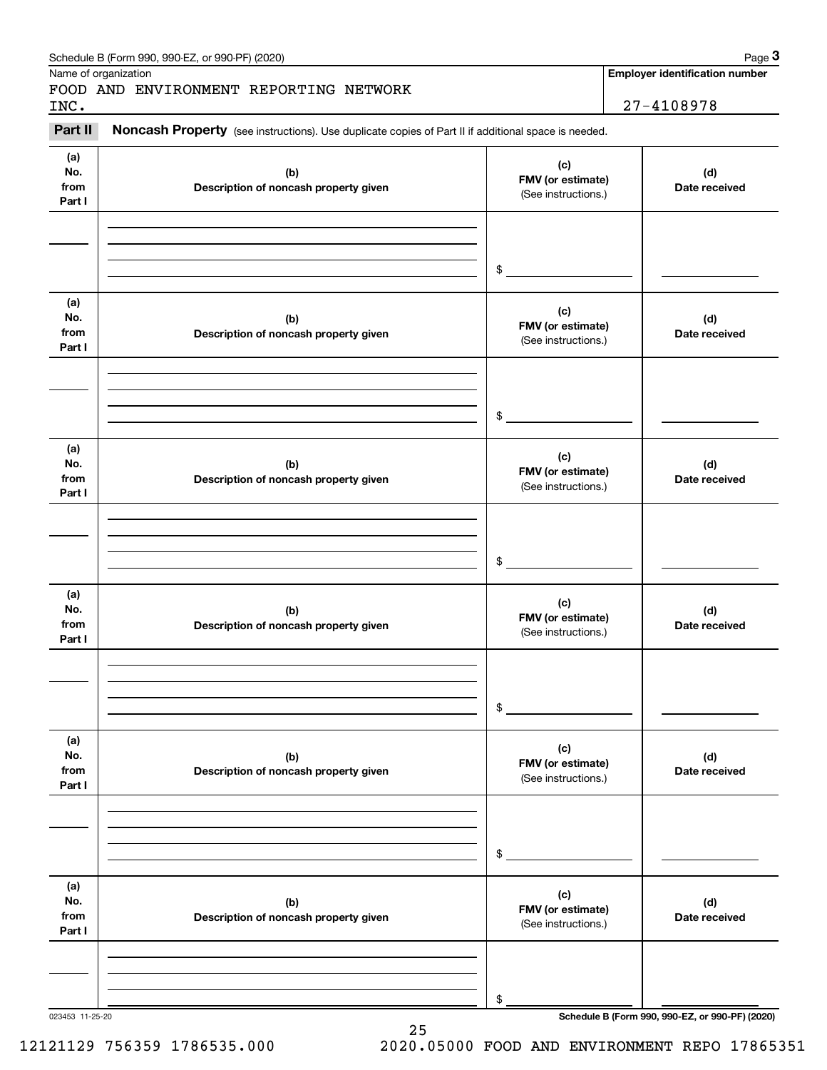|                              | Schedule B (Form 990, 990-EZ, or 990-PF) (2020)                                                     |                                                 | Page 3                                                  |
|------------------------------|-----------------------------------------------------------------------------------------------------|-------------------------------------------------|---------------------------------------------------------|
| Name of organization<br>INC. | FOOD AND ENVIRONMENT REPORTING NETWORK                                                              |                                                 | <b>Employer identification number</b><br>$27 - 4108978$ |
| Part II                      | Noncash Property (see instructions). Use duplicate copies of Part II if additional space is needed. |                                                 |                                                         |
| (a)<br>No.<br>from<br>Part I | (b)<br>Description of noncash property given                                                        | (c)<br>FMV (or estimate)<br>(See instructions.) | (d)<br>Date received                                    |
|                              |                                                                                                     | \$                                              |                                                         |
| (a)<br>No.<br>from<br>Part I | (b)<br>Description of noncash property given                                                        | (c)<br>FMV (or estimate)<br>(See instructions.) | (d)<br>Date received                                    |
|                              |                                                                                                     | \$                                              |                                                         |
| (a)<br>No.<br>from<br>Part I | (b)<br>Description of noncash property given                                                        | (c)<br>FMV (or estimate)<br>(See instructions.) | (d)<br>Date received                                    |
|                              |                                                                                                     | \$                                              |                                                         |
| (a)<br>No.<br>from<br>Part I | (b)<br>Description of noncash property given                                                        | (c)<br>FMV (or estimate)<br>(See instructions.) | (d)<br>Date received                                    |
|                              |                                                                                                     | \$                                              |                                                         |
| (a)<br>No.<br>from<br>Part I | (b)<br>Description of noncash property given                                                        | (c)<br>FMV (or estimate)<br>(See instructions.) | (d)<br>Date received                                    |
|                              |                                                                                                     | \$                                              |                                                         |
| (a)<br>No.<br>from<br>Part I | (b)<br>Description of noncash property given                                                        | (c)<br>FMV (or estimate)<br>(See instructions.) | (d)<br>Date received                                    |
|                              |                                                                                                     | \$                                              |                                                         |
| 023453 11-25-20              |                                                                                                     |                                                 | Schedule B (Form 990, 990-EZ, or 990-PF) (2020)         |

12121129 756359 1786535.000 2020.05000 FOOD AND ENVIRONMENT REPO 17865351

25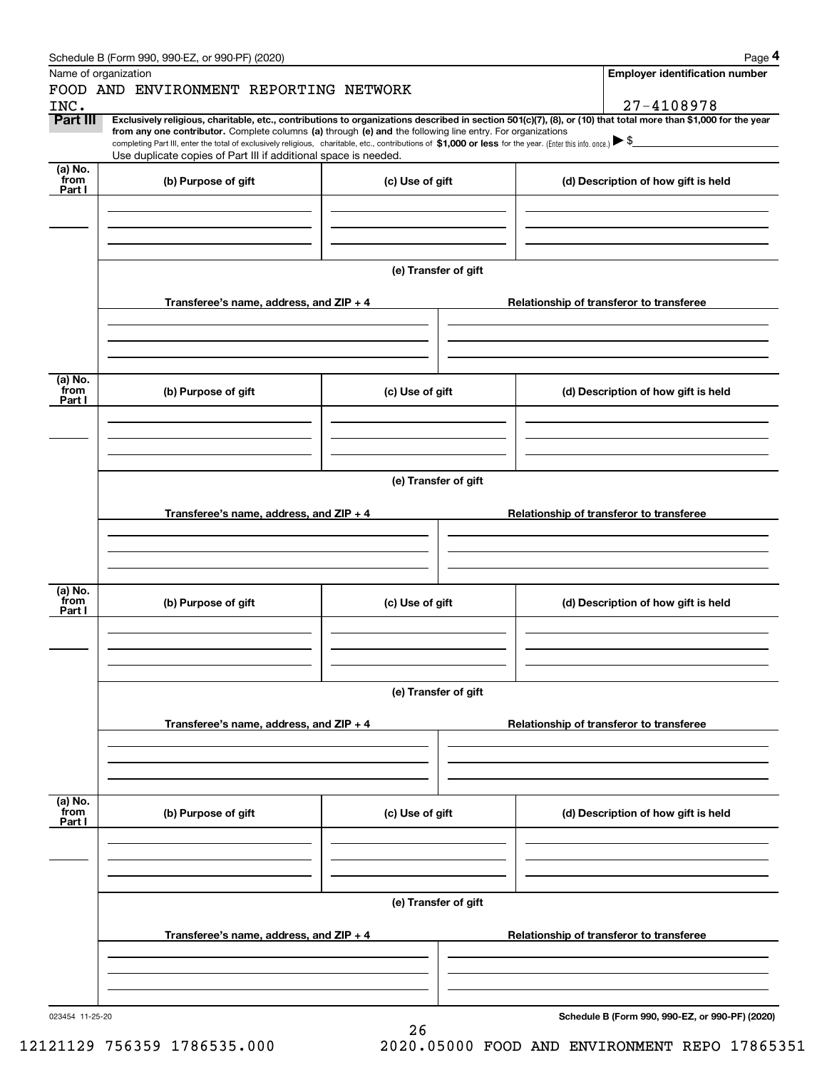|                      | Schedule B (Form 990, 990-EZ, or 990-PF) (2020)                                                                                                                                                                                                                                                 |                 |                                       | Page 4                                   |  |  |  |  |  |
|----------------------|-------------------------------------------------------------------------------------------------------------------------------------------------------------------------------------------------------------------------------------------------------------------------------------------------|-----------------|---------------------------------------|------------------------------------------|--|--|--|--|--|
| Name of organization |                                                                                                                                                                                                                                                                                                 |                 | <b>Employer identification number</b> |                                          |  |  |  |  |  |
| INC.                 | FOOD AND ENVIRONMENT REPORTING NETWORK                                                                                                                                                                                                                                                          |                 |                                       | 27-4108978                               |  |  |  |  |  |
| Part III             | Exclusively religious, charitable, etc., contributions to organizations described in section 501(c)(7), (8), or (10) that total more than \$1,000 for the year                                                                                                                                  |                 |                                       |                                          |  |  |  |  |  |
|                      | from any one contributor. Complete columns (a) through (e) and the following line entry. For organizations<br>completing Part III, enter the total of exclusively religious, charitable, etc., contributions of \$1,000 or less for the year. (Enter this info. once.) $\blacktriangleright$ \$ |                 |                                       |                                          |  |  |  |  |  |
|                      | Use duplicate copies of Part III if additional space is needed.                                                                                                                                                                                                                                 |                 |                                       |                                          |  |  |  |  |  |
| $(a)$ No.<br>from    | (b) Purpose of gift                                                                                                                                                                                                                                                                             | (c) Use of gift |                                       | (d) Description of how gift is held      |  |  |  |  |  |
| Part I               |                                                                                                                                                                                                                                                                                                 |                 |                                       |                                          |  |  |  |  |  |
|                      |                                                                                                                                                                                                                                                                                                 |                 |                                       |                                          |  |  |  |  |  |
|                      |                                                                                                                                                                                                                                                                                                 |                 |                                       |                                          |  |  |  |  |  |
|                      |                                                                                                                                                                                                                                                                                                 |                 |                                       |                                          |  |  |  |  |  |
|                      | (e) Transfer of gift                                                                                                                                                                                                                                                                            |                 |                                       |                                          |  |  |  |  |  |
|                      |                                                                                                                                                                                                                                                                                                 |                 |                                       |                                          |  |  |  |  |  |
|                      | Transferee's name, address, and ZIP + 4                                                                                                                                                                                                                                                         |                 |                                       | Relationship of transferor to transferee |  |  |  |  |  |
|                      |                                                                                                                                                                                                                                                                                                 |                 |                                       |                                          |  |  |  |  |  |
|                      |                                                                                                                                                                                                                                                                                                 |                 |                                       |                                          |  |  |  |  |  |
|                      |                                                                                                                                                                                                                                                                                                 |                 |                                       |                                          |  |  |  |  |  |
| (a) No.              |                                                                                                                                                                                                                                                                                                 |                 |                                       |                                          |  |  |  |  |  |
| from<br>Part I       | (b) Purpose of gift                                                                                                                                                                                                                                                                             | (c) Use of gift |                                       | (d) Description of how gift is held      |  |  |  |  |  |
|                      |                                                                                                                                                                                                                                                                                                 |                 |                                       |                                          |  |  |  |  |  |
|                      |                                                                                                                                                                                                                                                                                                 |                 |                                       |                                          |  |  |  |  |  |
|                      |                                                                                                                                                                                                                                                                                                 |                 |                                       |                                          |  |  |  |  |  |
|                      |                                                                                                                                                                                                                                                                                                 |                 |                                       |                                          |  |  |  |  |  |
|                      | (e) Transfer of gift                                                                                                                                                                                                                                                                            |                 |                                       |                                          |  |  |  |  |  |
|                      | Transferee's name, address, and ZIP + 4                                                                                                                                                                                                                                                         |                 |                                       | Relationship of transferor to transferee |  |  |  |  |  |
|                      |                                                                                                                                                                                                                                                                                                 |                 |                                       |                                          |  |  |  |  |  |
|                      |                                                                                                                                                                                                                                                                                                 |                 |                                       |                                          |  |  |  |  |  |
|                      |                                                                                                                                                                                                                                                                                                 |                 |                                       |                                          |  |  |  |  |  |
| (a) No.              |                                                                                                                                                                                                                                                                                                 |                 |                                       |                                          |  |  |  |  |  |
| from<br>Part I       | (b) Purpose of gift                                                                                                                                                                                                                                                                             | (c) Use of gift |                                       | (d) Description of how gift is held      |  |  |  |  |  |
|                      |                                                                                                                                                                                                                                                                                                 |                 |                                       |                                          |  |  |  |  |  |
|                      |                                                                                                                                                                                                                                                                                                 |                 |                                       |                                          |  |  |  |  |  |
|                      |                                                                                                                                                                                                                                                                                                 |                 |                                       |                                          |  |  |  |  |  |
|                      |                                                                                                                                                                                                                                                                                                 |                 |                                       |                                          |  |  |  |  |  |
|                      | (e) Transfer of gift                                                                                                                                                                                                                                                                            |                 |                                       |                                          |  |  |  |  |  |
|                      | Transferee's name, address, and $ZIP + 4$                                                                                                                                                                                                                                                       |                 |                                       | Relationship of transferor to transferee |  |  |  |  |  |
|                      |                                                                                                                                                                                                                                                                                                 |                 |                                       |                                          |  |  |  |  |  |
|                      |                                                                                                                                                                                                                                                                                                 |                 |                                       |                                          |  |  |  |  |  |
|                      |                                                                                                                                                                                                                                                                                                 |                 |                                       |                                          |  |  |  |  |  |
| (a) No.<br>from      |                                                                                                                                                                                                                                                                                                 |                 |                                       |                                          |  |  |  |  |  |
| Part I               | (b) Purpose of gift                                                                                                                                                                                                                                                                             | (c) Use of gift |                                       | (d) Description of how gift is held      |  |  |  |  |  |
|                      |                                                                                                                                                                                                                                                                                                 |                 |                                       |                                          |  |  |  |  |  |
|                      |                                                                                                                                                                                                                                                                                                 |                 |                                       |                                          |  |  |  |  |  |
|                      |                                                                                                                                                                                                                                                                                                 |                 |                                       |                                          |  |  |  |  |  |
|                      |                                                                                                                                                                                                                                                                                                 |                 |                                       |                                          |  |  |  |  |  |
|                      | (e) Transfer of gift                                                                                                                                                                                                                                                                            |                 |                                       |                                          |  |  |  |  |  |
|                      | Transferee's name, address, and $ZIP + 4$                                                                                                                                                                                                                                                       |                 |                                       | Relationship of transferor to transferee |  |  |  |  |  |
|                      |                                                                                                                                                                                                                                                                                                 |                 |                                       |                                          |  |  |  |  |  |
|                      |                                                                                                                                                                                                                                                                                                 |                 |                                       |                                          |  |  |  |  |  |
|                      |                                                                                                                                                                                                                                                                                                 |                 |                                       |                                          |  |  |  |  |  |
|                      |                                                                                                                                                                                                                                                                                                 |                 |                                       |                                          |  |  |  |  |  |

26

**Schedule B (Form 990, 990-EZ, or 990-PF) (2020)**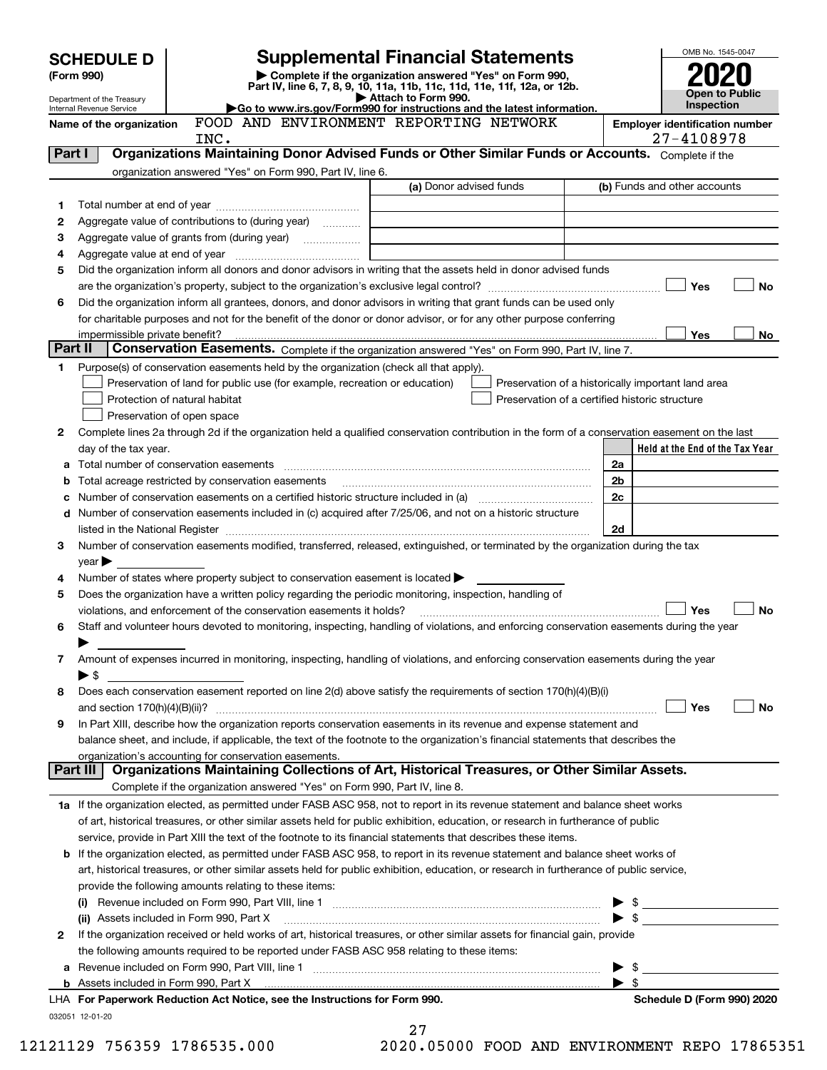| <b>SCHEDULE D</b>                                                                                                                            |                                |                                                                                                        | <b>Supplemental Financial Statements</b>                                                                                                                                                                                                |                                  | OMB No. 1545-0047               |  |
|----------------------------------------------------------------------------------------------------------------------------------------------|--------------------------------|--------------------------------------------------------------------------------------------------------|-----------------------------------------------------------------------------------------------------------------------------------------------------------------------------------------------------------------------------------------|----------------------------------|---------------------------------|--|
| (Form 990)                                                                                                                                   |                                |                                                                                                        | Complete if the organization answered "Yes" on Form 990,                                                                                                                                                                                |                                  |                                 |  |
| Part IV, line 6, 7, 8, 9, 10, 11a, 11b, 11c, 11d, 11e, 11f, 12a, or 12b.<br>Attach to Form 990.<br>Department of the Treasury                |                                |                                                                                                        |                                                                                                                                                                                                                                         |                                  | Open to Public                  |  |
| Go to www.irs.gov/Form990 for instructions and the latest information.<br>Internal Revenue Service<br>FOOD AND ENVIRONMENT REPORTING NETWORK |                                |                                                                                                        |                                                                                                                                                                                                                                         |                                  | Inspection                      |  |
|                                                                                                                                              | Name of the organization       |                                                                                                        | <b>Employer identification number</b><br>27-4108978                                                                                                                                                                                     |                                  |                                 |  |
| Part I                                                                                                                                       |                                | INC.                                                                                                   | Organizations Maintaining Donor Advised Funds or Other Similar Funds or Accounts. Complete if the                                                                                                                                       |                                  |                                 |  |
|                                                                                                                                              |                                | organization answered "Yes" on Form 990, Part IV, line 6.                                              |                                                                                                                                                                                                                                         |                                  |                                 |  |
|                                                                                                                                              |                                |                                                                                                        | (a) Donor advised funds                                                                                                                                                                                                                 |                                  | (b) Funds and other accounts    |  |
| 1                                                                                                                                            |                                |                                                                                                        |                                                                                                                                                                                                                                         |                                  |                                 |  |
| 2                                                                                                                                            |                                | Aggregate value of contributions to (during year)                                                      |                                                                                                                                                                                                                                         |                                  |                                 |  |
| з                                                                                                                                            |                                |                                                                                                        |                                                                                                                                                                                                                                         |                                  |                                 |  |
| 4                                                                                                                                            |                                |                                                                                                        |                                                                                                                                                                                                                                         |                                  |                                 |  |
| 5                                                                                                                                            |                                |                                                                                                        | Did the organization inform all donors and donor advisors in writing that the assets held in donor advised funds                                                                                                                        |                                  |                                 |  |
|                                                                                                                                              |                                |                                                                                                        |                                                                                                                                                                                                                                         |                                  | Yes<br><b>No</b>                |  |
| 6                                                                                                                                            |                                |                                                                                                        | Did the organization inform all grantees, donors, and donor advisors in writing that grant funds can be used only<br>for charitable purposes and not for the benefit of the donor or donor advisor, or for any other purpose conferring |                                  |                                 |  |
|                                                                                                                                              | impermissible private benefit? |                                                                                                        |                                                                                                                                                                                                                                         |                                  | Yes<br>No                       |  |
| Part II                                                                                                                                      |                                |                                                                                                        | Conservation Easements. Complete if the organization answered "Yes" on Form 990, Part IV, line 7.                                                                                                                                       |                                  |                                 |  |
| 1                                                                                                                                            |                                | Purpose(s) of conservation easements held by the organization (check all that apply).                  |                                                                                                                                                                                                                                         |                                  |                                 |  |
|                                                                                                                                              |                                | Preservation of land for public use (for example, recreation or education)                             | Preservation of a historically important land area                                                                                                                                                                                      |                                  |                                 |  |
|                                                                                                                                              |                                | Protection of natural habitat                                                                          | Preservation of a certified historic structure                                                                                                                                                                                          |                                  |                                 |  |
|                                                                                                                                              |                                | Preservation of open space                                                                             |                                                                                                                                                                                                                                         |                                  |                                 |  |
| 2                                                                                                                                            |                                |                                                                                                        | Complete lines 2a through 2d if the organization held a qualified conservation contribution in the form of a conservation easement on the last                                                                                          |                                  |                                 |  |
|                                                                                                                                              | day of the tax year.           |                                                                                                        |                                                                                                                                                                                                                                         |                                  | Held at the End of the Tax Year |  |
|                                                                                                                                              |                                |                                                                                                        |                                                                                                                                                                                                                                         | 2a                               |                                 |  |
| b                                                                                                                                            |                                | Total acreage restricted by conservation easements                                                     |                                                                                                                                                                                                                                         | 2 <sub>b</sub>                   |                                 |  |
|                                                                                                                                              |                                |                                                                                                        | Number of conservation easements on a certified historic structure included in (a) manufacture included in (a)                                                                                                                          | 2c                               |                                 |  |
|                                                                                                                                              |                                |                                                                                                        | d Number of conservation easements included in (c) acquired after 7/25/06, and not on a historic structure                                                                                                                              |                                  |                                 |  |
|                                                                                                                                              |                                |                                                                                                        |                                                                                                                                                                                                                                         | 2d                               |                                 |  |
| 3                                                                                                                                            |                                |                                                                                                        | Number of conservation easements modified, transferred, released, extinguished, or terminated by the organization during the tax                                                                                                        |                                  |                                 |  |
|                                                                                                                                              | $year \blacktriangleright$     |                                                                                                        |                                                                                                                                                                                                                                         |                                  |                                 |  |
| 4                                                                                                                                            |                                | Number of states where property subject to conservation easement is located $\blacktriangleright$      |                                                                                                                                                                                                                                         |                                  |                                 |  |
| 5                                                                                                                                            |                                | Does the organization have a written policy regarding the periodic monitoring, inspection, handling of |                                                                                                                                                                                                                                         |                                  |                                 |  |
| 6                                                                                                                                            |                                | violations, and enforcement of the conservation easements it holds?                                    | Staff and volunteer hours devoted to monitoring, inspecting, handling of violations, and enforcing conservation easements during the year                                                                                               |                                  | <b>No</b><br>Yes                |  |
|                                                                                                                                              |                                |                                                                                                        |                                                                                                                                                                                                                                         |                                  |                                 |  |
| 7                                                                                                                                            |                                |                                                                                                        | Amount of expenses incurred in monitoring, inspecting, handling of violations, and enforcing conservation easements during the year                                                                                                     |                                  |                                 |  |
|                                                                                                                                              | $\blacktriangleright$ \$       |                                                                                                        |                                                                                                                                                                                                                                         |                                  |                                 |  |
| 8                                                                                                                                            |                                |                                                                                                        | Does each conservation easement reported on line 2(d) above satisfy the requirements of section 170(h)(4)(B)(i)                                                                                                                         |                                  |                                 |  |
|                                                                                                                                              |                                |                                                                                                        |                                                                                                                                                                                                                                         |                                  | Yes<br>No                       |  |
| 9                                                                                                                                            |                                |                                                                                                        | In Part XIII, describe how the organization reports conservation easements in its revenue and expense statement and                                                                                                                     |                                  |                                 |  |
|                                                                                                                                              |                                |                                                                                                        | balance sheet, and include, if applicable, the text of the footnote to the organization's financial statements that describes the                                                                                                       |                                  |                                 |  |
|                                                                                                                                              |                                | organization's accounting for conservation easements.                                                  |                                                                                                                                                                                                                                         |                                  |                                 |  |
|                                                                                                                                              | Part III                       |                                                                                                        | Organizations Maintaining Collections of Art, Historical Treasures, or Other Similar Assets.                                                                                                                                            |                                  |                                 |  |
|                                                                                                                                              |                                | Complete if the organization answered "Yes" on Form 990, Part IV, line 8.                              |                                                                                                                                                                                                                                         |                                  |                                 |  |
|                                                                                                                                              |                                |                                                                                                        | 1a If the organization elected, as permitted under FASB ASC 958, not to report in its revenue statement and balance sheet works                                                                                                         |                                  |                                 |  |
|                                                                                                                                              |                                |                                                                                                        | of art, historical treasures, or other similar assets held for public exhibition, education, or research in furtherance of public                                                                                                       |                                  |                                 |  |
|                                                                                                                                              |                                |                                                                                                        | service, provide in Part XIII the text of the footnote to its financial statements that describes these items.                                                                                                                          |                                  |                                 |  |
|                                                                                                                                              |                                |                                                                                                        | <b>b</b> If the organization elected, as permitted under FASB ASC 958, to report in its revenue statement and balance sheet works of                                                                                                    |                                  |                                 |  |
|                                                                                                                                              |                                |                                                                                                        | art, historical treasures, or other similar assets held for public exhibition, education, or research in furtherance of public service,                                                                                                 |                                  |                                 |  |
|                                                                                                                                              |                                | provide the following amounts relating to these items:                                                 |                                                                                                                                                                                                                                         |                                  |                                 |  |
|                                                                                                                                              |                                |                                                                                                        |                                                                                                                                                                                                                                         |                                  | $\triangleright$ \$             |  |
|                                                                                                                                              |                                | (ii) Assets included in Form 990, Part X                                                               |                                                                                                                                                                                                                                         | $\blacktriangleright$ \$         |                                 |  |
| 2                                                                                                                                            |                                |                                                                                                        | If the organization received or held works of art, historical treasures, or other similar assets for financial gain, provide                                                                                                            |                                  |                                 |  |
|                                                                                                                                              |                                | the following amounts required to be reported under FASB ASC 958 relating to these items:              |                                                                                                                                                                                                                                         |                                  |                                 |  |
| а                                                                                                                                            |                                |                                                                                                        |                                                                                                                                                                                                                                         | - \$<br>$\blacktriangleright$ \$ |                                 |  |
|                                                                                                                                              |                                | LHA For Paperwork Reduction Act Notice, see the Instructions for Form 990.                             |                                                                                                                                                                                                                                         |                                  | Schedule D (Form 990) 2020      |  |
|                                                                                                                                              | 032051 12-01-20                |                                                                                                        |                                                                                                                                                                                                                                         |                                  |                                 |  |
|                                                                                                                                              |                                |                                                                                                        | 27                                                                                                                                                                                                                                      |                                  |                                 |  |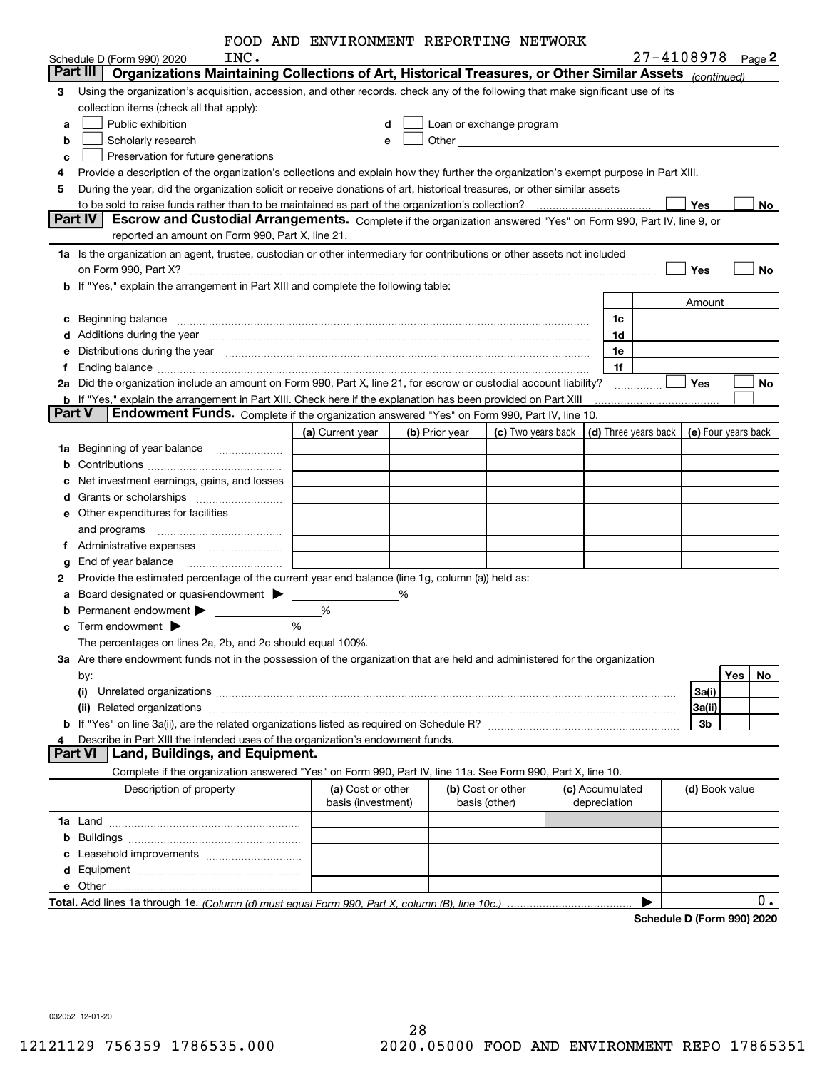|               |                                                                                                                                                                                                                                | FOOD AND ENVIRONMENT REPORTING NETWORK |   |                |                                                                                                                                                                                                                               |                 |                            |                     |     |           |
|---------------|--------------------------------------------------------------------------------------------------------------------------------------------------------------------------------------------------------------------------------|----------------------------------------|---|----------------|-------------------------------------------------------------------------------------------------------------------------------------------------------------------------------------------------------------------------------|-----------------|----------------------------|---------------------|-----|-----------|
|               | INC.<br>Schedule D (Form 990) 2020                                                                                                                                                                                             |                                        |   |                |                                                                                                                                                                                                                               |                 | $27 - 4108978$ Page 2      |                     |     |           |
|               | Organizations Maintaining Collections of Art, Historical Treasures, or Other Similar Assets (continued)<br>Part III                                                                                                            |                                        |   |                |                                                                                                                                                                                                                               |                 |                            |                     |     |           |
| з             | Using the organization's acquisition, accession, and other records, check any of the following that make significant use of its                                                                                                |                                        |   |                |                                                                                                                                                                                                                               |                 |                            |                     |     |           |
|               | collection items (check all that apply):                                                                                                                                                                                       |                                        |   |                |                                                                                                                                                                                                                               |                 |                            |                     |     |           |
| а             | Public exhibition                                                                                                                                                                                                              | d                                      |   |                | Loan or exchange program                                                                                                                                                                                                      |                 |                            |                     |     |           |
| b             | Scholarly research                                                                                                                                                                                                             |                                        | е |                | Other and the contract of the contract of the contract of the contract of the contract of the contract of the contract of the contract of the contract of the contract of the contract of the contract of the contract of the |                 |                            |                     |     |           |
| с             | Preservation for future generations                                                                                                                                                                                            |                                        |   |                |                                                                                                                                                                                                                               |                 |                            |                     |     |           |
| 4             | Provide a description of the organization's collections and explain how they further the organization's exempt purpose in Part XIII.                                                                                           |                                        |   |                |                                                                                                                                                                                                                               |                 |                            |                     |     |           |
| 5             | During the year, did the organization solicit or receive donations of art, historical treasures, or other similar assets                                                                                                       |                                        |   |                |                                                                                                                                                                                                                               |                 |                            |                     |     |           |
|               |                                                                                                                                                                                                                                |                                        |   |                |                                                                                                                                                                                                                               |                 |                            | Yes                 |     | No        |
|               | Escrow and Custodial Arrangements. Complete if the organization answered "Yes" on Form 990, Part IV, line 9, or<br>Part IV                                                                                                     |                                        |   |                |                                                                                                                                                                                                                               |                 |                            |                     |     |           |
|               | reported an amount on Form 990, Part X, line 21.                                                                                                                                                                               |                                        |   |                |                                                                                                                                                                                                                               |                 |                            |                     |     |           |
|               | 1a Is the organization an agent, trustee, custodian or other intermediary for contributions or other assets not included                                                                                                       |                                        |   |                |                                                                                                                                                                                                                               |                 |                            |                     |     |           |
|               |                                                                                                                                                                                                                                |                                        |   |                |                                                                                                                                                                                                                               |                 |                            | Yes                 |     | <b>No</b> |
|               | b If "Yes," explain the arrangement in Part XIII and complete the following table:                                                                                                                                             |                                        |   |                |                                                                                                                                                                                                                               |                 |                            |                     |     |           |
|               |                                                                                                                                                                                                                                |                                        |   |                |                                                                                                                                                                                                                               |                 |                            | Amount              |     |           |
| с             | Beginning balance                                                                                                                                                                                                              |                                        |   |                |                                                                                                                                                                                                                               | 1c              |                            |                     |     |           |
| d             | Additions during the year manufactured and an annual contract of the year manufactured and all the year manufactured and all the year manufactured and all the year manufactured and all the year manufactured and all the yea |                                        |   |                |                                                                                                                                                                                                                               | 1d              |                            |                     |     |           |
| е             | Distributions during the year manufactured and continuum control of the year manufactured and control of the year manufactured and control of the year manufactured and control of the year manufactured and control of the ye |                                        |   |                |                                                                                                                                                                                                                               | 1e              |                            |                     |     |           |
| f             |                                                                                                                                                                                                                                |                                        |   |                |                                                                                                                                                                                                                               | 1f              |                            |                     |     |           |
| 2a            | Did the organization include an amount on Form 990, Part X, line 21, for escrow or custodial account liability?                                                                                                                |                                        |   |                |                                                                                                                                                                                                                               |                 |                            | <b>Yes</b>          |     | No        |
|               | b If "Yes," explain the arrangement in Part XIII. Check here if the explanation has been provided on Part XIII                                                                                                                 |                                        |   |                |                                                                                                                                                                                                                               |                 |                            |                     |     |           |
| <b>Part V</b> | Endowment Funds. Complete if the organization answered "Yes" on Form 990, Part IV, line 10.                                                                                                                                    |                                        |   |                |                                                                                                                                                                                                                               |                 |                            |                     |     |           |
|               |                                                                                                                                                                                                                                | (a) Current year                       |   | (b) Prior year | (c) Two years back                                                                                                                                                                                                            |                 | (d) Three years back       | (e) Four years back |     |           |
| 1a            | Beginning of year balance                                                                                                                                                                                                      |                                        |   |                |                                                                                                                                                                                                                               |                 |                            |                     |     |           |
| b             |                                                                                                                                                                                                                                |                                        |   |                |                                                                                                                                                                                                                               |                 |                            |                     |     |           |
| с             | Net investment earnings, gains, and losses                                                                                                                                                                                     |                                        |   |                |                                                                                                                                                                                                                               |                 |                            |                     |     |           |
| d             |                                                                                                                                                                                                                                |                                        |   |                |                                                                                                                                                                                                                               |                 |                            |                     |     |           |
| е             | Other expenditures for facilities                                                                                                                                                                                              |                                        |   |                |                                                                                                                                                                                                                               |                 |                            |                     |     |           |
|               | and programs                                                                                                                                                                                                                   |                                        |   |                |                                                                                                                                                                                                                               |                 |                            |                     |     |           |
|               |                                                                                                                                                                                                                                |                                        |   |                |                                                                                                                                                                                                                               |                 |                            |                     |     |           |
| g             | End of year balance                                                                                                                                                                                                            |                                        |   |                |                                                                                                                                                                                                                               |                 |                            |                     |     |           |
| 2             | Provide the estimated percentage of the current year end balance (line 1g, column (a)) held as:                                                                                                                                |                                        |   |                |                                                                                                                                                                                                                               |                 |                            |                     |     |           |
| a             | Board designated or quasi-endowment > _______                                                                                                                                                                                  |                                        | % |                |                                                                                                                                                                                                                               |                 |                            |                     |     |           |
|               |                                                                                                                                                                                                                                | %                                      |   |                |                                                                                                                                                                                                                               |                 |                            |                     |     |           |
| b             |                                                                                                                                                                                                                                | %                                      |   |                |                                                                                                                                                                                                                               |                 |                            |                     |     |           |
| с             | Term endowment <b>Department</b>                                                                                                                                                                                               |                                        |   |                |                                                                                                                                                                                                                               |                 |                            |                     |     |           |
|               | The percentages on lines 2a, 2b, and 2c should equal 100%.                                                                                                                                                                     |                                        |   |                |                                                                                                                                                                                                                               |                 |                            |                     |     |           |
|               | 3a Are there endowment funds not in the possession of the organization that are held and administered for the organization                                                                                                     |                                        |   |                |                                                                                                                                                                                                                               |                 |                            |                     |     |           |
|               | by:                                                                                                                                                                                                                            |                                        |   |                |                                                                                                                                                                                                                               |                 |                            |                     | Yes | No        |
|               | (i)                                                                                                                                                                                                                            |                                        |   |                |                                                                                                                                                                                                                               |                 |                            | 3a(i)               |     |           |
|               |                                                                                                                                                                                                                                |                                        |   |                |                                                                                                                                                                                                                               |                 |                            | 3a(ii)              |     |           |
|               |                                                                                                                                                                                                                                |                                        |   |                |                                                                                                                                                                                                                               |                 |                            | 3b                  |     |           |
| 4             | Describe in Part XIII the intended uses of the organization's endowment funds.                                                                                                                                                 |                                        |   |                |                                                                                                                                                                                                                               |                 |                            |                     |     |           |
|               | Land, Buildings, and Equipment.<br><b>Part VI</b>                                                                                                                                                                              |                                        |   |                |                                                                                                                                                                                                                               |                 |                            |                     |     |           |
|               | Complete if the organization answered "Yes" on Form 990, Part IV, line 11a. See Form 990, Part X, line 10.                                                                                                                     |                                        |   |                |                                                                                                                                                                                                                               |                 |                            |                     |     |           |
|               | Description of property                                                                                                                                                                                                        | (a) Cost or other                      |   |                | (b) Cost or other                                                                                                                                                                                                             | (c) Accumulated |                            | (d) Book value      |     |           |
|               |                                                                                                                                                                                                                                | basis (investment)                     |   |                | basis (other)                                                                                                                                                                                                                 | depreciation    |                            |                     |     |           |
|               |                                                                                                                                                                                                                                |                                        |   |                |                                                                                                                                                                                                                               |                 |                            |                     |     |           |
| b             |                                                                                                                                                                                                                                |                                        |   |                |                                                                                                                                                                                                                               |                 |                            |                     |     |           |
| с             | Leasehold improvements                                                                                                                                                                                                         |                                        |   |                |                                                                                                                                                                                                                               |                 |                            |                     |     |           |
|               |                                                                                                                                                                                                                                |                                        |   |                |                                                                                                                                                                                                                               |                 |                            |                     |     |           |
| е             |                                                                                                                                                                                                                                |                                        |   |                |                                                                                                                                                                                                                               |                 |                            |                     |     |           |
|               |                                                                                                                                                                                                                                |                                        |   |                |                                                                                                                                                                                                                               |                 |                            |                     |     | 0.        |
|               |                                                                                                                                                                                                                                |                                        |   |                |                                                                                                                                                                                                                               |                 | Schedule D (Form 990) 2020 |                     |     |           |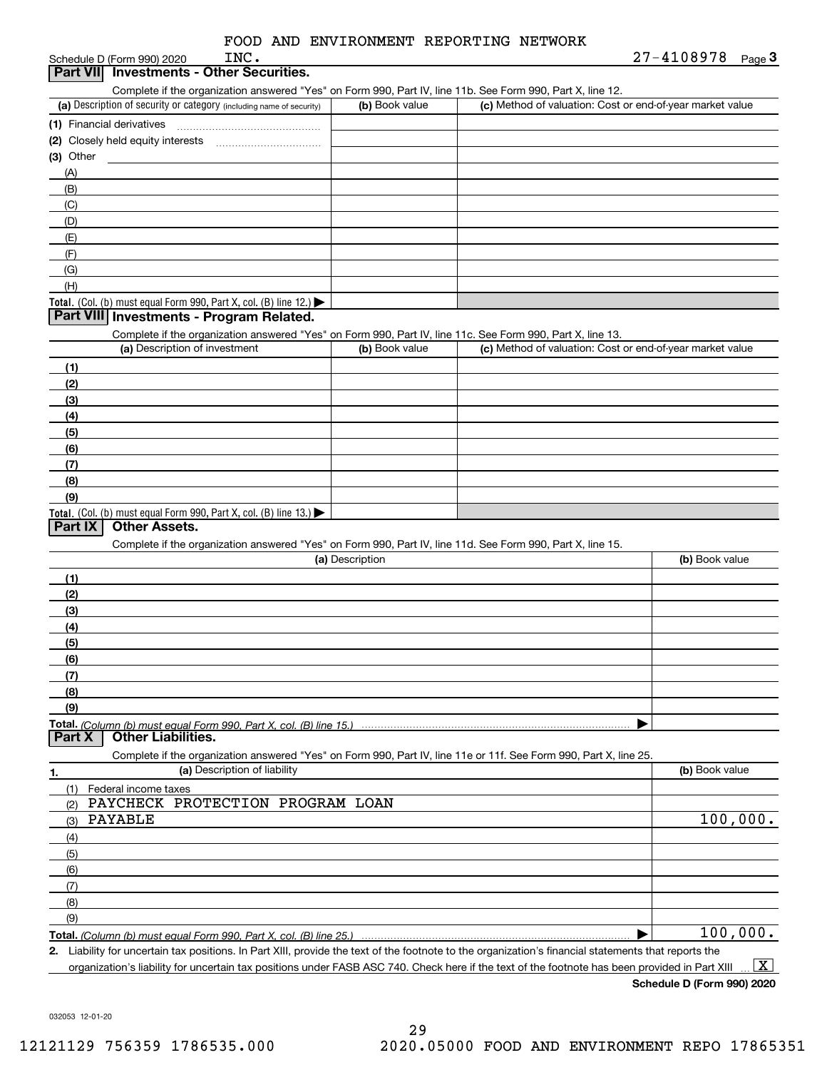| INC.<br>Schedule D (Form 990) 2020                                                                                |                 |                                                           | 27-4108978<br>Page $3$ |
|-------------------------------------------------------------------------------------------------------------------|-----------------|-----------------------------------------------------------|------------------------|
| <b>Investments - Other Securities.</b><br><b>Part VIII</b>                                                        |                 |                                                           |                        |
| Complete if the organization answered "Yes" on Form 990, Part IV, line 11b. See Form 990, Part X, line 12.        |                 |                                                           |                        |
| (a) Description of security or category (including name of security)                                              | (b) Book value  | (c) Method of valuation: Cost or end-of-year market value |                        |
|                                                                                                                   |                 |                                                           |                        |
|                                                                                                                   |                 |                                                           |                        |
| $(3)$ Other<br><u> 1980 - Andrea Andrew Maria (b. 19</u>                                                          |                 |                                                           |                        |
| (A)                                                                                                               |                 |                                                           |                        |
| (B)                                                                                                               |                 |                                                           |                        |
| (C)                                                                                                               |                 |                                                           |                        |
| (D)                                                                                                               |                 |                                                           |                        |
| (E)                                                                                                               |                 |                                                           |                        |
| (F)                                                                                                               |                 |                                                           |                        |
| (G)                                                                                                               |                 |                                                           |                        |
| (H)                                                                                                               |                 |                                                           |                        |
| Total. (Col. (b) must equal Form 990, Part X, col. (B) line 12.)                                                  |                 |                                                           |                        |
| Part VIII Investments - Program Related.                                                                          |                 |                                                           |                        |
| Complete if the organization answered "Yes" on Form 990, Part IV, line 11c. See Form 990, Part X, line 13.        |                 |                                                           |                        |
| (a) Description of investment                                                                                     | (b) Book value  | (c) Method of valuation: Cost or end-of-year market value |                        |
| (1)                                                                                                               |                 |                                                           |                        |
| (2)                                                                                                               |                 |                                                           |                        |
| (3)                                                                                                               |                 |                                                           |                        |
| (4)                                                                                                               |                 |                                                           |                        |
| (5)                                                                                                               |                 |                                                           |                        |
| (6)                                                                                                               |                 |                                                           |                        |
| (7)                                                                                                               |                 |                                                           |                        |
| (8)                                                                                                               |                 |                                                           |                        |
| (9)                                                                                                               |                 |                                                           |                        |
| Total. (Col. (b) must equal Form 990, Part X, col. (B) line 13.)<br><b>Other Assets.</b>                          |                 |                                                           |                        |
| Part IX                                                                                                           |                 |                                                           |                        |
| Complete if the organization answered "Yes" on Form 990, Part IV, line 11d. See Form 990, Part X, line 15.        | (a) Description |                                                           | (b) Book value         |
|                                                                                                                   |                 |                                                           |                        |
| (1)                                                                                                               |                 |                                                           |                        |
| (2)                                                                                                               |                 |                                                           |                        |
| (3)                                                                                                               |                 |                                                           |                        |
| (4)                                                                                                               |                 |                                                           |                        |
| (5)                                                                                                               |                 |                                                           |                        |
| (6)                                                                                                               |                 |                                                           |                        |
| (7)                                                                                                               |                 |                                                           |                        |
| (8)                                                                                                               |                 |                                                           |                        |
| (9)                                                                                                               |                 |                                                           |                        |
| Part <sub>X</sub><br><b>Other Liabilities.</b>                                                                    |                 |                                                           |                        |
| Complete if the organization answered "Yes" on Form 990, Part IV, line 11e or 11f. See Form 990, Part X, line 25. |                 |                                                           |                        |
| (a) Description of liability                                                                                      |                 |                                                           | (b) Book value         |
| 1.                                                                                                                |                 |                                                           |                        |
| (1)<br>Federal income taxes<br>PAYCHECK PROTECTION PROGRAM LOAN<br>(2)                                            |                 |                                                           |                        |
| PAYABLE<br>(3)                                                                                                    |                 |                                                           | 100,000.               |
|                                                                                                                   |                 |                                                           |                        |
| (4)                                                                                                               |                 |                                                           |                        |
| (5)                                                                                                               |                 |                                                           |                        |
| (6)                                                                                                               |                 |                                                           |                        |
| (7)                                                                                                               |                 |                                                           |                        |
| (8)                                                                                                               |                 |                                                           |                        |
| (9)                                                                                                               |                 |                                                           |                        |

**Total.**  *(Column (b) must equal Form 990, Part X, col. (B) line 25.)* …… ▶│ 100,000.

**2.** Liability for uncertain tax positions. In Part XIII, provide the text of the footnote to the organization's financial statements that reports the organization's liability for uncertain tax positions under FASB ASC 740. Check here if the text of the footnote has been provided in Part XIII  $\,$  ...  $\overline{\rm X}$ 

**Schedule D (Form 990) 2020**

032053 12-01-20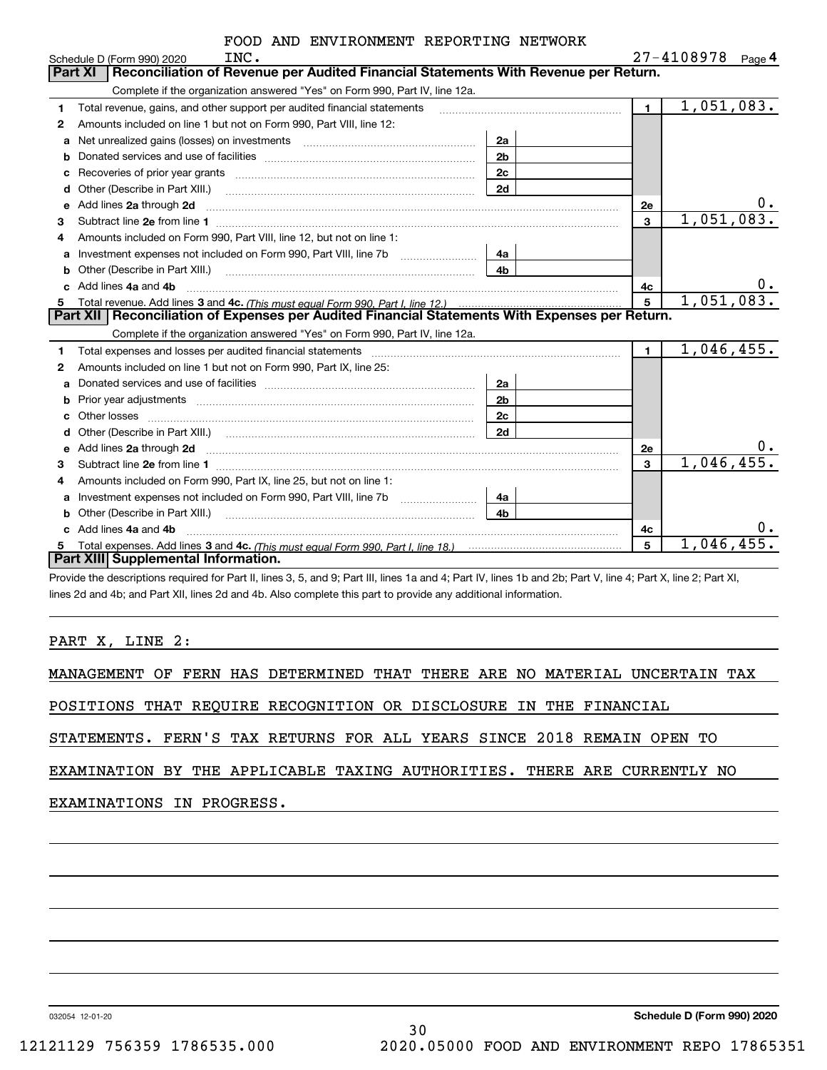|    | INC.<br>Schedule D (Form 990) 2020                                                                                                                                                                                                  |                |                | 27-4108978<br>Page $4$  |
|----|-------------------------------------------------------------------------------------------------------------------------------------------------------------------------------------------------------------------------------------|----------------|----------------|-------------------------|
|    | Reconciliation of Revenue per Audited Financial Statements With Revenue per Return.<br><b>Part XI</b>                                                                                                                               |                |                |                         |
|    | Complete if the organization answered "Yes" on Form 990, Part IV, line 12a.                                                                                                                                                         |                |                |                         |
| 1. | Total revenue, gains, and other support per audited financial statements                                                                                                                                                            |                | $\blacksquare$ | $\overline{1,051},083.$ |
| 2  | Amounts included on line 1 but not on Form 990, Part VIII, line 12:                                                                                                                                                                 |                |                |                         |
| a  | Net unrealized gains (losses) on investments [11] matter contracts and the unrealized gains (losses) on investments                                                                                                                 | 2a             |                |                         |
| b  |                                                                                                                                                                                                                                     | 2 <sub>b</sub> |                |                         |
| c  |                                                                                                                                                                                                                                     | 2 <sub>c</sub> |                |                         |
| d  |                                                                                                                                                                                                                                     | 2d             |                |                         |
| е  | Add lines 2a through 2d                                                                                                                                                                                                             |                | <b>2e</b>      | $0$ .                   |
| 3  |                                                                                                                                                                                                                                     |                | $\overline{3}$ | 1,051,083.              |
| 4  | Amounts included on Form 990, Part VIII, line 12, but not on line 1:                                                                                                                                                                |                |                |                         |
| a  | Investment expenses not included on Form 990, Part VIII, line 7b                                                                                                                                                                    | 4a             |                |                         |
| b  |                                                                                                                                                                                                                                     | 4 <sub>b</sub> |                |                         |
| C. | Add lines 4a and 4b                                                                                                                                                                                                                 |                | 4c             | 0.                      |
|    |                                                                                                                                                                                                                                     |                | 5              | 1,051,083.              |
| 5  |                                                                                                                                                                                                                                     |                |                |                         |
|    | Part XII   Reconciliation of Expenses per Audited Financial Statements With Expenses per Return.                                                                                                                                    |                |                |                         |
|    | Complete if the organization answered "Yes" on Form 990, Part IV, line 12a.                                                                                                                                                         |                |                |                         |
| 1. |                                                                                                                                                                                                                                     |                | $\blacksquare$ | 1,046,455.              |
| 2  | Amounts included on line 1 but not on Form 990, Part IX, line 25:                                                                                                                                                                   |                |                |                         |
| a  |                                                                                                                                                                                                                                     | 2a             |                |                         |
| b  | Prior year adjustments www.communication.com/www.communication.com/www.com/                                                                                                                                                         | 2b             |                |                         |
| C  |                                                                                                                                                                                                                                     | 2c             |                |                         |
|    |                                                                                                                                                                                                                                     | 2d             |                |                         |
| e  | Add lines 2a through 2d <b>must be a constructed as the constant of the S2a</b> through 2d must be a constructed as a construction of the set of the set of the set of the set of the set of the set of the set of the set of the s |                | <b>2e</b>      | 0.                      |
| 3  |                                                                                                                                                                                                                                     |                | 3              | 1,046,455.              |
| 4  | Amounts included on Form 990, Part IX, line 25, but not on line 1:                                                                                                                                                                  |                |                |                         |
| a  | Investment expenses not included on Form 990, Part VIII, line 7b [1000000000000000000000000000000000                                                                                                                                | 4a             |                |                         |
|    | Other (Describe in Part XIII.) <b>Construction Contract Construction</b> Chern Construction Construction Construction                                                                                                               | 4 <sub>b</sub> |                |                         |
|    | Add lines 4a and 4b                                                                                                                                                                                                                 |                | 4c             | 0.                      |
|    | Part XIII Supplemental Information.                                                                                                                                                                                                 |                | 5              | 1,046,455.              |

Provide the descriptions required for Part II, lines 3, 5, and 9; Part III, lines 1a and 4; Part IV, lines 1b and 2b; Part V, line 4; Part X, line 2; Part XI, lines 2d and 4b; and Part XII, lines 2d and 4b. Also complete this part to provide any additional information.

### PART X, LINE 2:

MANAGEMENT OF FERN HAS DETERMINED THAT THERE ARE NO MATERIAL UNCERTAIN TAX

POSITIONS THAT REQUIRE RECOGNITION OR DISCLOSURE IN THE FINANCIAL

STATEMENTS. FERN'S TAX RETURNS FOR ALL YEARS SINCE 2018 REMAIN OPEN TO

EXAMINATION BY THE APPLICABLE TAXING AUTHORITIES. THERE ARE CURRENTLY NO

30

# EXAMINATIONS IN PROGRESS.

032054 12-01-20

**Schedule D (Form 990) 2020**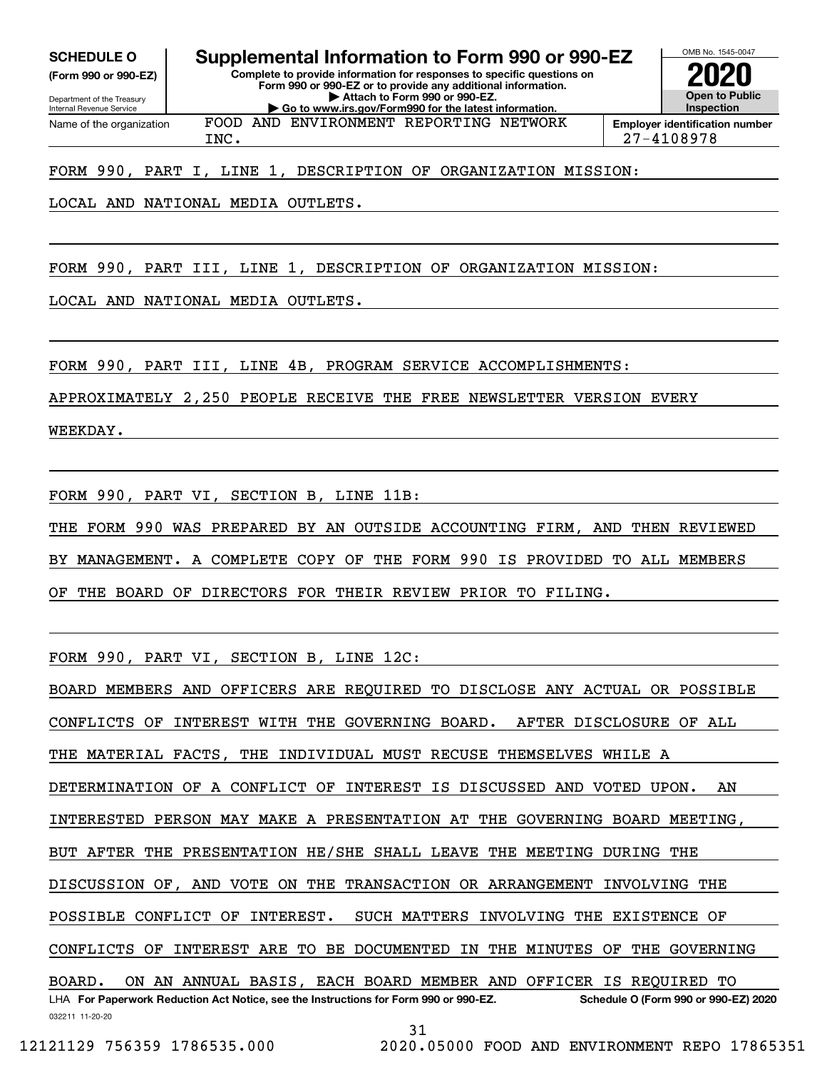Internal Revenue Service

Department of the Treasury **(Form 990 or 990-EZ)**

**SCHEDULE O Supplemental Information to Form 990 or 990-EZ**

**Complete to provide information for responses to specific questions on Form 990 or 990-EZ or to provide any additional information. | Attach to Form 990 or 990-EZ. | Go to www.irs.gov/Form990 for the latest information.**



OMB No. 1545-0047

Name of the organization FOOD AND ENVIRONMENT REPORTING NETWORK

INC. 27-4108978

FORM 990, PART I, LINE 1, DESCRIPTION OF ORGANIZATION MISSION:

LOCAL AND NATIONAL MEDIA OUTLETS.

FORM 990, PART III, LINE 1, DESCRIPTION OF ORGANIZATION MISSION:

LOCAL AND NATIONAL MEDIA OUTLETS.

FORM 990, PART III, LINE 4B, PROGRAM SERVICE ACCOMPLISHMENTS:

APPROXIMATELY 2,250 PEOPLE RECEIVE THE FREE NEWSLETTER VERSION EVERY

WEEKDAY.

FORM 990, PART VI, SECTION B, LINE 11B:

THE FORM 990 WAS PREPARED BY AN OUTSIDE ACCOUNTING FIRM, AND THEN REVIEWED BY MANAGEMENT. A COMPLETE COPY OF THE FORM 990 IS PROVIDED TO ALL MEMBERS OF THE BOARD OF DIRECTORS FOR THEIR REVIEW PRIOR TO FILING.

FORM 990, PART VI, SECTION B, LINE 12C:

032211 11-20-20 LHA For Paperwork Reduction Act Notice, see the Instructions for Form 990 or 990-EZ. Schedule O (Form 990 or 990-EZ) 2020 BOARD MEMBERS AND OFFICERS ARE REQUIRED TO DISCLOSE ANY ACTUAL OR POSSIBLE CONFLICTS OF INTEREST WITH THE GOVERNING BOARD. AFTER DISCLOSURE OF ALL THE MATERIAL FACTS, THE INDIVIDUAL MUST RECUSE THEMSELVES WHILE A DETERMINATION OF A CONFLICT OF INTEREST IS DISCUSSED AND VOTED UPON. AN INTERESTED PERSON MAY MAKE A PRESENTATION AT THE GOVERNING BOARD MEETING, BUT AFTER THE PRESENTATION HE/SHE SHALL LEAVE THE MEETING DURING THE DISCUSSION OF, AND VOTE ON THE TRANSACTION OR ARRANGEMENT INVOLVING THE POSSIBLE CONFLICT OF INTEREST. SUCH MATTERS INVOLVING THE EXISTENCE OF CONFLICTS OF INTEREST ARE TO BE DOCUMENTED IN THE MINUTES OF THE GOVERNING BOARD. ON AN ANNUAL BASIS, EACH BOARD MEMBER AND OFFICER IS REQUIRED TO

31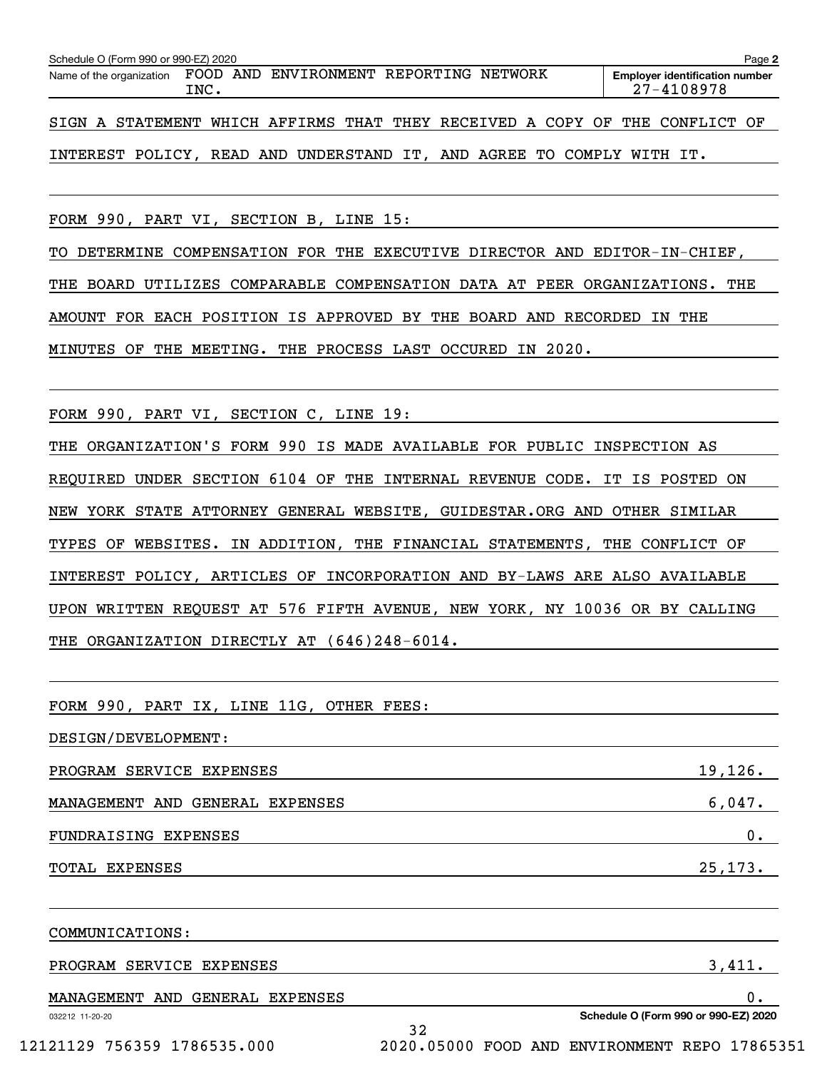| Name of the organization FOOD AND ENVIRONMENT REPORTING NETWORK | INC. |  | <b>Employer identification number</b><br>27-4108978 |
|-----------------------------------------------------------------|------|--|-----------------------------------------------------|
|                                                                 |      |  |                                                     |

SIGN A STATEMENT WHICH AFFIRMS THAT THEY RECEIVED A COPY OF THE CONFLICT OF

INTEREST POLICY, READ AND UNDERSTAND IT, AND AGREE TO COMPLY WITH IT.

FORM 990, PART VI, SECTION B, LINE 15:

TO DETERMINE COMPENSATION FOR THE EXECUTIVE DIRECTOR AND EDITOR-IN-CHIEF, THE BOARD UTILIZES COMPARABLE COMPENSATION DATA AT PEER ORGANIZATIONS. THE AMOUNT FOR EACH POSITION IS APPROVED BY THE BOARD AND RECORDED IN THE MINUTES OF THE MEETING. THE PROCESS LAST OCCURED IN 2020.

FORM 990, PART VI, SECTION C, LINE 19:

THE ORGANIZATION'S FORM 990 IS MADE AVAILABLE FOR PUBLIC INSPECTION AS REQUIRED UNDER SECTION 6104 OF THE INTERNAL REVENUE CODE. IT IS POSTED ON NEW YORK STATE ATTORNEY GENERAL WEBSITE, GUIDESTAR.ORG AND OTHER SIMILAR TYPES OF WEBSITES. IN ADDITION, THE FINANCIAL STATEMENTS, THE CONFLICT OF INTEREST POLICY, ARTICLES OF INCORPORATION AND BY-LAWS ARE ALSO AVAILABLE UPON WRITTEN REQUEST AT 576 FIFTH AVENUE, NEW YORK, NY 10036 OR BY CALLING THE ORGANIZATION DIRECTLY AT (646)248-6014.

032212 11-20-20 **Schedule O (Form 990 or 990-EZ) 2020** FORM 990, PART IX, LINE 11G, OTHER FEES: DESIGN/DEVELOPMENT: PROGRAM SERVICE EXPENSES 19, 126. MANAGEMENT AND GENERAL EXPENSES 6,047. FUNDRAISING EXPENSES  $\qquad \qquad \qquad 0.$ TOTAL EXPENSES 25,173. COMMUNICATIONS: PROGRAM SERVICE EXPENSES 3,411. MANAGEMENT AND GENERAL EXPENSES 0.